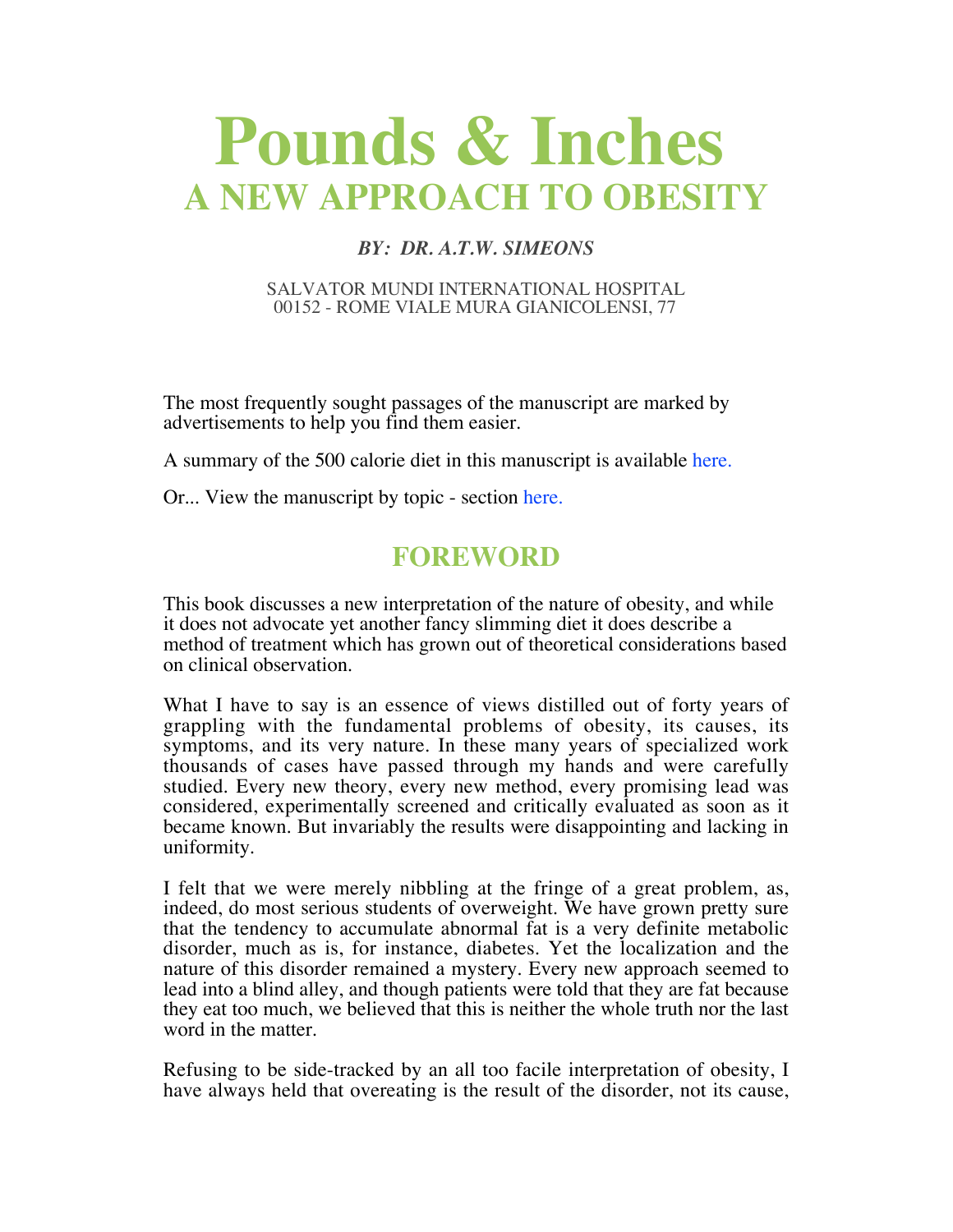# **Pounds & Inches A NEW APPROACH TO OBESITY**

#### *BY: DR. A.T.W. SIMEONS*

#### SALVATOR MUNDI INTERNATIONAL HOSPITAL 00152 - ROME VIALE MURA GIANICOLENSI, 77

The most frequently sought passages of the manuscript are marked by advertisements to help you find them easier.

A summary of the 500 calorie diet in this manuscript is available here.

Or... View the manuscript by topic - section here.

### **FOREWORD**

This book discusses a new interpretation of the nature of obesity, and while it does not advocate yet another fancy slimming diet it does describe a method of treatment which has grown out of theoretical considerations based on clinical observation.

What I have to say is an essence of views distilled out of forty years of grappling with the fundamental problems of obesity, its causes, its symptoms, and its very nature. In these many years of specialized work thousands of cases have passed through my hands and were carefully studied. Every new theory, every new method, every promising lead was considered, experimentally screened and critically evaluated as soon as it became known. But invariably the results were disappointing and lacking in uniformity.

I felt that we were merely nibbling at the fringe of a great problem, as, indeed, do most serious students of overweight. We have grown pretty sure that the tendency to accumulate abnormal fat is a very definite metabolic disorder, much as is, for instance, diabetes. Yet the localization and the nature of this disorder remained a mystery. Every new approach seemed to lead into a blind alley, and though patients were told that they are fat because they eat too much, we believed that this is neither the whole truth nor the last word in the matter.

Refusing to be side-tracked by an all too facile interpretation of obesity, I have always held that overeating is the result of the disorder, not its cause,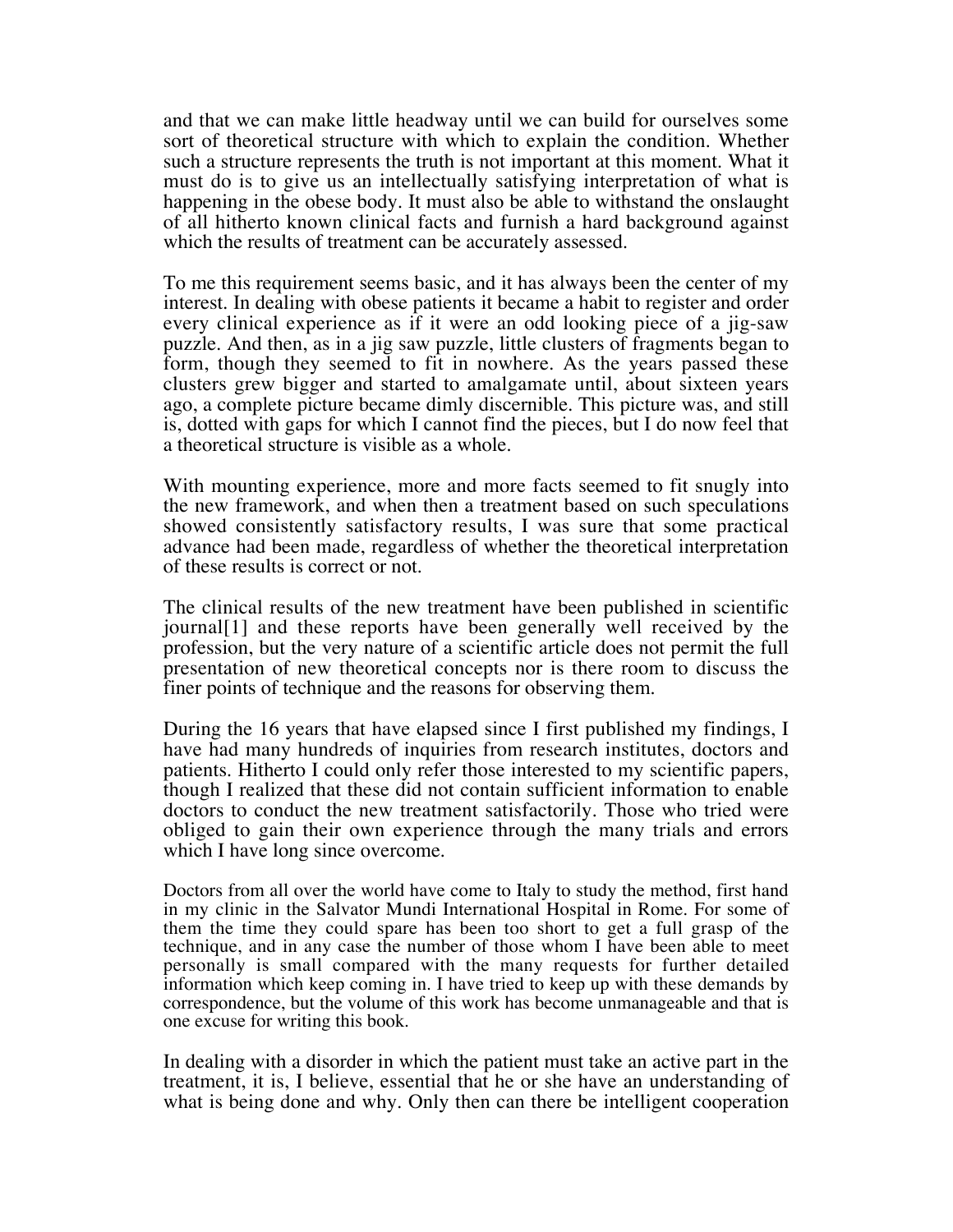and that we can make little headway until we can build for ourselves some sort of theoretical structure with which to explain the condition. Whether such a structure represents the truth is not important at this moment. What it must do is to give us an intellectually satisfying interpretation of what is happening in the obese body. It must also be able to withstand the onslaught of all hitherto known clinical facts and furnish a hard background against which the results of treatment can be accurately assessed.

To me this requirement seems basic, and it has always been the center of my interest. In dealing with obese patients it became a habit to register and order every clinical experience as if it were an odd looking piece of a jig-saw puzzle. And then, as in a jig saw puzzle, little clusters of fragments began to form, though they seemed to fit in nowhere. As the years passed these clusters grew bigger and started to amalgamate until, about sixteen years ago, a complete picture became dimly discernible. This picture was, and still is, dotted with gaps for which I cannot find the pieces, but I do now feel that a theoretical structure is visible as a whole.

With mounting experience, more and more facts seemed to fit snugly into the new framework, and when then a treatment based on such speculations showed consistently satisfactory results, I was sure that some practical advance had been made, regardless of whether the theoretical interpretation of these results is correct or not.

The clinical results of the new treatment have been published in scientific journal[1] and these reports have been generally well received by the profession, but the very nature of a scientific article does not permit the full presentation of new theoretical concepts nor is there room to discuss the finer points of technique and the reasons for observing them.

During the 16 years that have elapsed since I first published my findings, I have had many hundreds of inquiries from research institutes, doctors and patients. Hitherto I could only refer those interested to my scientific papers, though I realized that these did not contain sufficient information to enable doctors to conduct the new treatment satisfactorily. Those who tried were obliged to gain their own experience through the many trials and errors which I have long since overcome.

Doctors from all over the world have come to Italy to study the method, first hand in my clinic in the Salvator Mundi International Hospital in Rome. For some of them the time they could spare has been too short to get a full grasp of the technique, and in any case the number of those whom I have been able to meet personally is small compared with the many requests for further detailed information which keep coming in. I have tried to keep up with these demands by correspondence, but the volume of this work has become unmanageable and that is one excuse for writing this book.

In dealing with a disorder in which the patient must take an active part in the treatment, it is, I believe, essential that he or she have an understanding of what is being done and why. Only then can there be intelligent cooperation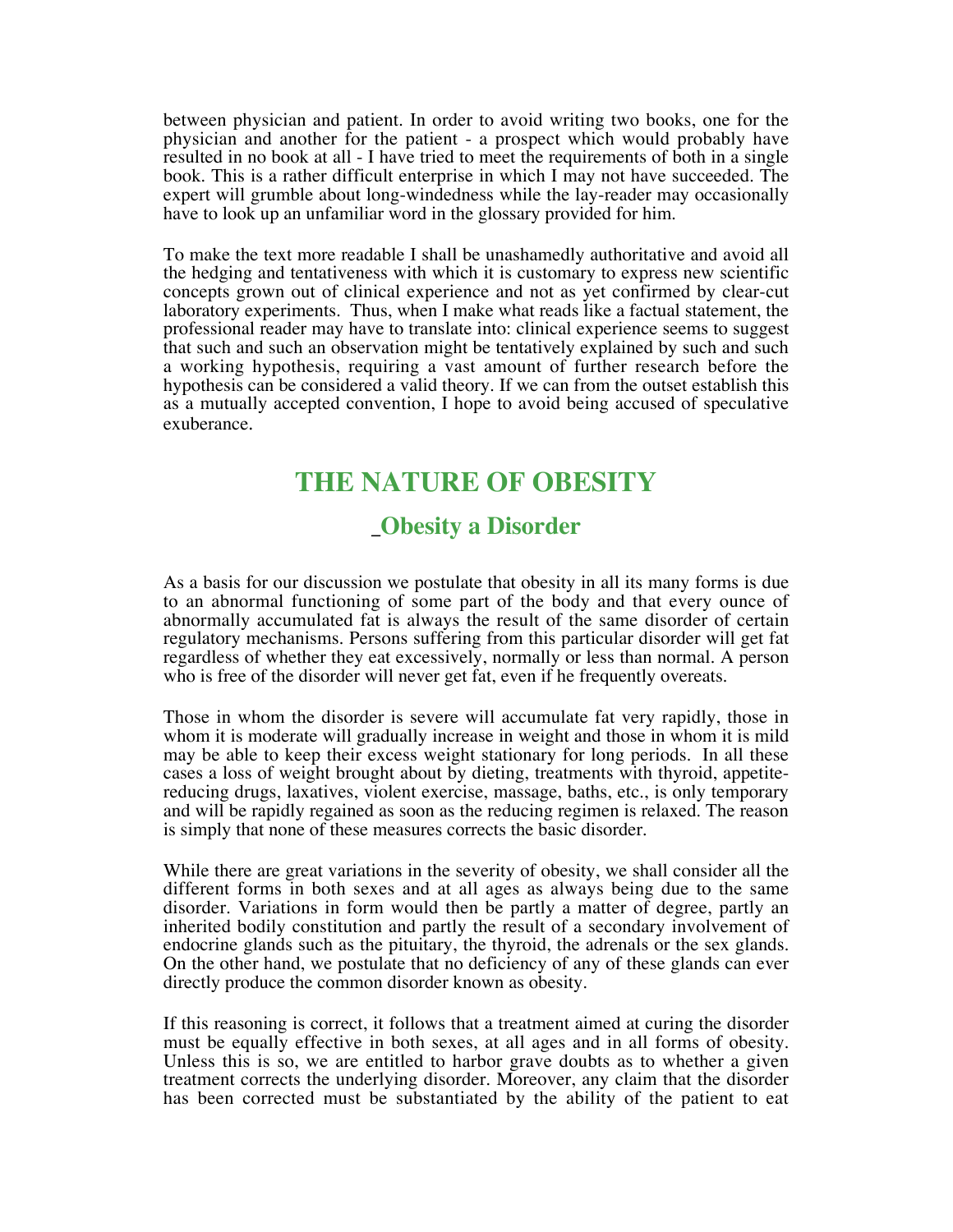between physician and patient. In order to avoid writing two books, one for the physician and another for the patient - a prospect which would probably have resulted in no book at all - I have tried to meet the requirements of both in a single book. This is a rather difficult enterprise in which I may not have succeeded. The expert will grumble about long-windedness while the lay-reader may occasionally have to look up an unfamiliar word in the glossary provided for him.

To make the text more readable I shall be unashamedly authoritative and avoid all the hedging and tentativeness with which it is customary to express new scientific concepts grown out of clinical experience and not as yet confirmed by clear-cut laboratory experiments. Thus, when I make what reads like a factual statement, the professional reader may have to translate into: clinical experience seems to suggest that such and such an observation might be tentatively explained by such and such a working hypothesis, requiring a vast amount of further research before the hypothesis can be considered a valid theory. If we can from the outset establish this as a mutually accepted convention, I hope to avoid being accused of speculative exuberance.

# **THE NATURE OF OBESITY**

#### *\_***Obesity a Disorder**

As a basis for our discussion we postulate that obesity in all its many forms is due to an abnormal functioning of some part of the body and that every ounce of abnormally accumulated fat is always the result of the same disorder of certain regulatory mechanisms. Persons suffering from this particular disorder will get fat regardless of whether they eat excessively, normally or less than normal. A person who is free of the disorder will never get fat, even if he frequently overeats.

Those in whom the disorder is severe will accumulate fat very rapidly, those in whom it is moderate will gradually increase in weight and those in whom it is mild may be able to keep their excess weight stationary for long periods. In all these cases a loss of weight brought about by dieting, treatments with thyroid, appetitereducing drugs, laxatives, violent exercise, massage, baths, etc., is only temporary and will be rapidly regained as soon as the reducing regimen is relaxed. The reason is simply that none of these measures corrects the basic disorder.

While there are great variations in the severity of obesity, we shall consider all the different forms in both sexes and at all ages as always being due to the same disorder. Variations in form would then be partly a matter of degree, partly an inherited bodily constitution and partly the result of a secondary involvement of endocrine glands such as the pituitary, the thyroid, the adrenals or the sex glands. On the other hand, we postulate that no deficiency of any of these glands can ever directly produce the common disorder known as obesity.

If this reasoning is correct, it follows that a treatment aimed at curing the disorder must be equally effective in both sexes, at all ages and in all forms of obesity. Unless this is so, we are entitled to harbor grave doubts as to whether a given treatment corrects the underlying disorder. Moreover, any claim that the disorder has been corrected must be substantiated by the ability of the patient to eat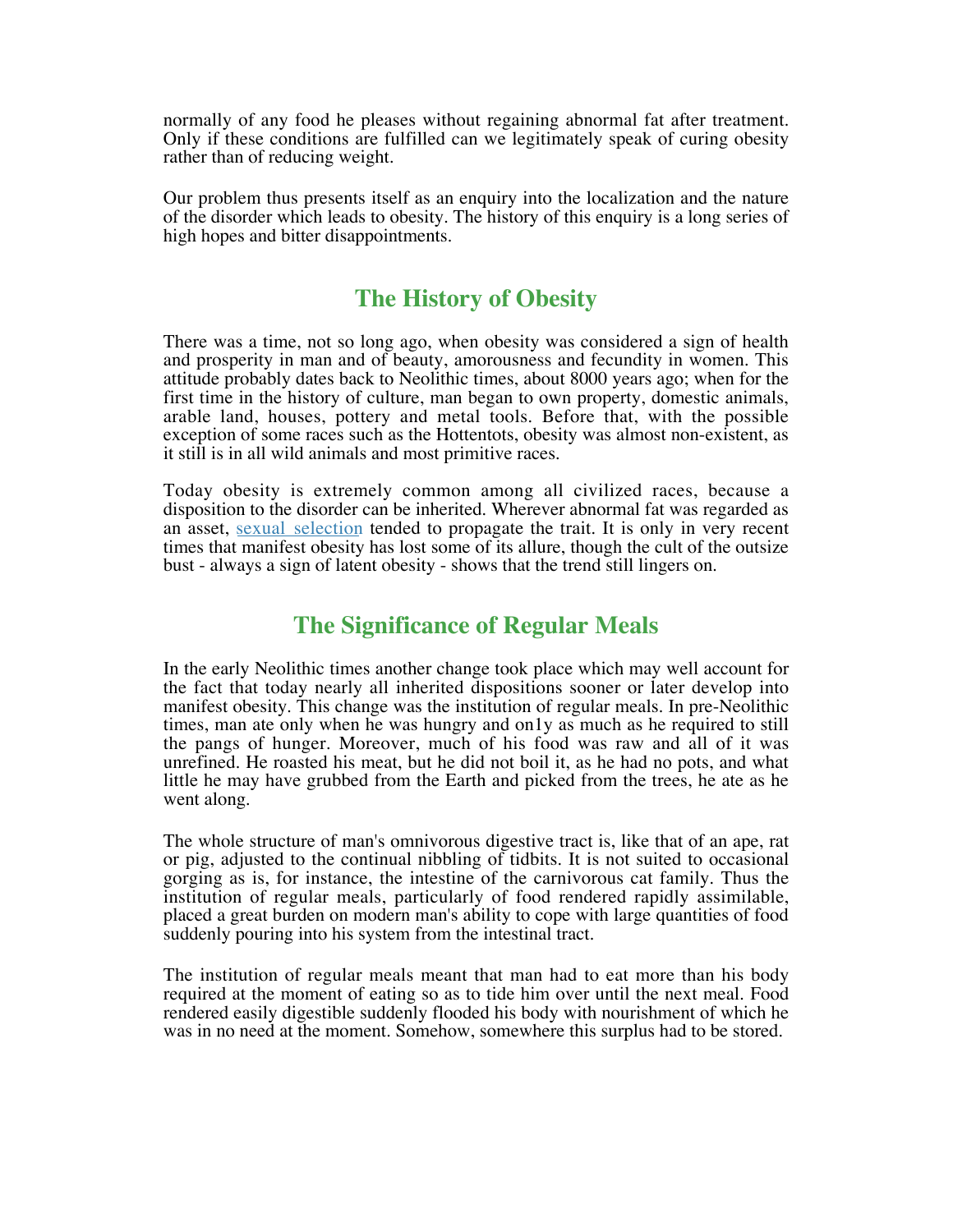normally of any food he pleases without regaining abnormal fat after treatment. Only if these conditions are fulfilled can we legitimately speak of curing obesity rather than of reducing weight.

Our problem thus presents itself as an enquiry into the localization and the nature of the disorder which leads to obesity. The history of this enquiry is a long series of high hopes and bitter disappointments.

#### **The History of Obesity**

There was a time, not so long ago, when obesity was considered a sign of health and prosperity in man and of beauty, amorousness and fecundity in women. This attitude probably dates back to Neolithic times, about 8000 years ago; when for the first time in the history of culture, man began to own property, domestic animals, arable land, houses, pottery and metal tools. Before that, with the possible exception of some races such as the Hottentots, obesity was almost non-existent, as it still is in all wild animals and most primitive races.

Today obesity is extremely common among all civilized races, because a disposition to the disorder can be inherited. Wherever abnormal fat was regarded as an asset, sexual selection tended to propagate the trait. It is only in very recent times that manifest obesity has lost some of its allure, though the cult of the outsize bust - always a sign of latent obesity - shows that the trend still lingers on.

#### **The Significance of Regular Meals**

In the early Neolithic times another change took place which may well account for the fact that today nearly all inherited dispositions sooner or later develop into manifest obesity. This change was the institution of regular meals. In pre-Neolithic times, man ate only when he was hungry and on1y as much as he required to still the pangs of hunger. Moreover, much of his food was raw and all of it was unrefined. He roasted his meat, but he did not boil it, as he had no pots, and what little he may have grubbed from the Earth and picked from the trees, he ate as he went along.

The whole structure of man's omnivorous digestive tract is, like that of an ape, rat or pig, adjusted to the continual nibbling of tidbits. It is not suited to occasional gorging as is, for instance, the intestine of the carnivorous cat family. Thus the institution of regular meals, particularly of food rendered rapidly assimilable, placed a great burden on modern man's ability to cope with large quantities of food suddenly pouring into his system from the intestinal tract.

The institution of regular meals meant that man had to eat more than his body required at the moment of eating so as to tide him over until the next meal. Food rendered easily digestible suddenly flooded his body with nourishment of which he was in no need at the moment. Somehow, somewhere this surplus had to be stored.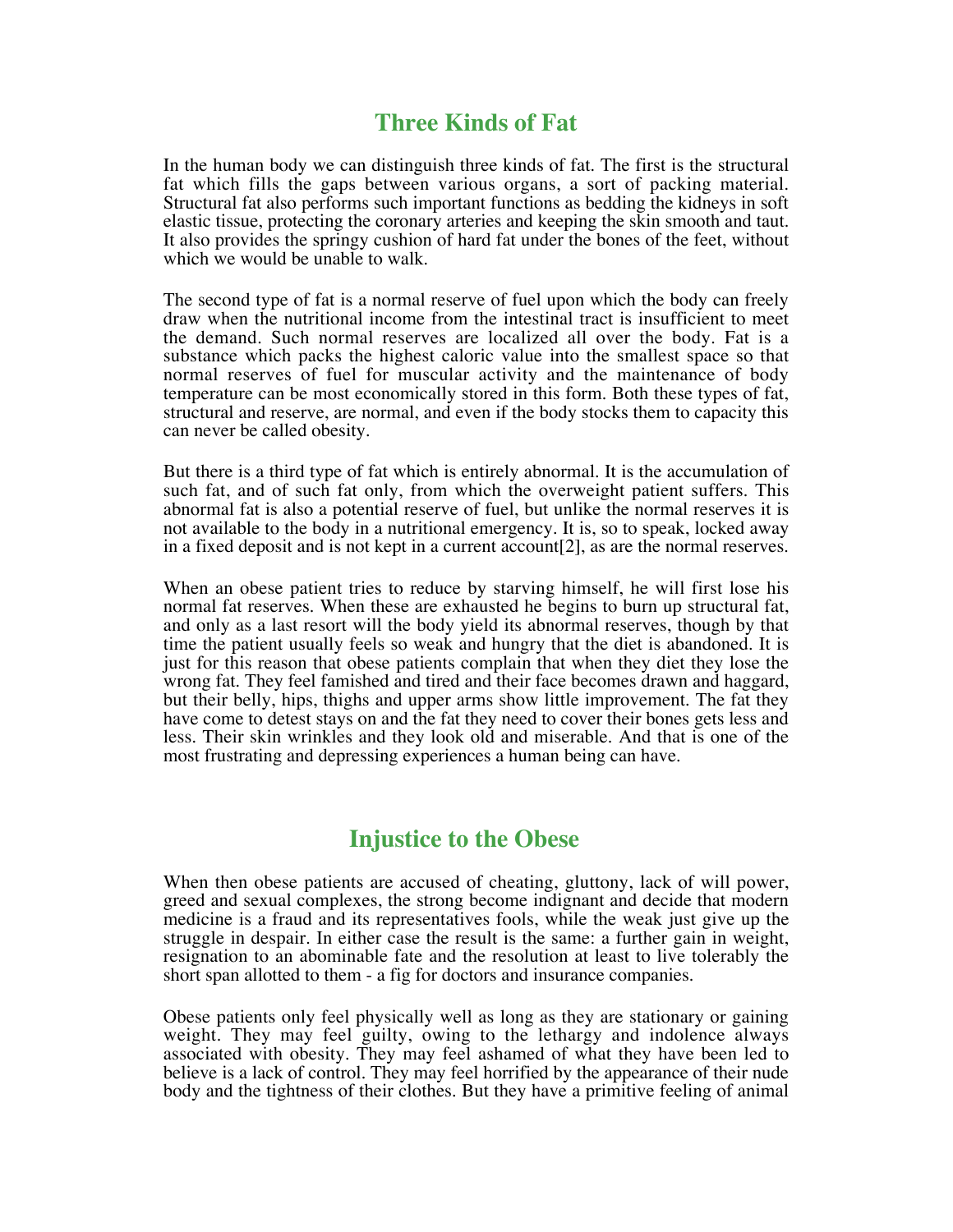#### **Three Kinds of Fat**

In the human body we can distinguish three kinds of fat. The first is the structural fat which fills the gaps between various organs, a sort of packing material. Structural fat also performs such important functions as bedding the kidneys in soft elastic tissue, protecting the coronary arteries and keeping the skin smooth and taut. It also provides the springy cushion of hard fat under the bones of the feet, without which we would be unable to walk.

The second type of fat is a normal reserve of fuel upon which the body can freely draw when the nutritional income from the intestinal tract is insufficient to meet the demand. Such normal reserves are localized all over the body. Fat is a substance which packs the highest caloric value into the smallest space so that normal reserves of fuel for muscular activity and the maintenance of body temperature can be most economically stored in this form. Both these types of fat, structural and reserve, are normal, and even if the body stocks them to capacity this can never be called obesity.

But there is a third type of fat which is entirely abnormal. It is the accumulation of such fat, and of such fat only, from which the overweight patient suffers. This abnormal fat is also a potential reserve of fuel, but unlike the normal reserves it is not available to the body in a nutritional emergency. It is, so to speak, locked away in a fixed deposit and is not kept in a current account[2], as are the normal reserves.

When an obese patient tries to reduce by starving himself, he will first lose his normal fat reserves. When these are exhausted he begins to burn up structural fat, and only as a last resort will the body yield its abnormal reserves, though by that time the patient usually feels so weak and hungry that the diet is abandoned. It is just for this reason that obese patients complain that when they diet they lose the wrong fat. They feel famished and tired and their face becomes drawn and haggard, but their belly, hips, thighs and upper arms show little improvement. The fat they have come to detest stays on and the fat they need to cover their bones gets less and less. Their skin wrinkles and they look old and miserable. And that is one of the most frustrating and depressing experiences a human being can have.

#### **Injustice to the Obese**

When then obese patients are accused of cheating, gluttony, lack of will power, greed and sexual complexes, the strong become indignant and decide that modern medicine is a fraud and its representatives fools, while the weak just give up the struggle in despair. In either case the result is the same: a further gain in weight, resignation to an abominable fate and the resolution at least to live tolerably the short span allotted to them - a fig for doctors and insurance companies.

Obese patients only feel physically well as long as they are stationary or gaining weight. They may feel guilty, owing to the lethargy and indolence always associated with obesity. They may feel ashamed of what they have been led to believe is a lack of control. They may feel horrified by the appearance of their nude body and the tightness of their clothes. But they have a primitive feeling of animal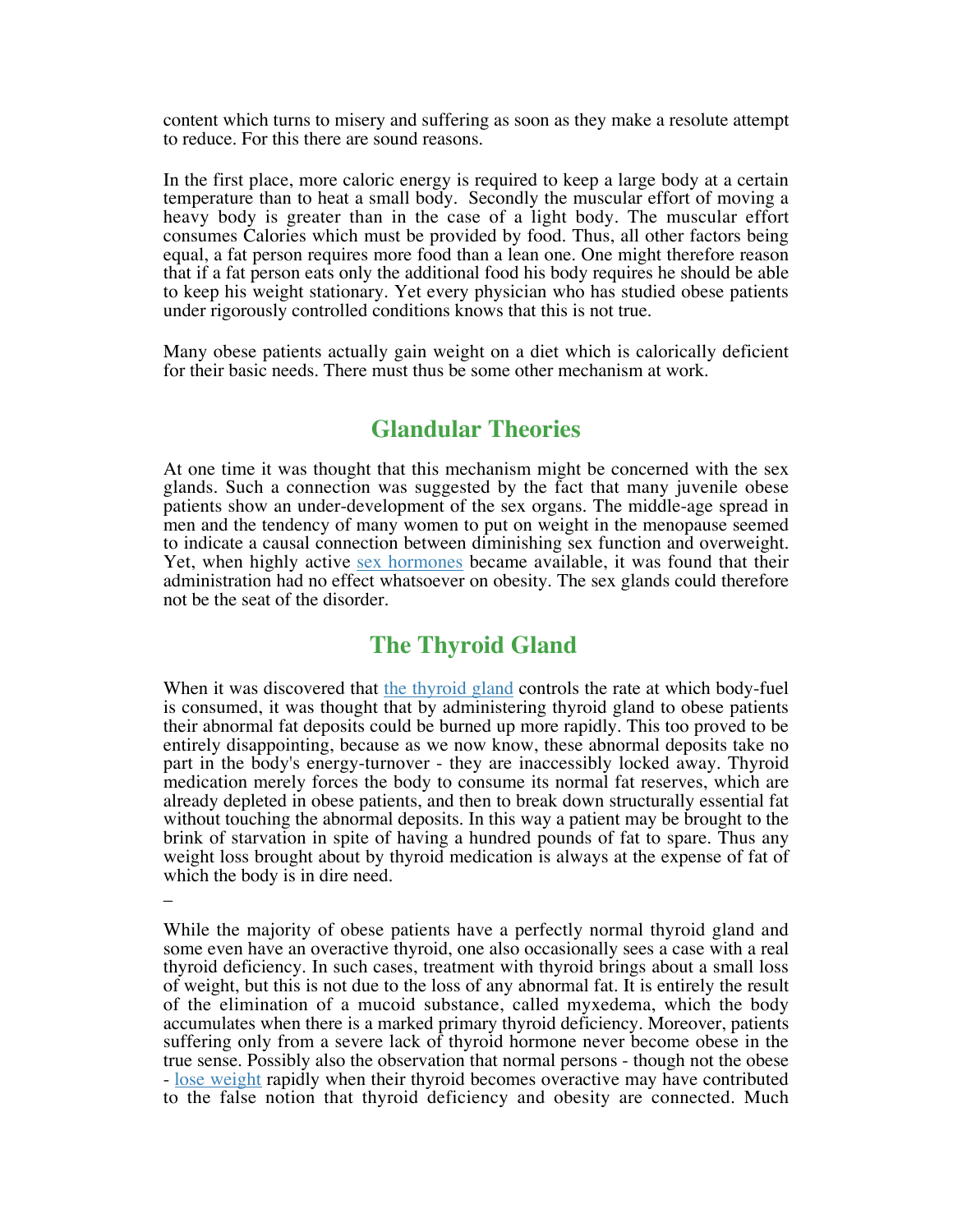content which turns to misery and suffering as soon as they make a resolute attempt to reduce. For this there are sound reasons.

In the first place, more caloric energy is required to keep a large body at a certain temperature than to heat a small body. Secondly the muscular effort of moving a heavy body is greater than in the case of a light body. The muscular effort consumes Calories which must be provided by food. Thus, all other factors being equal, a fat person requires more food than a lean one. One might therefore reason that if a fat person eats only the additional food his body requires he should be able to keep his weight stationary. Yet every physician who has studied obese patients under rigorously controlled conditions knows that this is not true.

Many obese patients actually gain weight on a diet which is calorically deficient for their basic needs. There must thus be some other mechanism at work.

#### **Glandular Theories**

At one time it was thought that this mechanism might be concerned with the sex glands. Such a connection was suggested by the fact that many juvenile obese patients show an under-development of the sex organs. The middle-age spread in men and the tendency of many women to put on weight in the menopause seemed to indicate a causal connection between diminishing sex function and overweight. Yet, when highly active sex hormones became available, it was found that their administration had no effect whatsoever on obesity. The sex glands could therefore not be the seat of the disorder.

#### **The Thyroid Gland**

When it was discovered that the thyroid gland controls the rate at which body-fuel is consumed, it was thought that by administering thyroid gland to obese patients their abnormal fat deposits could be burned up more rapidly. This too proved to be entirely disappointing, because as we now know, these abnormal deposits take no part in the body's energy-turnover - they are inaccessibly locked away. Thyroid medication merely forces the body to consume its normal fat reserves, which are already depleted in obese patients, and then to break down structurally essential fat without touching the abnormal deposits. In this way a patient may be brought to the brink of starvation in spite of having a hundred pounds of fat to spare. Thus any weight loss brought about by thyroid medication is always at the expense of fat of which the body is in dire need.

\_

While the majority of obese patients have a perfectly normal thyroid gland and some even have an overactive thyroid, one also occasionally sees a case with a real thyroid deficiency. In such cases, treatment with thyroid brings about a small loss of weight, but this is not due to the loss of any abnormal fat. It is entirely the result of the elimination of a mucoid substance, called myxedema, which the body accumulates when there is a marked primary thyroid deficiency. Moreover, patients suffering only from a severe lack of thyroid hormone never become obese in the true sense. Possibly also the observation that normal persons - though not the obese - lose weight rapidly when their thyroid becomes overactive may have contributed to the false notion that thyroid deficiency and obesity are connected. Much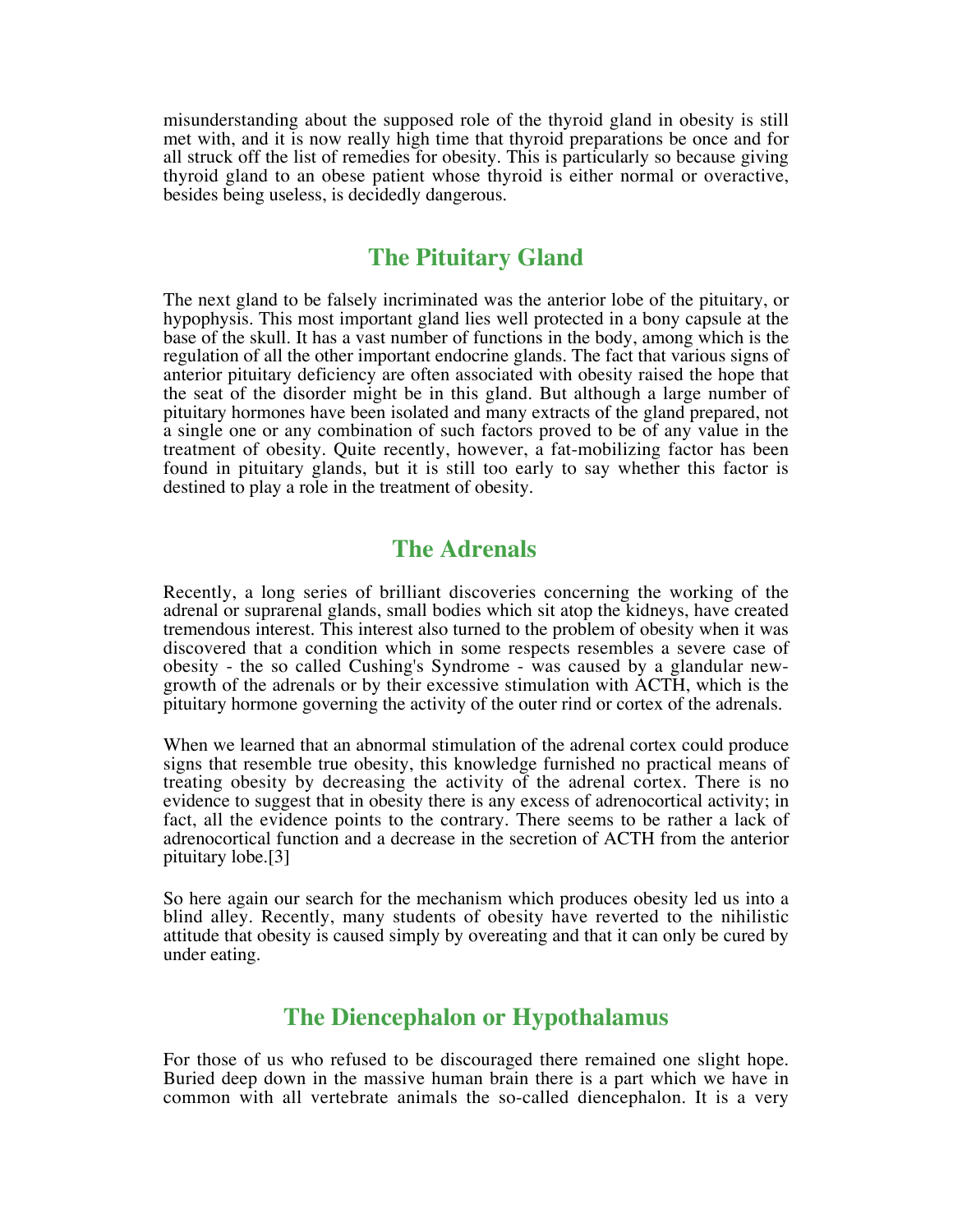misunderstanding about the supposed role of the thyroid gland in obesity is still met with, and it is now really high time that thyroid preparations be once and for all struck off the list of remedies for obesity. This is particularly so because giving thyroid gland to an obese patient whose thyroid is either normal or overactive, besides being useless, is decidedly dangerous.

#### **The Pituitary Gland**

The next gland to be falsely incriminated was the anterior lobe of the pituitary, or hypophysis. This most important gland lies well protected in a bony capsule at the base of the skull. It has a vast number of functions in the body, among which is the regulation of all the other important endocrine glands. The fact that various signs of anterior pituitary deficiency are often associated with obesity raised the hope that the seat of the disorder might be in this gland. But although a large number of pituitary hormones have been isolated and many extracts of the gland prepared, not a single one or any combination of such factors proved to be of any value in the treatment of obesity. Quite recently, however, a fat-mobilizing factor has been found in pituitary glands, but it is still too early to say whether this factor is destined to play a role in the treatment of obesity.

#### **The Adrenals**

Recently, a long series of brilliant discoveries concerning the working of the adrenal or suprarenal glands, small bodies which sit atop the kidneys, have created tremendous interest. This interest also turned to the problem of obesity when it was discovered that a condition which in some respects resembles a severe case of obesity - the so called Cushing's Syndrome - was caused by a glandular newgrowth of the adrenals or by their excessive stimulation with ACTH, which is the pituitary hormone governing the activity of the outer rind or cortex of the adrenals.

When we learned that an abnormal stimulation of the adrenal cortex could produce signs that resemble true obesity, this knowledge furnished no practical means of treating obesity by decreasing the activity of the adrenal cortex. There is no evidence to suggest that in obesity there is any excess of adrenocortical activity; in fact, all the evidence points to the contrary. There seems to be rather a lack of adrenocortical function and a decrease in the secretion of ACTH from the anterior pituitary lobe.[3]

So here again our search for the mechanism which produces obesity led us into a blind alley. Recently, many students of obesity have reverted to the nihilistic attitude that obesity is caused simply by overeating and that it can only be cured by under eating.

#### **The Diencephalon or Hypothalamus**

For those of us who refused to be discouraged there remained one slight hope. Buried deep down in the massive human brain there is a part which we have in common with all vertebrate animals the so-called diencephalon. It is a very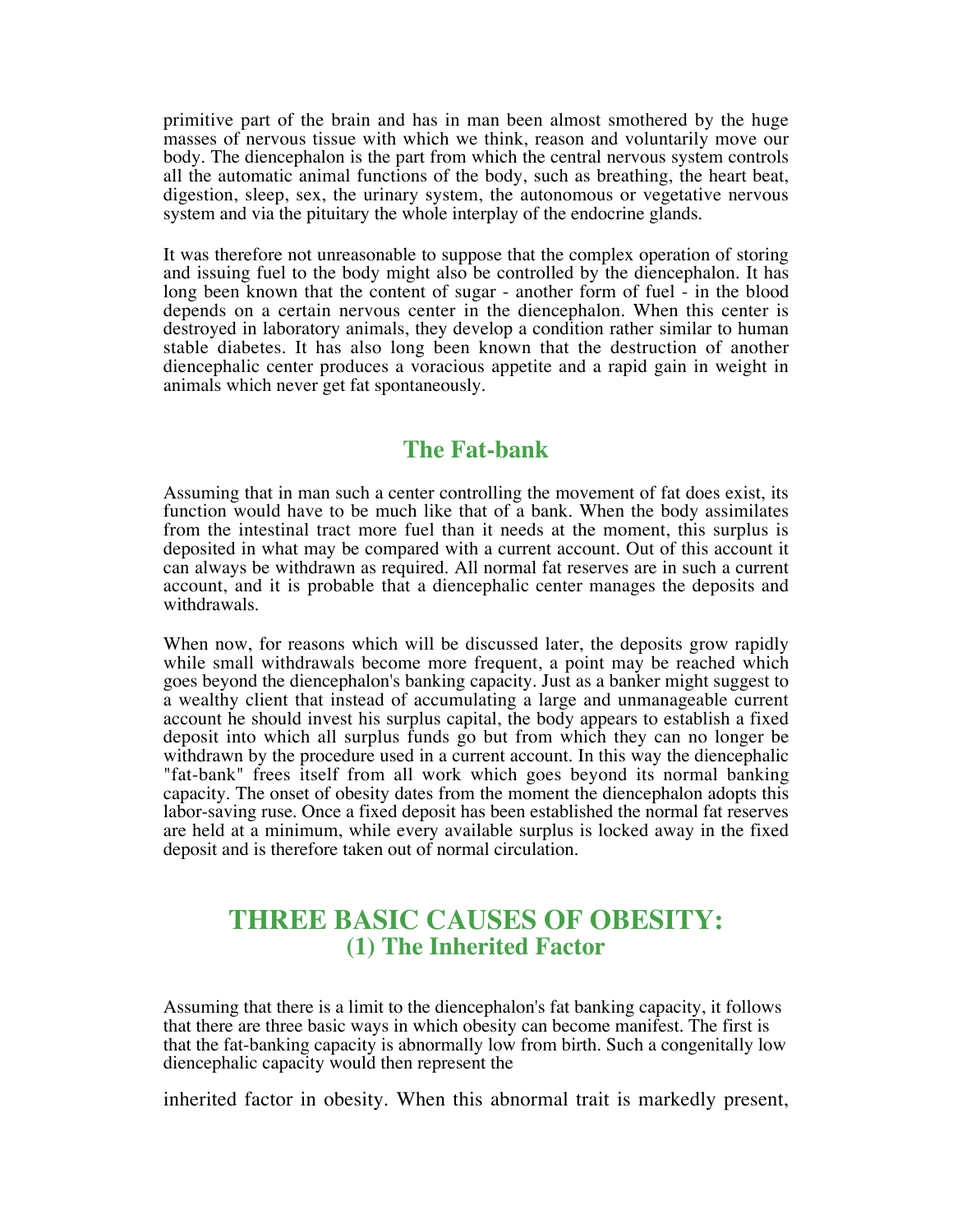primitive part of the brain and has in man been almost smothered by the huge masses of nervous tissue with which we think, reason and voluntarily move our body. The diencephalon is the part from which the central nervous system controls all the automatic animal functions of the body, such as breathing, the heart beat, digestion, sleep, sex, the urinary system, the autonomous or vegetative nervous system and via the pituitary the whole interplay of the endocrine glands.

It was therefore not unreasonable to suppose that the complex operation of storing and issuing fuel to the body might also be controlled by the diencephalon. It has long been known that the content of sugar - another form of fuel - in the blood depends on a certain nervous center in the diencephalon. When this center is destroyed in laboratory animals, they develop a condition rather similar to human stable diabetes. It has also long been known that the destruction of another diencephalic center produces a voracious appetite and a rapid gain in weight in animals which never get fat spontaneously.

#### **The Fat-bank**

Assuming that in man such a center controlling the movement of fat does exist, its function would have to be much like that of a bank. When the body assimilates from the intestinal tract more fuel than it needs at the moment, this surplus is deposited in what may be compared with a current account. Out of this account it can always be withdrawn as required. All normal fat reserves are in such a current account, and it is probable that a diencephalic center manages the deposits and withdrawals.

When now, for reasons which will be discussed later, the deposits grow rapidly while small withdrawals become more frequent, a point may be reached which goes beyond the diencephalon's banking capacity. Just as a banker might suggest to a wealthy client that instead of accumulating a large and unmanageable current account he should invest his surplus capital, the body appears to establish a fixed deposit into which all surplus funds go but from which they can no longer be withdrawn by the procedure used in a current account. In this way the diencephalic "fat-bank" frees itself from all work which goes beyond its normal banking capacity. The onset of obesity dates from the moment the diencephalon adopts this labor-saving ruse. Once a fixed deposit has been established the normal fat reserves are held at a minimum, while every available surplus is locked away in the fixed deposit and is therefore taken out of normal circulation.

#### **THREE BASIC CAUSES OF OBESITY: (1) The Inherited Factor**

Assuming that there is a limit to the diencephalon's fat banking capacity, it follows that there are three basic ways in which obesity can become manifest. The first is that the fat-banking capacity is abnormally low from birth. Such a congenitally low diencephalic capacity would then represent the

inherited factor in obesity. When this abnormal trait is markedly present,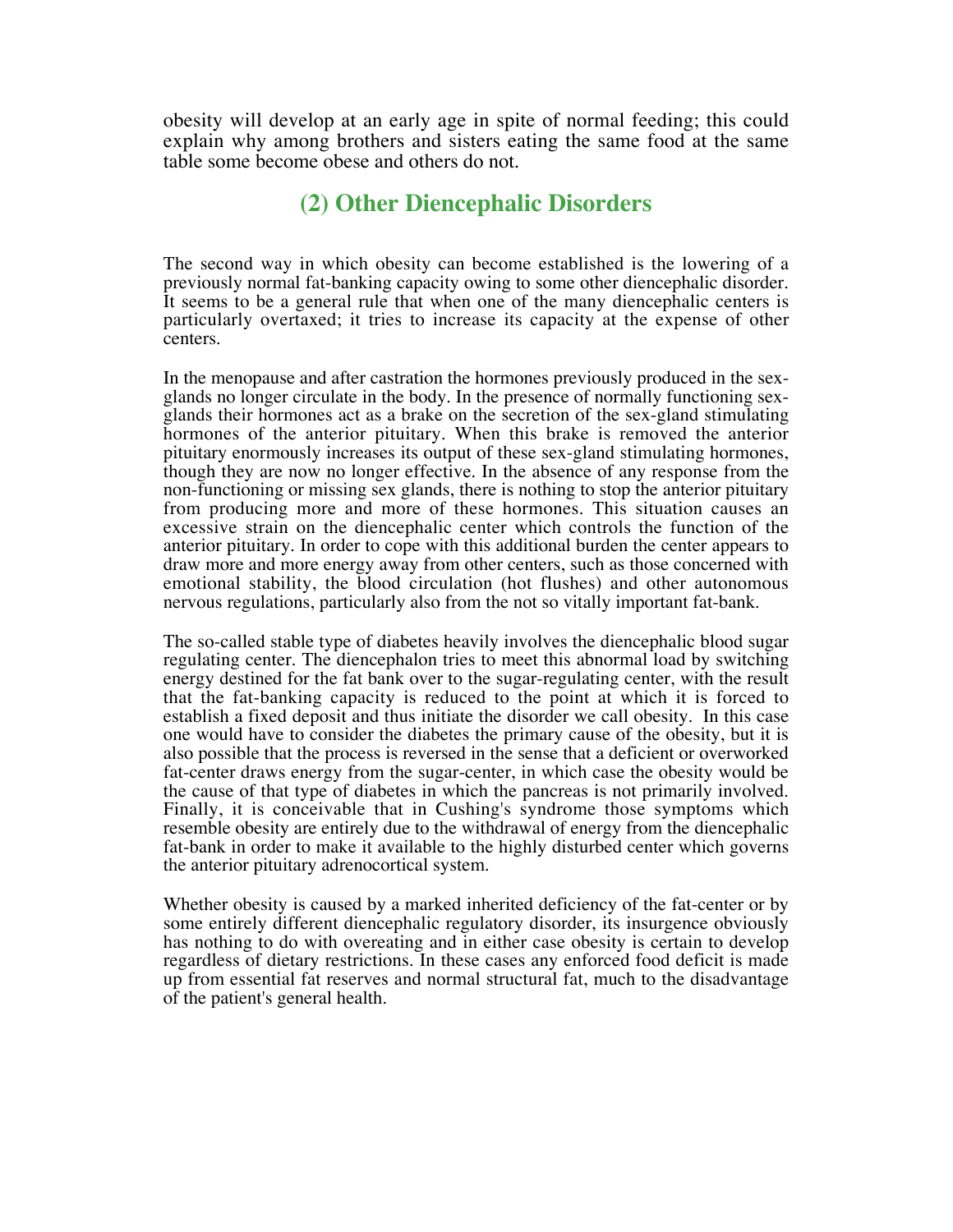obesity will develop at an early age in spite of normal feeding; this could explain why among brothers and sisters eating the same food at the same table some become obese and others do not.

#### **(2) Other Diencephalic Disorders**

The second way in which obesity can become established is the lowering of a previously normal fat-banking capacity owing to some other diencephalic disorder. It seems to be a general rule that when one of the many diencephalic centers is particularly overtaxed; it tries to increase its capacity at the expense of other centers.

In the menopause and after castration the hormones previously produced in the sexglands no longer circulate in the body. In the presence of normally functioning sexglands their hormones act as a brake on the secretion of the sex-gland stimulating hormones of the anterior pituitary. When this brake is removed the anterior pituitary enormously increases its output of these sex-gland stimulating hormones, though they are now no longer effective. In the absence of any response from the non-functioning or missing sex glands, there is nothing to stop the anterior pituitary from producing more and more of these hormones. This situation causes an excessive strain on the diencephalic center which controls the function of the anterior pituitary. In order to cope with this additional burden the center appears to draw more and more energy away from other centers, such as those concerned with emotional stability, the blood circulation (hot flushes) and other autonomous nervous regulations, particularly also from the not so vitally important fat-bank.

The so-called stable type of diabetes heavily involves the diencephalic blood sugar regulating center. The diencephalon tries to meet this abnormal load by switching energy destined for the fat bank over to the sugar-regulating center, with the result that the fat-banking capacity is reduced to the point at which it is forced to establish a fixed deposit and thus initiate the disorder we call obesity. In this case one would have to consider the diabetes the primary cause of the obesity, but it is also possible that the process is reversed in the sense that a deficient or overworked fat-center draws energy from the sugar-center, in which case the obesity would be the cause of that type of diabetes in which the pancreas is not primarily involved. Finally, it is conceivable that in Cushing's syndrome those symptoms which resemble obesity are entirely due to the withdrawal of energy from the diencephalic fat-bank in order to make it available to the highly disturbed center which governs the anterior pituitary adrenocortical system.

Whether obesity is caused by a marked inherited deficiency of the fat-center or by some entirely different diencephalic regulatory disorder, its insurgence obviously has nothing to do with overeating and in either case obesity is certain to develop regardless of dietary restrictions. In these cases any enforced food deficit is made up from essential fat reserves and normal structural fat, much to the disadvantage of the patient's general health.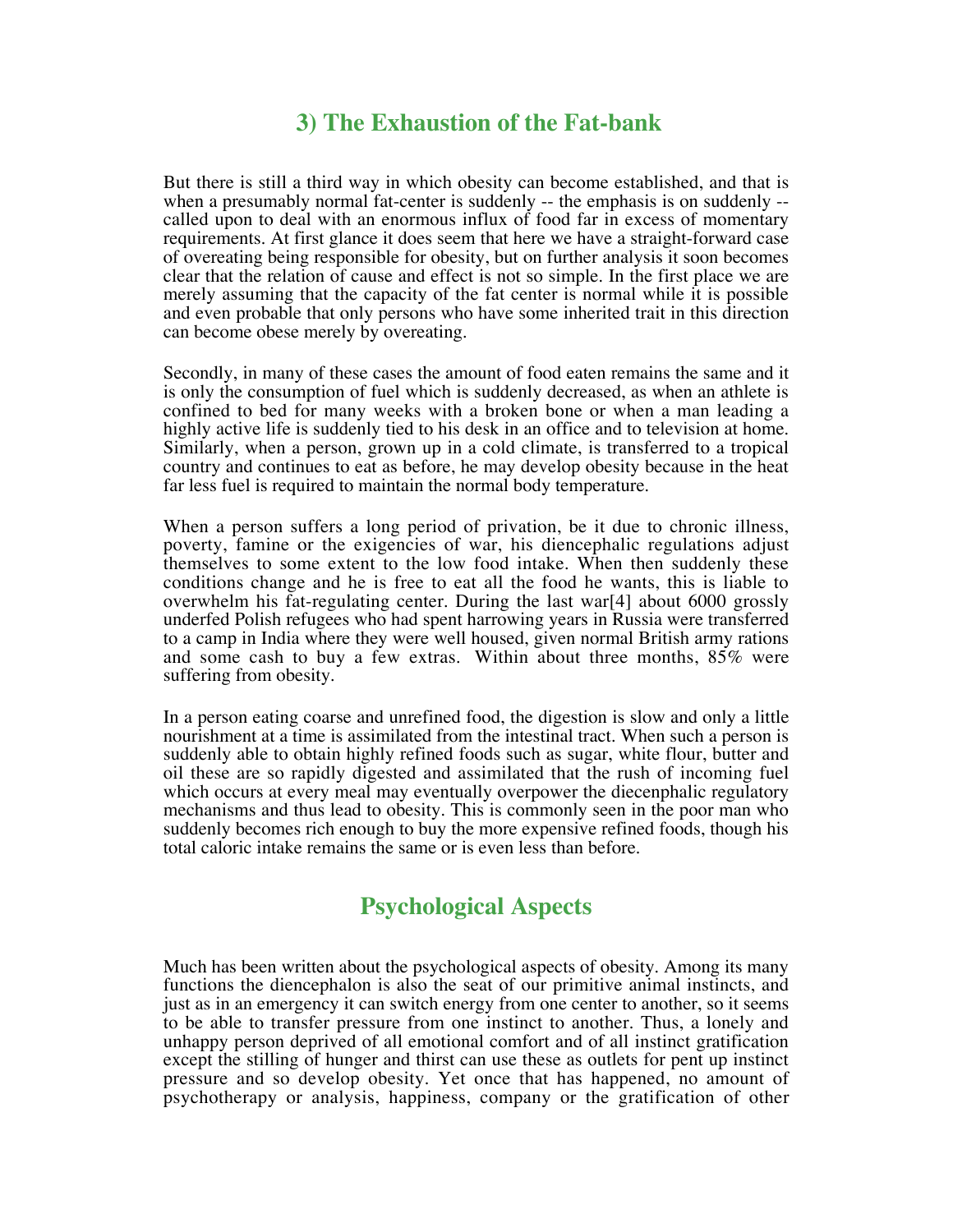#### **3) The Exhaustion of the Fat-bank**

But there is still a third way in which obesity can become established, and that is when a presumably normal fat-center is suddenly -- the emphasis is on suddenly -- called upon to deal with an enormous influx of food far in excess of momentary requirements. At first glance it does seem that here we have a straight-forward case of overeating being responsible for obesity, but on further analysis it soon becomes clear that the relation of cause and effect is not so simple. In the first place we are merely assuming that the capacity of the fat center is normal while it is possible and even probable that only persons who have some inherited trait in this direction can become obese merely by overeating.

Secondly, in many of these cases the amount of food eaten remains the same and it is only the consumption of fuel which is suddenly decreased, as when an athlete is confined to bed for many weeks with a broken bone or when a man leading a highly active life is suddenly tied to his desk in an office and to television at home. Similarly, when a person, grown up in a cold climate, is transferred to a tropical country and continues to eat as before, he may develop obesity because in the heat far less fuel is required to maintain the normal body temperature.

When a person suffers a long period of privation, be it due to chronic illness, poverty, famine or the exigencies of war, his diencephalic regulations adjust themselves to some extent to the low food intake. When then suddenly these conditions change and he is free to eat all the food he wants, this is liable to overwhelm his fat-regulating center. During the last war[4] about 6000 grossly underfed Polish refugees who had spent harrowing years in Russia were transferred to a camp in India where they were well housed, given normal British army rations and some cash to buy a few extras. Within about three months, 85% were suffering from obesity.

In a person eating coarse and unrefined food, the digestion is slow and only a little nourishment at a time is assimilated from the intestinal tract. When such a person is suddenly able to obtain highly refined foods such as sugar, white flour, butter and oil these are so rapidly digested and assimilated that the rush of incoming fuel which occurs at every meal may eventually overpower the diecenphalic regulatory mechanisms and thus lead to obesity. This is commonly seen in the poor man who suddenly becomes rich enough to buy the more expensive refined foods, though his total caloric intake remains the same or is even less than before.

#### **Psychological Aspects**

Much has been written about the psychological aspects of obesity. Among its many functions the diencephalon is also the seat of our primitive animal instincts, and just as in an emergency it can switch energy from one center to another, so it seems to be able to transfer pressure from one instinct to another. Thus, a lonely and unhappy person deprived of all emotional comfort and of all instinct gratification except the stilling of hunger and thirst can use these as outlets for pent up instinct pressure and so develop obesity. Yet once that has happened, no amount of psychotherapy or analysis, happiness, company or the gratification of other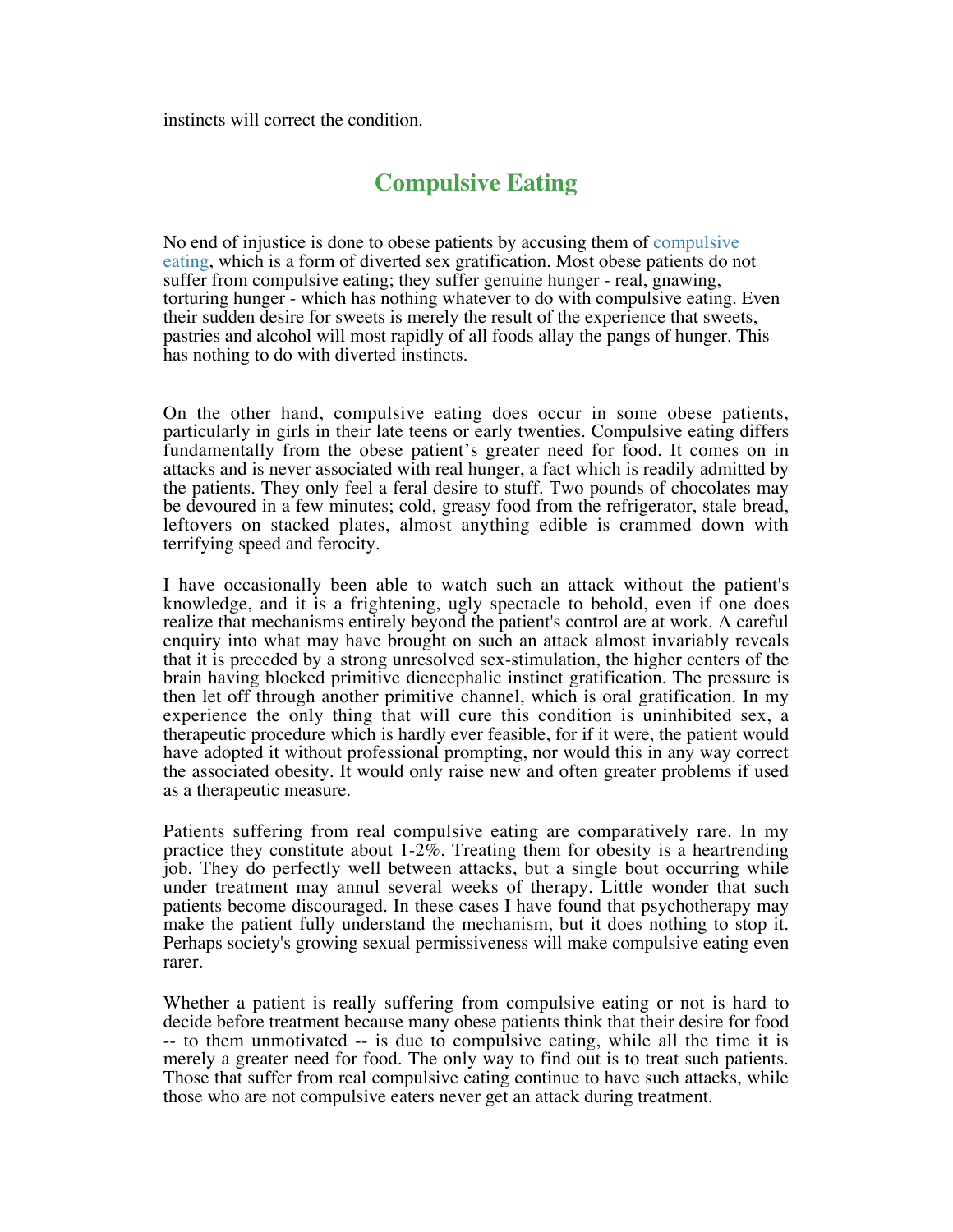instincts will correct the condition.

#### **Compulsive Eating**

No end of injustice is done to obese patients by accusing them of compulsive eating, which is a form of diverted sex gratification. Most obese patients do not suffer from compulsive eating; they suffer genuine hunger - real, gnawing, torturing hunger - which has nothing whatever to do with compulsive eating. Even their sudden desire for sweets is merely the result of the experience that sweets, pastries and alcohol will most rapidly of all foods allay the pangs of hunger. This has nothing to do with diverted instincts.

On the other hand, compulsive eating does occur in some obese patients, particularly in girls in their late teens or early twenties. Compulsive eating differs fundamentally from the obese patient's greater need for food. It comes on in attacks and is never associated with real hunger, a fact which is readily admitted by the patients. They only feel a feral desire to stuff. Two pounds of chocolates may be devoured in a few minutes; cold, greasy food from the refrigerator, stale bread, leftovers on stacked plates, almost anything edible is crammed down with terrifying speed and ferocity.

I have occasionally been able to watch such an attack without the patient's knowledge, and it is a frightening, ugly spectacle to behold, even if one does realize that mechanisms entirely beyond the patient's control are at work. A careful enquiry into what may have brought on such an attack almost invariably reveals that it is preceded by a strong unresolved sex-stimulation, the higher centers of the brain having blocked primitive diencephalic instinct gratification. The pressure is then let off through another primitive channel, which is oral gratification. In my experience the only thing that will cure this condition is uninhibited sex, a therapeutic procedure which is hardly ever feasible, for if it were, the patient would have adopted it without professional prompting, nor would this in any way correct the associated obesity. It would only raise new and often greater problems if used as a therapeutic measure.

Patients suffering from real compulsive eating are comparatively rare. In my practice they constitute about 1-2%. Treating them for obesity is a heartrending job. They do perfectly well between attacks, but a single bout occurring while under treatment may annul several weeks of therapy. Little wonder that such patients become discouraged. In these cases I have found that psychotherapy may make the patient fully understand the mechanism, but it does nothing to stop it. Perhaps society's growing sexual permissiveness will make compulsive eating even rarer.

Whether a patient is really suffering from compulsive eating or not is hard to decide before treatment because many obese patients think that their desire for food -- to them unmotivated -- is due to compulsive eating, while all the time it is merely a greater need for food. The only way to find out is to treat such patients. Those that suffer from real compulsive eating continue to have such attacks, while those who are not compulsive eaters never get an attack during treatment.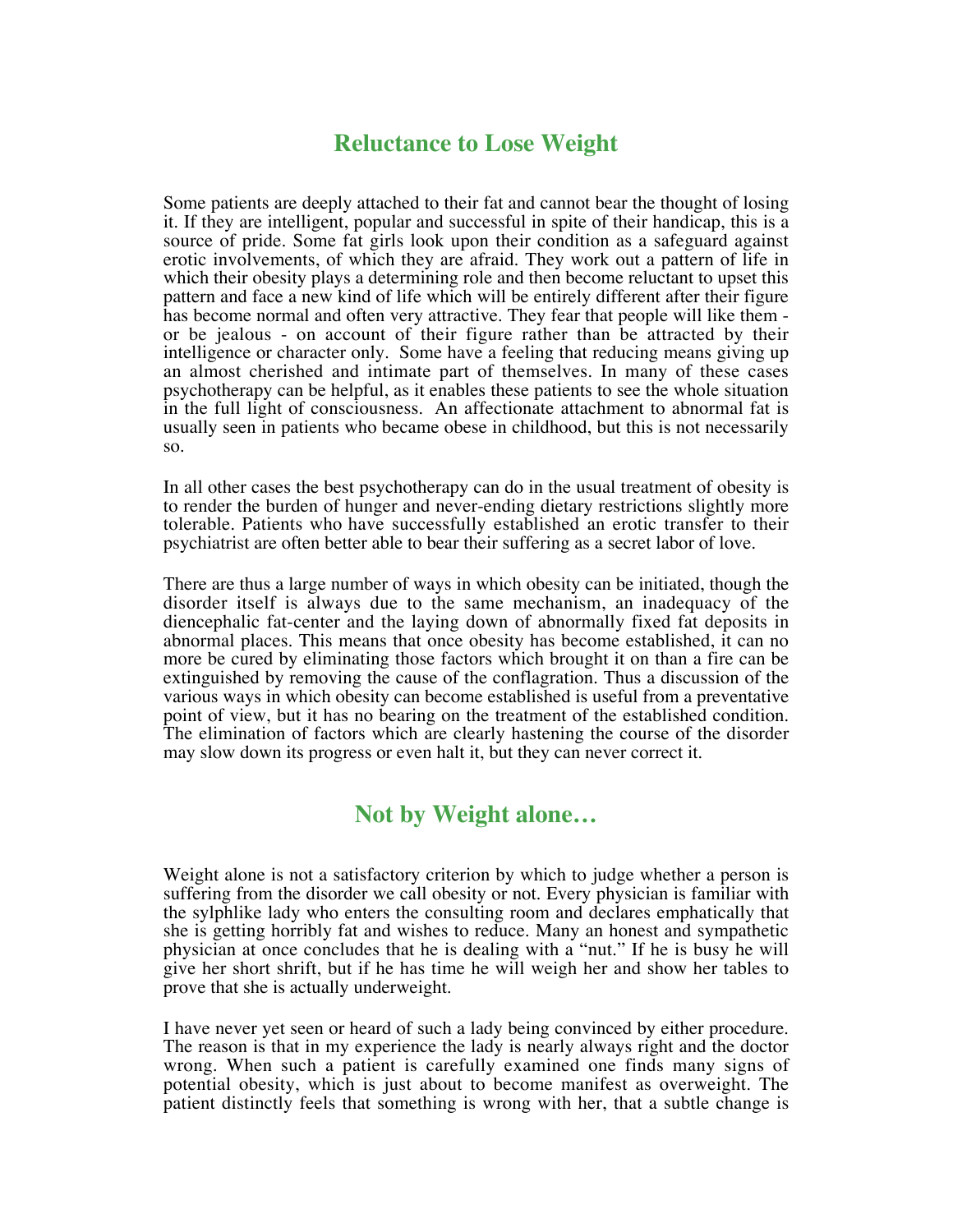#### **Reluctance to Lose Weight**

Some patients are deeply attached to their fat and cannot bear the thought of losing it. If they are intelligent, popular and successful in spite of their handicap, this is a source of pride. Some fat girls look upon their condition as a safeguard against erotic involvements, of which they are afraid. They work out a pattern of life in which their obesity plays a determining role and then become reluctant to upset this pattern and face a new kind of life which will be entirely different after their figure has become normal and often very attractive. They fear that people will like them or be jealous - on account of their figure rather than be attracted by their intelligence or character only. Some have a feeling that reducing means giving up an almost cherished and intimate part of themselves. In many of these cases psychotherapy can be helpful, as it enables these patients to see the whole situation in the full light of consciousness. An affectionate attachment to abnormal fat is usually seen in patients who became obese in childhood, but this is not necessarily so.

In all other cases the best psychotherapy can do in the usual treatment of obesity is to render the burden of hunger and never-ending dietary restrictions slightly more tolerable. Patients who have successfully established an erotic transfer to their psychiatrist are often better able to bear their suffering as a secret labor of love.

There are thus a large number of ways in which obesity can be initiated, though the disorder itself is always due to the same mechanism, an inadequacy of the diencephalic fat-center and the laying down of abnormally fixed fat deposits in abnormal places. This means that once obesity has become established, it can no more be cured by eliminating those factors which brought it on than a fire can be extinguished by removing the cause of the conflagration. Thus a discussion of the various ways in which obesity can become established is useful from a preventative point of view, but it has no bearing on the treatment of the established condition. The elimination of factors which are clearly hastening the course of the disorder may slow down its progress or even halt it, but they can never correct it.

#### **Not by Weight alone…**

Weight alone is not a satisfactory criterion by which to judge whether a person is suffering from the disorder we call obesity or not. Every physician is familiar with the sylphlike lady who enters the consulting room and declares emphatically that she is getting horribly fat and wishes to reduce. Many an honest and sympathetic physician at once concludes that he is dealing with a "nut." If he is busy he will give her short shrift, but if he has time he will weigh her and show her tables to prove that she is actually underweight.

I have never yet seen or heard of such a lady being convinced by either procedure. The reason is that in my experience the lady is nearly always right and the doctor wrong. When such a patient is carefully examined one finds many signs of potential obesity, which is just about to become manifest as overweight. The patient distinctly feels that something is wrong with her, that a subtle change is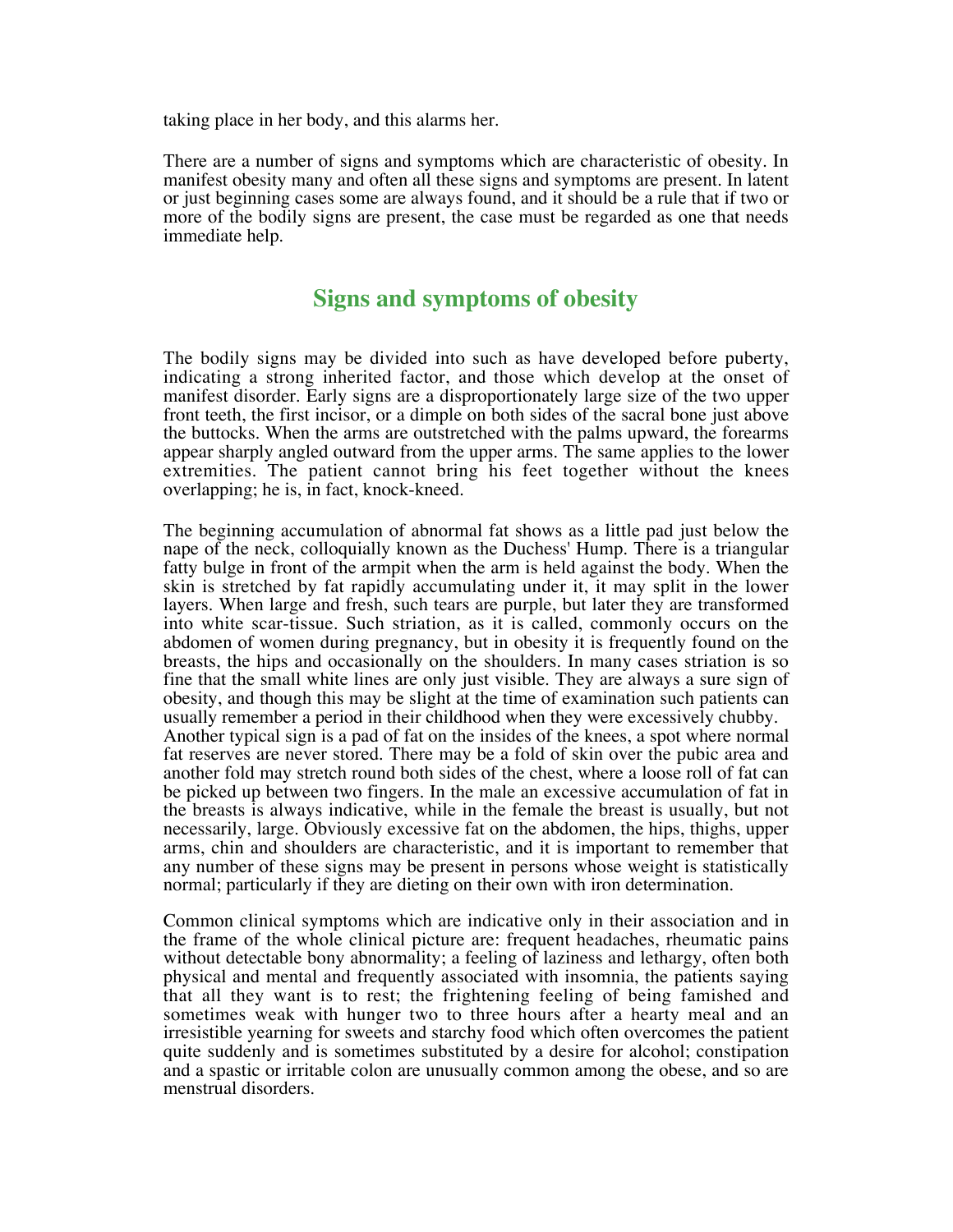taking place in her body, and this alarms her.

There are a number of signs and symptoms which are characteristic of obesity. In manifest obesity many and often all these signs and symptoms are present. In latent or just beginning cases some are always found, and it should be a rule that if two or more of the bodily signs are present, the case must be regarded as one that needs immediate help.

#### **Signs and symptoms of obesity**

The bodily signs may be divided into such as have developed before puberty, indicating a strong inherited factor, and those which develop at the onset of manifest disorder. Early signs are a disproportionately large size of the two upper front teeth, the first incisor, or a dimple on both sides of the sacral bone just above the buttocks. When the arms are outstretched with the palms upward, the forearms appear sharply angled outward from the upper arms. The same applies to the lower extremities. The patient cannot bring his feet together without the knees overlapping; he is, in fact, knock-kneed.

The beginning accumulation of abnormal fat shows as a little pad just below the nape of the neck, colloquially known as the Duchess' Hump. There is a triangular fatty bulge in front of the armpit when the arm is held against the body. When the skin is stretched by fat rapidly accumulating under it, it may split in the lower layers. When large and fresh, such tears are purple, but later they are transformed into white scar-tissue. Such striation, as it is called, commonly occurs on the abdomen of women during pregnancy, but in obesity it is frequently found on the breasts, the hips and occasionally on the shoulders. In many cases striation is so fine that the small white lines are only just visible. They are always a sure sign of obesity, and though this may be slight at the time of examination such patients can usually remember a period in their childhood when they were excessively chubby. Another typical sign is a pad of fat on the insides of the knees, a spot where normal fat reserves are never stored. There may be a fold of skin over the pubic area and another fold may stretch round both sides of the chest, where a loose roll of fat can be picked up between two fingers. In the male an excessive accumulation of fat in the breasts is always indicative, while in the female the breast is usually, but not necessarily, large. Obviously excessive fat on the abdomen, the hips, thighs, upper arms, chin and shoulders are characteristic, and it is important to remember that any number of these signs may be present in persons whose weight is statistically normal; particularly if they are dieting on their own with iron determination.

Common clinical symptoms which are indicative only in their association and in the frame of the whole clinical picture are: frequent headaches, rheumatic pains without detectable bony abnormality; a feeling of laziness and lethargy, often both physical and mental and frequently associated with insomnia, the patients saying that all they want is to rest; the frightening feeling of being famished and sometimes weak with hunger two to three hours after a hearty meal and an irresistible yearning for sweets and starchy food which often overcomes the patient quite suddenly and is sometimes substituted by a desire for alcohol; constipation and a spastic or irritable colon are unusually common among the obese, and so are menstrual disorders.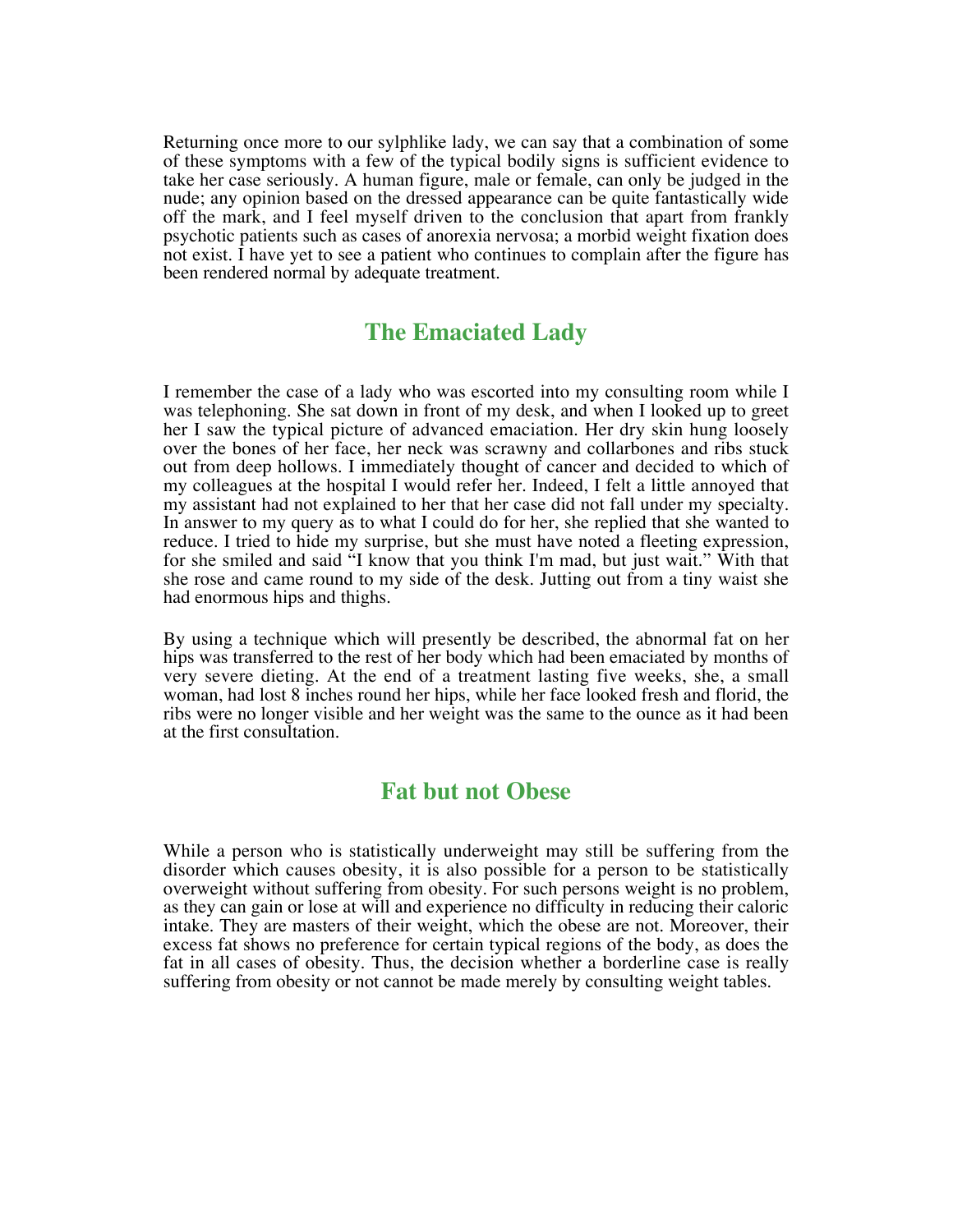Returning once more to our sylphlike lady, we can say that a combination of some of these symptoms with a few of the typical bodily signs is sufficient evidence to take her case seriously. A human figure, male or female, can only be judged in the nude; any opinion based on the dressed appearance can be quite fantastically wide off the mark, and I feel myself driven to the conclusion that apart from frankly psychotic patients such as cases of anorexia nervosa; a morbid weight fixation does not exist. I have yet to see a patient who continues to complain after the figure has been rendered normal by adequate treatment.

#### **The Emaciated Lady**

I remember the case of a lady who was escorted into my consulting room while I was telephoning. She sat down in front of my desk, and when I looked up to greet her I saw the typical picture of advanced emaciation. Her dry skin hung loosely over the bones of her face, her neck was scrawny and collarbones and ribs stuck out from deep hollows. I immediately thought of cancer and decided to which of my colleagues at the hospital I would refer her. Indeed, I felt a little annoyed that my assistant had not explained to her that her case did not fall under my specialty. In answer to my query as to what I could do for her, she replied that she wanted to reduce. I tried to hide my surprise, but she must have noted a fleeting expression, for she smiled and said "I know that you think I'm mad, but just wait." With that she rose and came round to my side of the desk. Jutting out from a tiny waist she had enormous hips and thighs.

By using a technique which will presently be described, the abnormal fat on her hips was transferred to the rest of her body which had been emaciated by months of very severe dieting. At the end of a treatment lasting five weeks, she, a small woman, had lost 8 inches round her hips, while her face looked fresh and florid, the ribs were no longer visible and her weight was the same to the ounce as it had been at the first consultation.

#### **Fat but not Obese**

While a person who is statistically underweight may still be suffering from the disorder which causes obesity, it is also possible for a person to be statistically overweight without suffering from obesity. For such persons weight is no problem, as they can gain or lose at will and experience no difficulty in reducing their caloric intake. They are masters of their weight, which the obese are not. Moreover, their excess fat shows no preference for certain typical regions of the body, as does the fat in all cases of obesity. Thus, the decision whether a borderline case is really suffering from obesity or not cannot be made merely by consulting weight tables.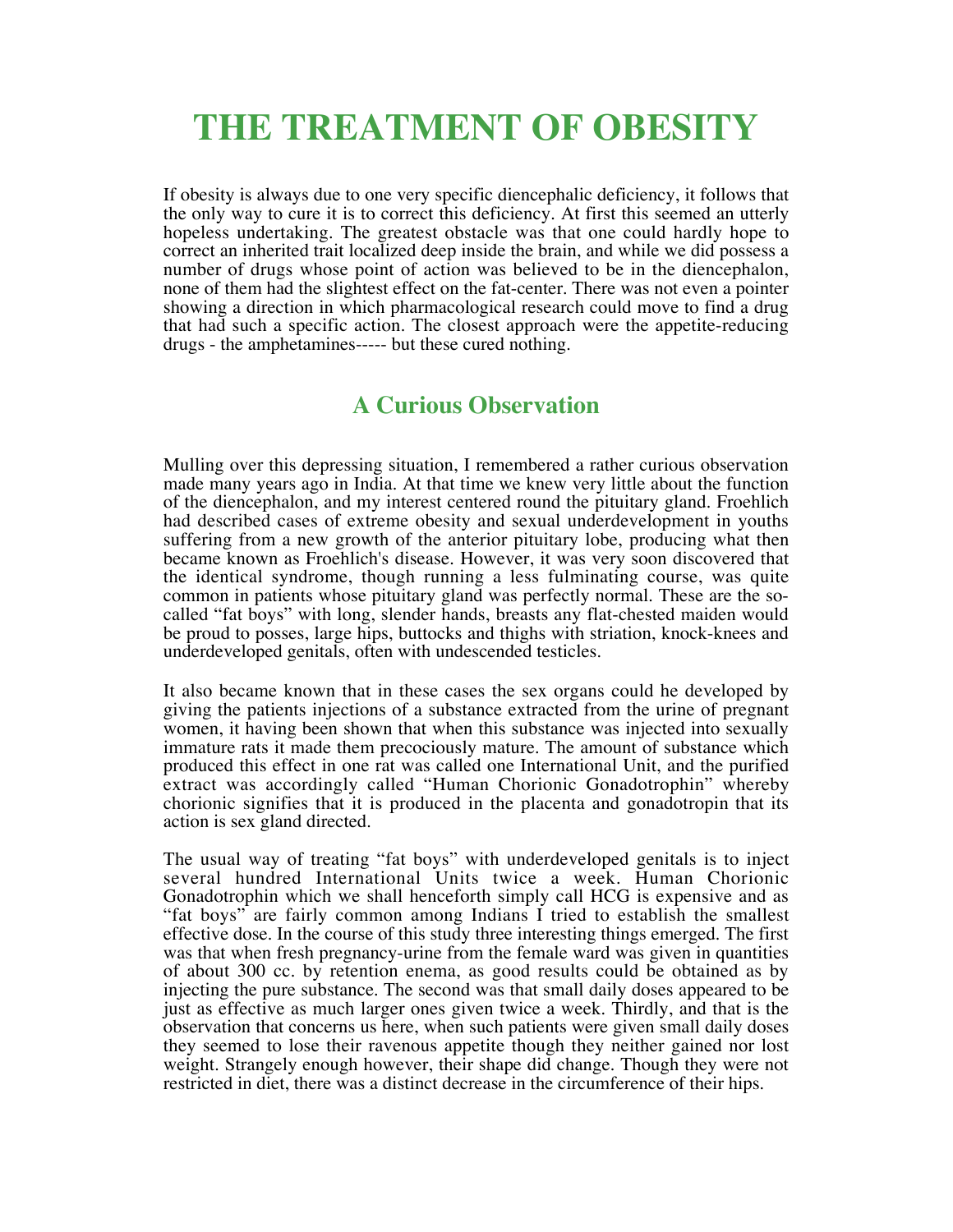# **THE TREATMENT OF OBESITY**

If obesity is always due to one very specific diencephalic deficiency, it follows that the only way to cure it is to correct this deficiency. At first this seemed an utterly hopeless undertaking. The greatest obstacle was that one could hardly hope to correct an inherited trait localized deep inside the brain, and while we did possess a number of drugs whose point of action was believed to be in the diencephalon, none of them had the slightest effect on the fat-center. There was not even a pointer showing a direction in which pharmacological research could move to find a drug that had such a specific action. The closest approach were the appetite-reducing drugs - the amphetamines----- but these cured nothing.

#### **A Curious Observation**

Mulling over this depressing situation, I remembered a rather curious observation made many years ago in India. At that time we knew very little about the function of the diencephalon, and my interest centered round the pituitary gland. Froehlich had described cases of extreme obesity and sexual underdevelopment in youths suffering from a new growth of the anterior pituitary lobe, producing what then became known as Froehlich's disease. However, it was very soon discovered that the identical syndrome, though running a less fulminating course, was quite common in patients whose pituitary gland was perfectly normal. These are the socalled "fat boys" with long, slender hands, breasts any flat-chested maiden would be proud to posses, large hips, buttocks and thighs with striation, knock-knees and underdeveloped genitals, often with undescended testicles.

It also became known that in these cases the sex organs could he developed by giving the patients injections of a substance extracted from the urine of pregnant women, it having been shown that when this substance was injected into sexually immature rats it made them precociously mature. The amount of substance which produced this effect in one rat was called one International Unit, and the purified extract was accordingly called "Human Chorionic Gonadotrophin" whereby chorionic signifies that it is produced in the placenta and gonadotropin that its action is sex gland directed.

The usual way of treating "fat boys" with underdeveloped genitals is to inject several hundred International Units twice a week. Human Chorionic Gonadotrophin which we shall henceforth simply call HCG is expensive and as "fat boys" are fairly common among Indians I tried to establish the smallest effective dose. In the course of this study three interesting things emerged. The first was that when fresh pregnancy-urine from the female ward was given in quantities of about 300 cc. by retention enema, as good results could be obtained as by injecting the pure substance. The second was that small daily doses appeared to be just as effective as much larger ones given twice a week. Thirdly, and that is the observation that concerns us here, when such patients were given small daily doses they seemed to lose their ravenous appetite though they neither gained nor lost weight. Strangely enough however, their shape did change. Though they were not restricted in diet, there was a distinct decrease in the circumference of their hips.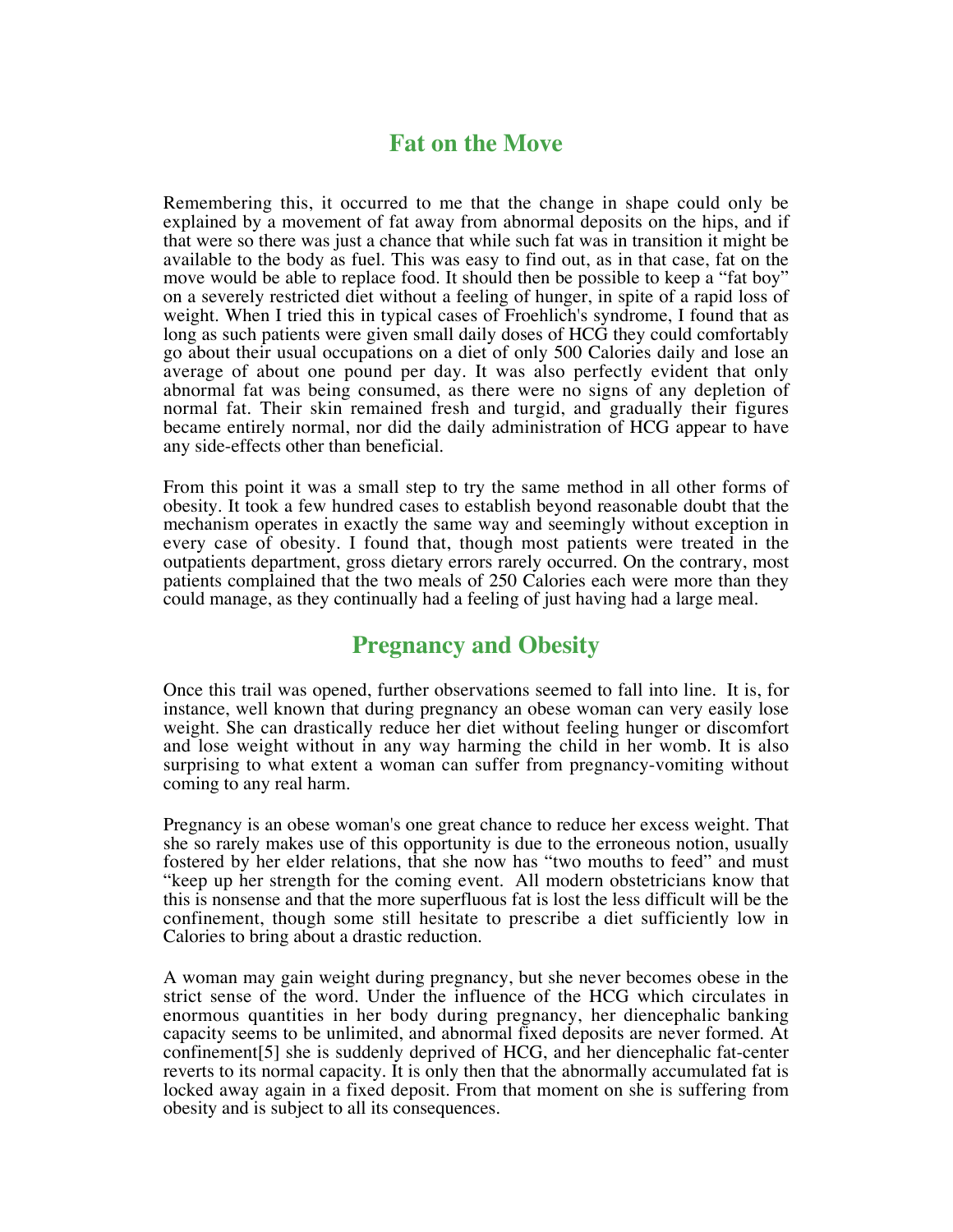#### **Fat on the Move**

Remembering this, it occurred to me that the change in shape could only be explained by a movement of fat away from abnormal deposits on the hips, and if that were so there was just a chance that while such fat was in transition it might be available to the body as fuel. This was easy to find out, as in that case, fat on the move would be able to replace food. It should then be possible to keep a "fat boy" on a severely restricted diet without a feeling of hunger, in spite of a rapid loss of weight. When I tried this in typical cases of Froehlich's syndrome, I found that as long as such patients were given small daily doses of HCG they could comfortably go about their usual occupations on a diet of only 500 Calories daily and lose an average of about one pound per day. It was also perfectly evident that only abnormal fat was being consumed, as there were no signs of any depletion of normal fat. Their skin remained fresh and turgid, and gradually their figures became entirely normal, nor did the daily administration of HCG appear to have any side-effects other than beneficial.

From this point it was a small step to try the same method in all other forms of obesity. It took a few hundred cases to establish beyond reasonable doubt that the mechanism operates in exactly the same way and seemingly without exception in every case of obesity. I found that, though most patients were treated in the outpatients department, gross dietary errors rarely occurred. On the contrary, most patients complained that the two meals of 250 Calories each were more than they could manage, as they continually had a feeling of just having had a large meal.

#### **Pregnancy and Obesity**

Once this trail was opened, further observations seemed to fall into line. It is, for instance, well known that during pregnancy an obese woman can very easily lose weight. She can drastically reduce her diet without feeling hunger or discomfort and lose weight without in any way harming the child in her womb. It is also surprising to what extent a woman can suffer from pregnancy-vomiting without coming to any real harm.

Pregnancy is an obese woman's one great chance to reduce her excess weight. That she so rarely makes use of this opportunity is due to the erroneous notion, usually fostered by her elder relations, that she now has "two mouths to feed" and must "keep up her strength for the coming event. All modern obstetricians know that this is nonsense and that the more superfluous fat is lost the less difficult will be the confinement, though some still hesitate to prescribe a diet sufficiently low in Calories to bring about a drastic reduction.

A woman may gain weight during pregnancy, but she never becomes obese in the strict sense of the word. Under the influence of the HCG which circulates in enormous quantities in her body during pregnancy, her diencephalic banking capacity seems to be unlimited, and abnormal fixed deposits are never formed. At confinement[5] she is suddenly deprived of HCG, and her diencephalic fat-center reverts to its normal capacity. It is only then that the abnormally accumulated fat is locked away again in a fixed deposit. From that moment on she is suffering from obesity and is subject to all its consequences.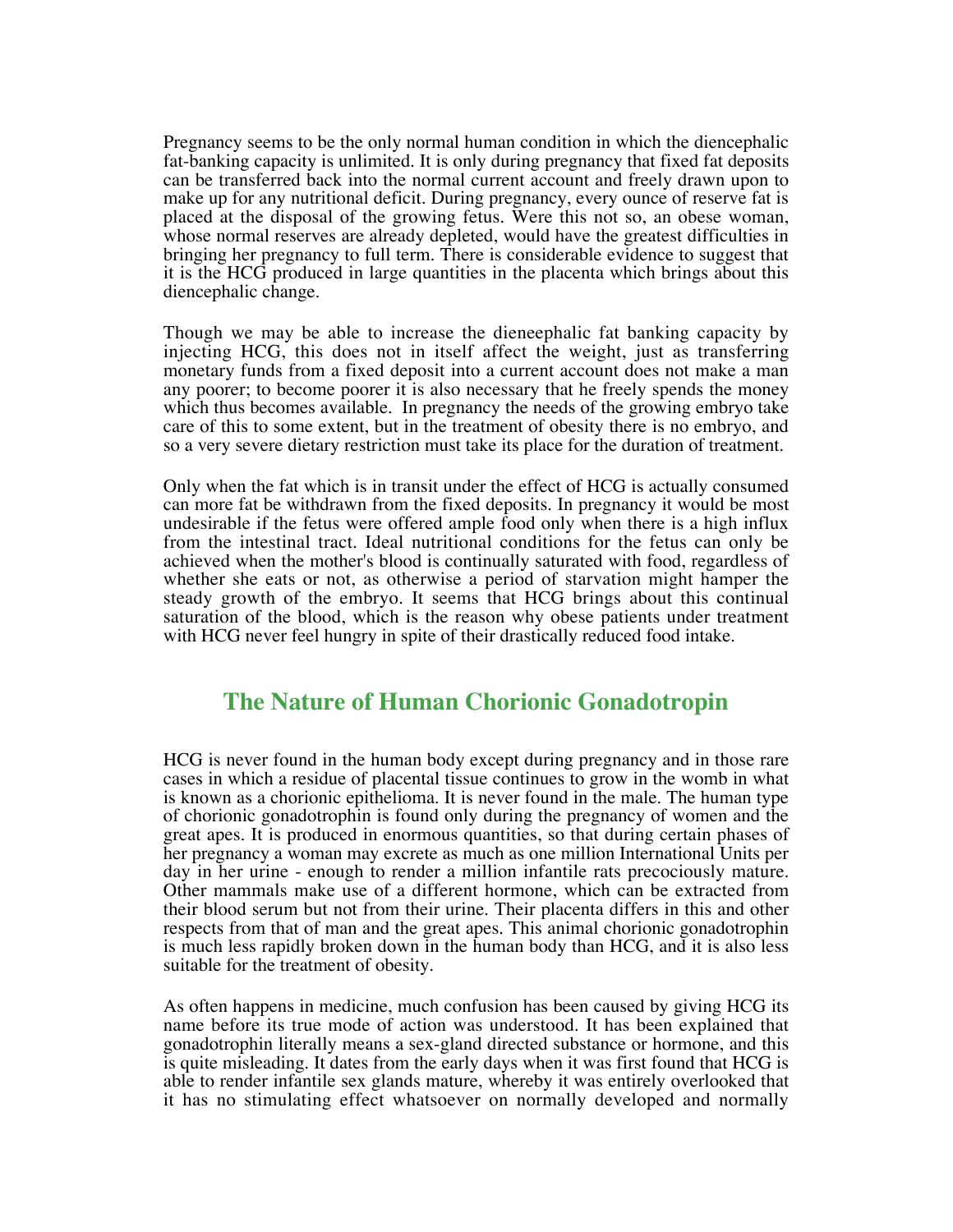Pregnancy seems to be the only normal human condition in which the diencephalic fat-banking capacity is unlimited. It is only during pregnancy that fixed fat deposits can be transferred back into the normal current account and freely drawn upon to make up for any nutritional deficit. During pregnancy, every ounce of reserve fat is placed at the disposal of the growing fetus. Were this not so, an obese woman, whose normal reserves are already depleted, would have the greatest difficulties in bringing her pregnancy to full term. There is considerable evidence to suggest that it is the HCG produced in large quantities in the placenta which brings about this diencephalic change.

Though we may be able to increase the dieneephalic fat banking capacity by injecting HCG, this does not in itself affect the weight, just as transferring monetary funds from a fixed deposit into a current account does not make a man any poorer; to become poorer it is also necessary that he freely spends the money which thus becomes available. In pregnancy the needs of the growing embryo take care of this to some extent, but in the treatment of obesity there is no embryo, and so a very severe dietary restriction must take its place for the duration of treatment.

Only when the fat which is in transit under the effect of HCG is actually consumed can more fat be withdrawn from the fixed deposits. In pregnancy it would be most undesirable if the fetus were offered ample food only when there is a high influx from the intestinal tract. Ideal nutritional conditions for the fetus can only be achieved when the mother's blood is continually saturated with food, regardless of whether she eats or not, as otherwise a period of starvation might hamper the steady growth of the embryo. It seems that HCG brings about this continual saturation of the blood, which is the reason why obese patients under treatment with HCG never feel hungry in spite of their drastically reduced food intake.

#### **The Nature of Human Chorionic Gonadotropin**

HCG is never found in the human body except during pregnancy and in those rare cases in which a residue of placental tissue continues to grow in the womb in what is known as a chorionic epithelioma. It is never found in the male. The human type of chorionic gonadotrophin is found only during the pregnancy of women and the great apes. It is produced in enormous quantities, so that during certain phases of her pregnancy a woman may excrete as much as one million International Units per day in her urine - enough to render a million infantile rats precociously mature. Other mammals make use of a different hormone, which can be extracted from their blood serum but not from their urine. Their placenta differs in this and other respects from that of man and the great apes. This animal chorionic gonadotrophin is much less rapidly broken down in the human body than HCG, and it is also less suitable for the treatment of obesity.

As often happens in medicine, much confusion has been caused by giving HCG its name before its true mode of action was understood. It has been explained that gonadotrophin literally means a sex-gland directed substance or hormone, and this is quite misleading. It dates from the early days when it was first found that HCG is able to render infantile sex glands mature, whereby it was entirely overlooked that it has no stimulating effect whatsoever on normally developed and normally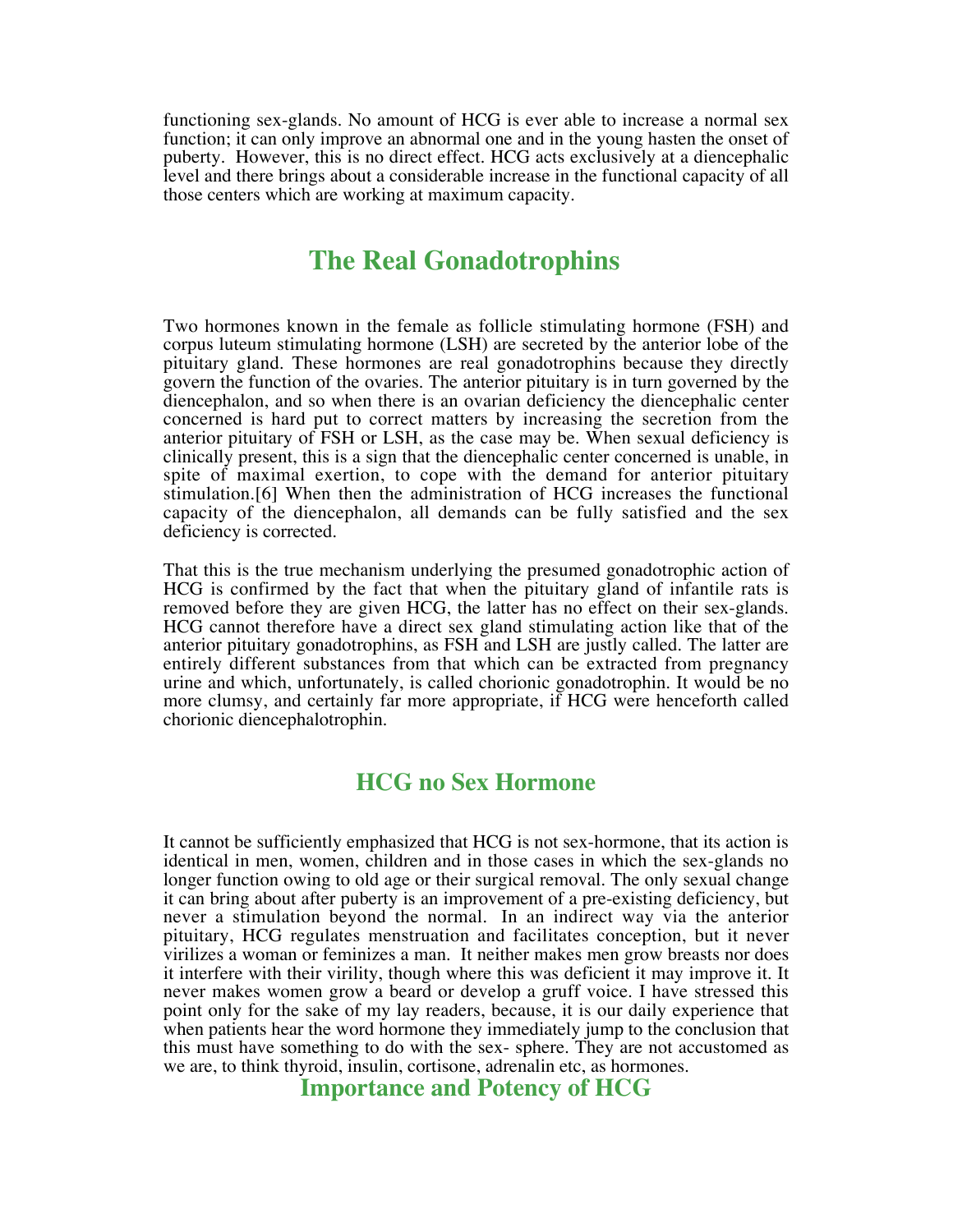functioning sex-glands. No amount of HCG is ever able to increase a normal sex function; it can only improve an abnormal one and in the young hasten the onset of puberty. However, this is no direct effect. HCG acts exclusively at a diencephalic level and there brings about a considerable increase in the functional capacity of all those centers which are working at maximum capacity.

#### **The Real Gonadotrophins**

Two hormones known in the female as follicle stimulating hormone (FSH) and corpus luteum stimulating hormone (LSH) are secreted by the anterior lobe of the pituitary gland. These hormones are real gonadotrophins because they directly govern the function of the ovaries. The anterior pituitary is in turn governed by the diencephalon, and so when there is an ovarian deficiency the diencephalic center concerned is hard put to correct matters by increasing the secretion from the anterior pituitary of FSH or LSH, as the case may be. When sexual deficiency is clinically present, this is a sign that the diencephalic center concerned is unable, in spite of maximal exertion, to cope with the demand for anterior pituitary stimulation.[6] When then the administration of HCG increases the functional capacity of the diencephalon, all demands can be fully satisfied and the sex deficiency is corrected.

That this is the true mechanism underlying the presumed gonadotrophic action of HCG is confirmed by the fact that when the pituitary gland of infantile rats is removed before they are given HCG, the latter has no effect on their sex-glands. HCG cannot therefore have a direct sex gland stimulating action like that of the anterior pituitary gonadotrophins, as FSH and LSH are justly called. The latter are entirely different substances from that which can be extracted from pregnancy urine and which, unfortunately, is called chorionic gonadotrophin. It would be no more clumsy, and certainly far more appropriate, if HCG were henceforth called chorionic diencephalotrophin.

#### **HCG no Sex Hormone**

It cannot be sufficiently emphasized that HCG is not sex-hormone, that its action is identical in men, women, children and in those cases in which the sex-glands no longer function owing to old age or their surgical removal. The only sexual change it can bring about after puberty is an improvement of a pre-existing deficiency, but never a stimulation beyond the normal. In an indirect way via the anterior pituitary, HCG regulates menstruation and facilitates conception, but it never virilizes a woman or feminizes a man. It neither makes men grow breasts nor does it interfere with their virility, though where this was deficient it may improve it. It never makes women grow a beard or develop a gruff voice. I have stressed this point only for the sake of my lay readers, because, it is our daily experience that when patients hear the word hormone they immediately jump to the conclusion that this must have something to do with the sex- sphere. They are not accustomed as we are, to think thyroid, insulin, cortisone, adrenalin etc, as hormones.

**Importance and Potency of HCG**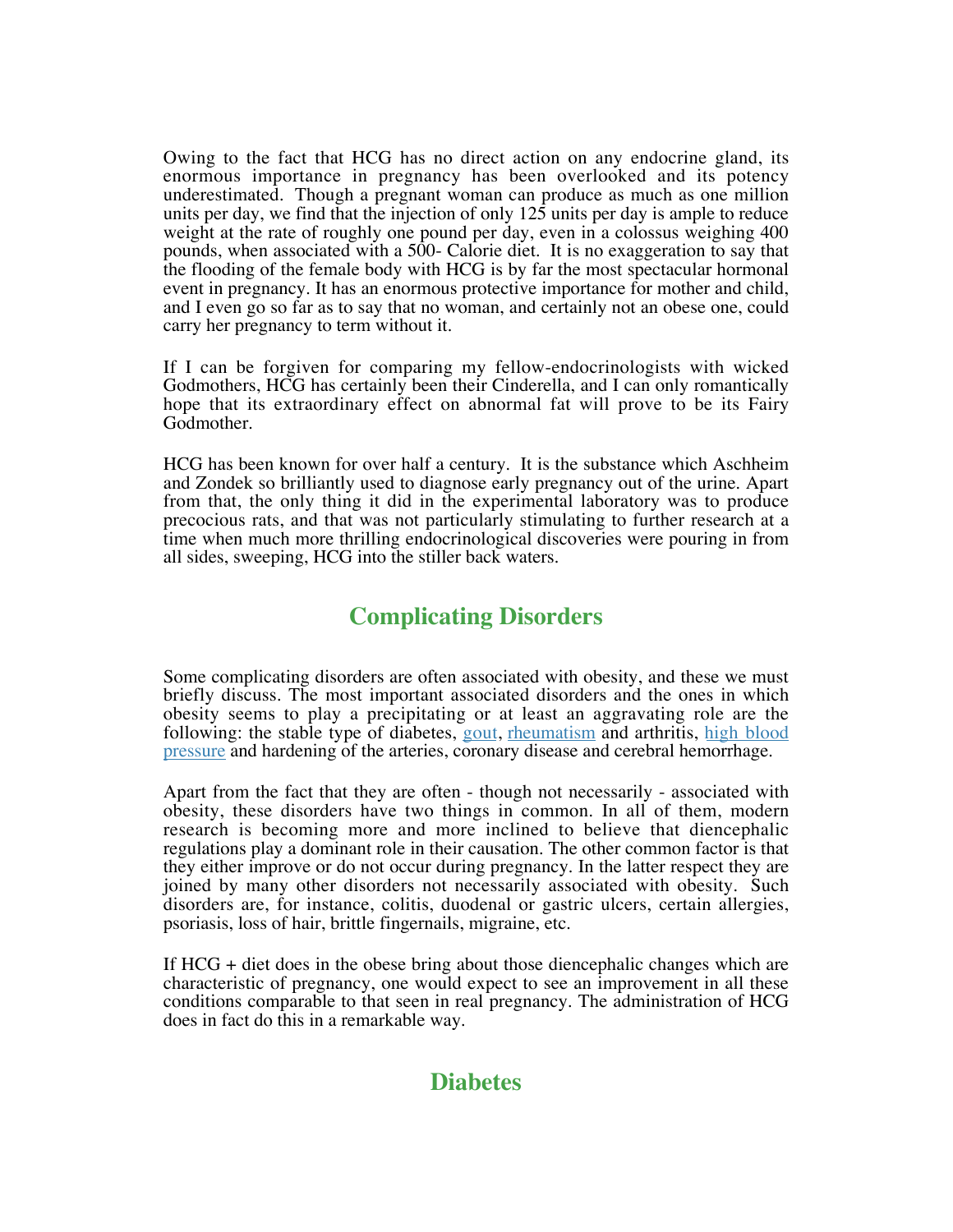Owing to the fact that HCG has no direct action on any endocrine gland, its enormous importance in pregnancy has been overlooked and its potency underestimated. Though a pregnant woman can produce as much as one million units per day, we find that the injection of only  $12\overline{5}$  units per day is ample to reduce weight at the rate of roughly one pound per day, even in a colossus weighing 400 pounds, when associated with a 500- Calorie diet. It is no exaggeration to say that the flooding of the female body with HCG is by far the most spectacular hormonal event in pregnancy. It has an enormous protective importance for mother and child, and I even go so far as to say that no woman, and certainly not an obese one, could carry her pregnancy to term without it.

If I can be forgiven for comparing my fellow-endocrinologists with wicked Godmothers, HCG has certainly been their Cinderella, and I can only romantically hope that its extraordinary effect on abnormal fat will prove to be its Fairy Godmother.

HCG has been known for over half a century. It is the substance which Aschheim and Zondek so brilliantly used to diagnose early pregnancy out of the urine. Apart from that, the only thing it did in the experimental laboratory was to produce precocious rats, and that was not particularly stimulating to further research at a time when much more thrilling endocrinological discoveries were pouring in from all sides, sweeping, HCG into the stiller back waters.

#### **Complicating Disorders**

Some complicating disorders are often associated with obesity, and these we must briefly discuss. The most important associated disorders and the ones in which obesity seems to play a precipitating or at least an aggravating role are the following: the stable type of diabetes, gout, rheumatism and arthritis, high blood pressure and hardening of the arteries, coronary disease and cerebral hemorrhage.

Apart from the fact that they are often - though not necessarily - associated with obesity, these disorders have two things in common. In all of them, modern research is becoming more and more inclined to believe that diencephalic regulations play a dominant role in their causation. The other common factor is that they either improve or do not occur during pregnancy. In the latter respect they are joined by many other disorders not necessarily associated with obesity. Such disorders are, for instance, colitis, duodenal or gastric ulcers, certain allergies, psoriasis, loss of hair, brittle fingernails, migraine, etc.

If HCG + diet does in the obese bring about those diencephalic changes which are characteristic of pregnancy, one would expect to see an improvement in all these conditions comparable to that seen in real pregnancy. The administration of HCG does in fact do this in a remarkable way.

#### **Diabetes**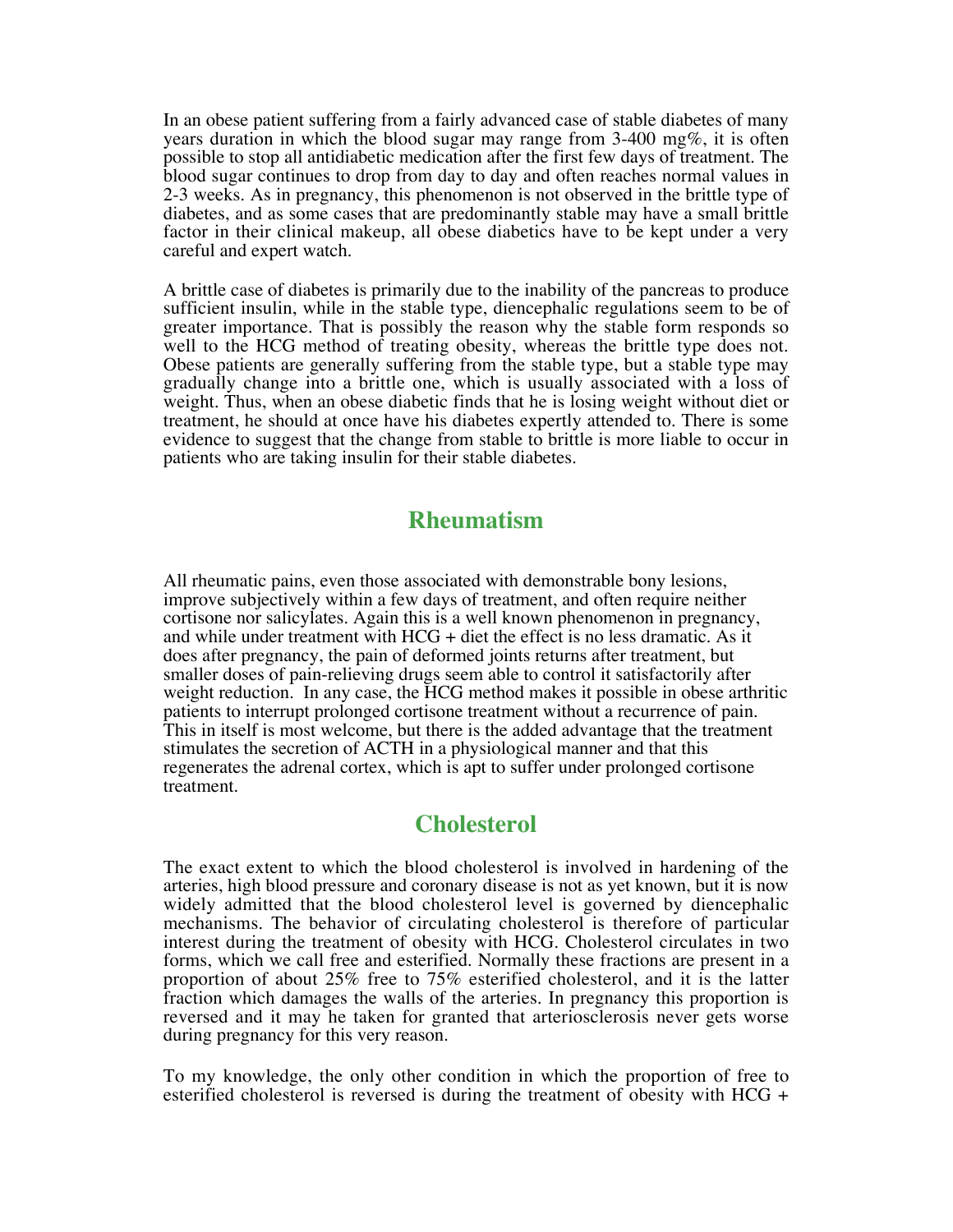In an obese patient suffering from a fairly advanced case of stable diabetes of many years duration in which the blood sugar may range from  $3-400 \text{ mg}\%$ , it is often possible to stop all antidiabetic medication after the first few days of treatment. The blood sugar continues to drop from day to day and often reaches normal values in 2-3 weeks. As in pregnancy, this phenomenon is not observed in the brittle type of diabetes, and as some cases that are predominantly stable may have a small brittle factor in their clinical makeup, all obese diabetics have to be kept under a very careful and expert watch.

A brittle case of diabetes is primarily due to the inability of the pancreas to produce sufficient insulin, while in the stable type, diencephalic regulations seem to be of greater importance. That is possibly the reason why the stable form responds so well to the HCG method of treating obesity, whereas the brittle type does not. Obese patients are generally suffering from the stable type, but a stable type may gradually change into a brittle one, which is usually associated with a loss of weight. Thus, when an obese diabetic finds that he is losing weight without diet or treatment, he should at once have his diabetes expertly attended to. There is some evidence to suggest that the change from stable to brittle is more liable to occur in patients who are taking insulin for their stable diabetes.

#### **Rheumatism**

All rheumatic pains, even those associated with demonstrable bony lesions, improve subjectively within a few days of treatment, and often require neither cortisone nor salicylates. Again this is a well known phenomenon in pregnancy, and while under treatment with HCG + diet the effect is no less dramatic. As it does after pregnancy, the pain of deformed joints returns after treatment, but smaller doses of pain-relieving drugs seem able to control it satisfactorily after weight reduction. In any case, the HCG method makes it possible in obese arthritic patients to interrupt prolonged cortisone treatment without a recurrence of pain. This in itself is most welcome, but there is the added advantage that the treatment stimulates the secretion of ACTH in a physiological manner and that this regenerates the adrenal cortex, which is apt to suffer under prolonged cortisone treatment.

#### **Cholesterol**

The exact extent to which the blood cholesterol is involved in hardening of the arteries, high blood pressure and coronary disease is not as yet known, but it is now widely admitted that the blood cholesterol level is governed by diencephalic mechanisms. The behavior of circulating cholesterol is therefore of particular interest during the treatment of obesity with HCG. Cholesterol circulates in two forms, which we call free and esterified. Normally these fractions are present in a proportion of about 25% free to 75% esterified cholesterol, and it is the latter fraction which damages the walls of the arteries. In pregnancy this proportion is reversed and it may he taken for granted that arteriosclerosis never gets worse during pregnancy for this very reason.

To my knowledge, the only other condition in which the proportion of free to esterified cholesterol is reversed is during the treatment of obesity with HCG +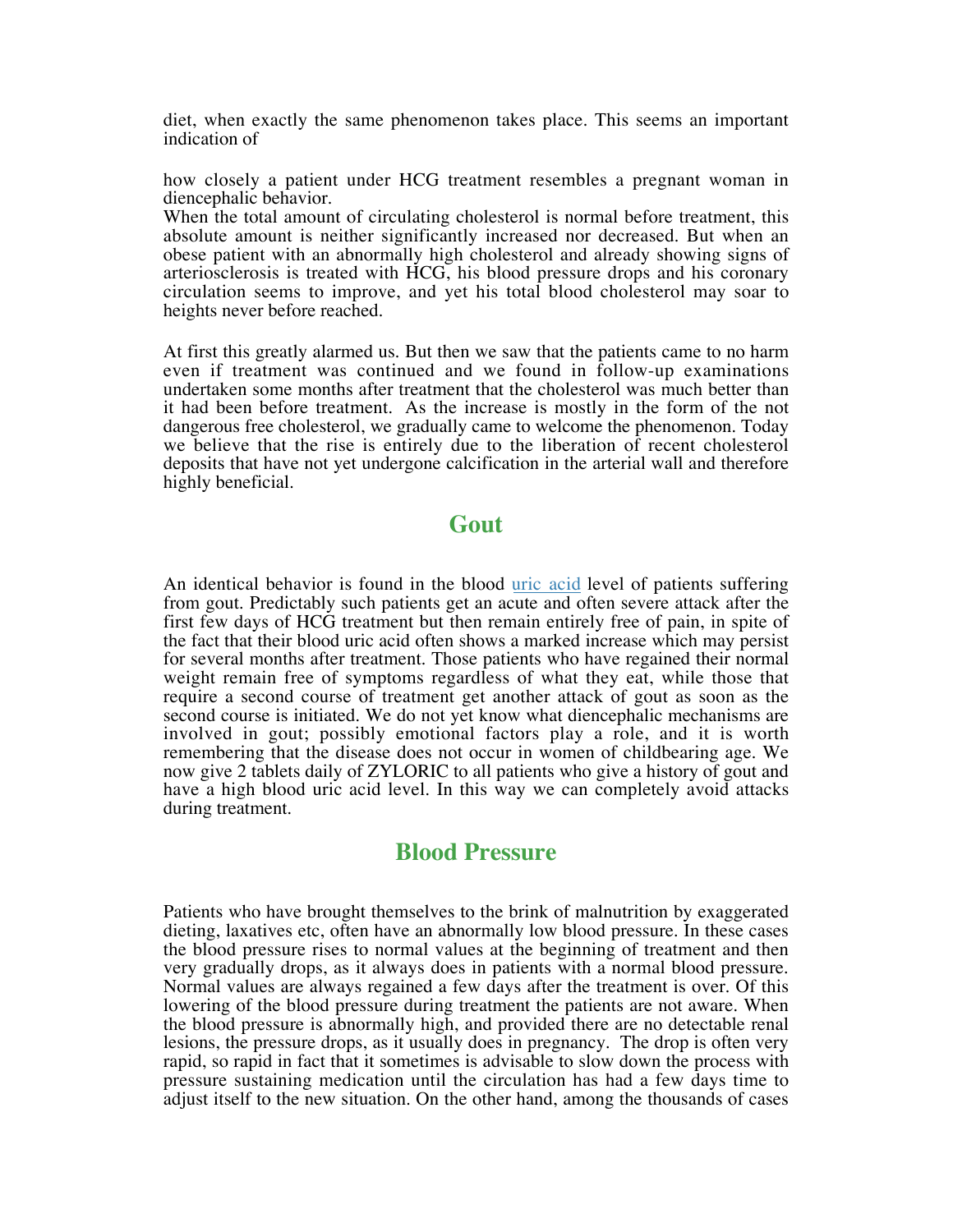diet, when exactly the same phenomenon takes place. This seems an important indication of

how closely a patient under HCG treatment resembles a pregnant woman in diencephalic behavior.

When the total amount of circulating cholesterol is normal before treatment, this absolute amount is neither significantly increased nor decreased. But when an obese patient with an abnormally high cholesterol and already showing signs of arteriosclerosis is treated with HCG, his blood pressure drops and his coronary circulation seems to improve, and yet his total blood cholesterol may soar to heights never before reached.

At first this greatly alarmed us. But then we saw that the patients came to no harm even if treatment was continued and we found in follow-up examinations undertaken some months after treatment that the cholesterol was much better than it had been before treatment. As the increase is mostly in the form of the not dangerous free cholesterol, we gradually came to welcome the phenomenon. Today we believe that the rise is entirely due to the liberation of recent cholesterol deposits that have not yet undergone calcification in the arterial wall and therefore highly beneficial.

#### **Gout**

An identical behavior is found in the blood uric acid level of patients suffering from gout. Predictably such patients get an acute and often severe attack after the first few days of HCG treatment but then remain entirely free of pain, in spite of the fact that their blood uric acid often shows a marked increase which may persist for several months after treatment. Those patients who have regained their normal weight remain free of symptoms regardless of what they eat, while those that require a second course of treatment get another attack of gout as soon as the second course is initiated. We do not yet know what diencephalic mechanisms are involved in gout; possibly emotional factors play a role, and it is worth remembering that the disease does not occur in women of childbearing age. We now give 2 tablets daily of ZYLORIC to all patients who give a history of gout and have a high blood uric acid level. In this way we can completely avoid attacks during treatment.

#### **Blood Pressure**

Patients who have brought themselves to the brink of malnutrition by exaggerated dieting, laxatives etc, often have an abnormally low blood pressure. In these cases the blood pressure rises to normal values at the beginning of treatment and then very gradually drops, as it always does in patients with a normal blood pressure. Normal values are always regained a few days after the treatment is over. Of this lowering of the blood pressure during treatment the patients are not aware. When the blood pressure is abnormally high, and provided there are no detectable renal lesions, the pressure drops, as it usually does in pregnancy. The drop is often very rapid, so rapid in fact that it sometimes is advisable to slow down the process with pressure sustaining medication until the circulation has had a few days time to adjust itself to the new situation. On the other hand, among the thousands of cases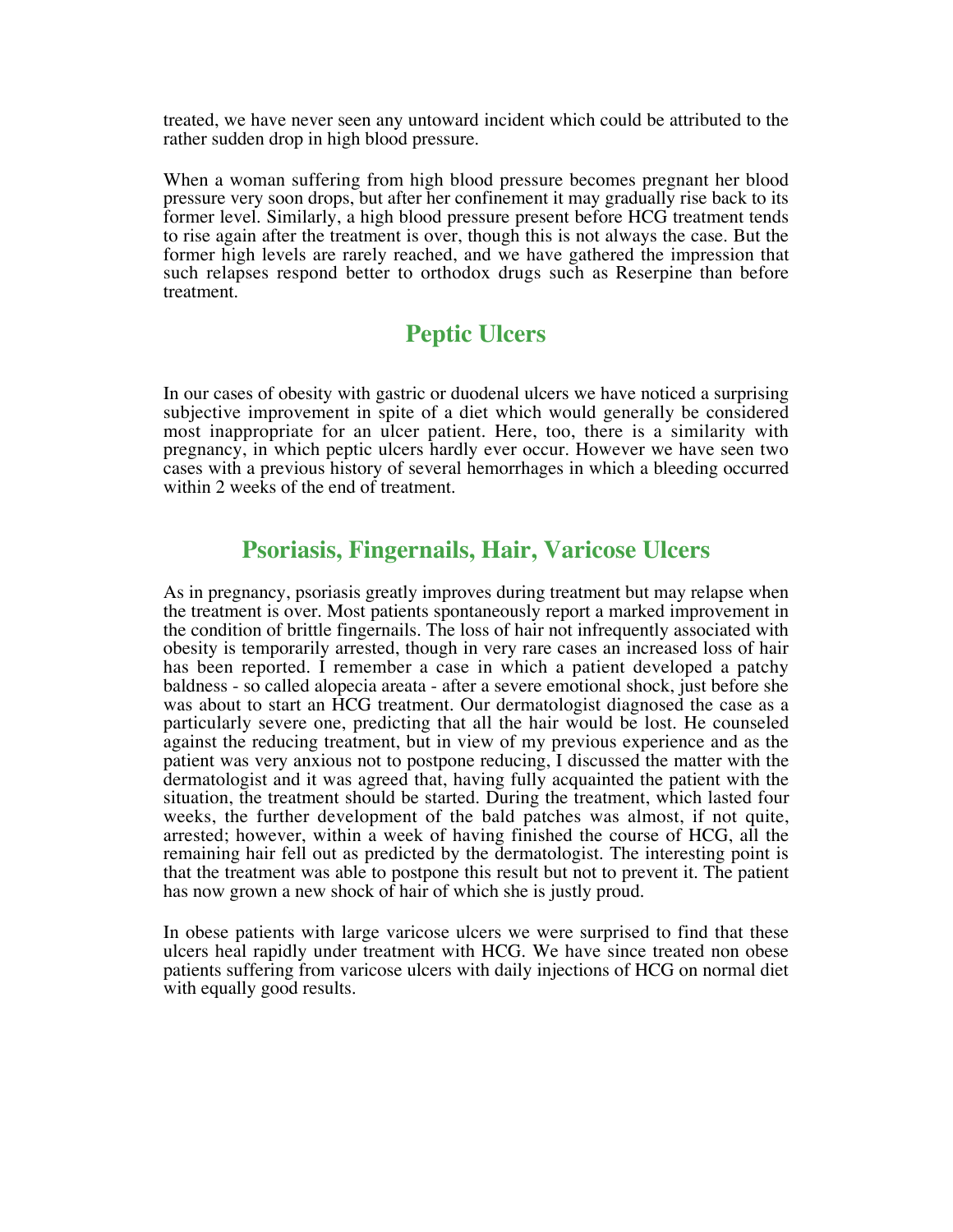treated, we have never seen any untoward incident which could be attributed to the rather sudden drop in high blood pressure.

When a woman suffering from high blood pressure becomes pregnant her blood pressure very soon drops, but after her confinement it may gradually rise back to its former level. Similarly, a high blood pressure present before HCG treatment tends to rise again after the treatment is over, though this is not always the case. But the former high levels are rarely reached, and we have gathered the impression that such relapses respond better to orthodox drugs such as Reserpine than before treatment.

#### **Peptic Ulcers**

In our cases of obesity with gastric or duodenal ulcers we have noticed a surprising subjective improvement in spite of a diet which would generally be considered most inappropriate for an ulcer patient. Here, too, there is a similarity with pregnancy, in which peptic ulcers hardly ever occur. However we have seen two cases with a previous history of several hemorrhages in which a bleeding occurred within 2 weeks of the end of treatment.

#### **Psoriasis, Fingernails, Hair, Varicose Ulcers**

As in pregnancy, psoriasis greatly improves during treatment but may relapse when the treatment is over. Most patients spontaneously report a marked improvement in the condition of brittle fingernails. The loss of hair not infrequently associated with obesity is temporarily arrested, though in very rare cases an increased loss of hair has been reported. I remember a case in which a patient developed a patchy baldness - so called alopecia areata - after a severe emotional shock, just before she was about to start an HCG treatment. Our dermatologist diagnosed the case as a particularly severe one, predicting that all the hair would be lost. He counseled against the reducing treatment, but in view of my previous experience and as the patient was very anxious not to postpone reducing, I discussed the matter with the dermatologist and it was agreed that, having fully acquainted the patient with the situation, the treatment should be started. During the treatment, which lasted four weeks, the further development of the bald patches was almost, if not quite, arrested; however, within a week of having finished the course of HCG, all the remaining hair fell out as predicted by the dermatologist. The interesting point is that the treatment was able to postpone this result but not to prevent it. The patient has now grown a new shock of hair of which she is justly proud.

In obese patients with large varicose ulcers we were surprised to find that these ulcers heal rapidly under treatment with HCG. We have since treated non obese patients suffering from varicose ulcers with daily injections of HCG on normal diet with equally good results.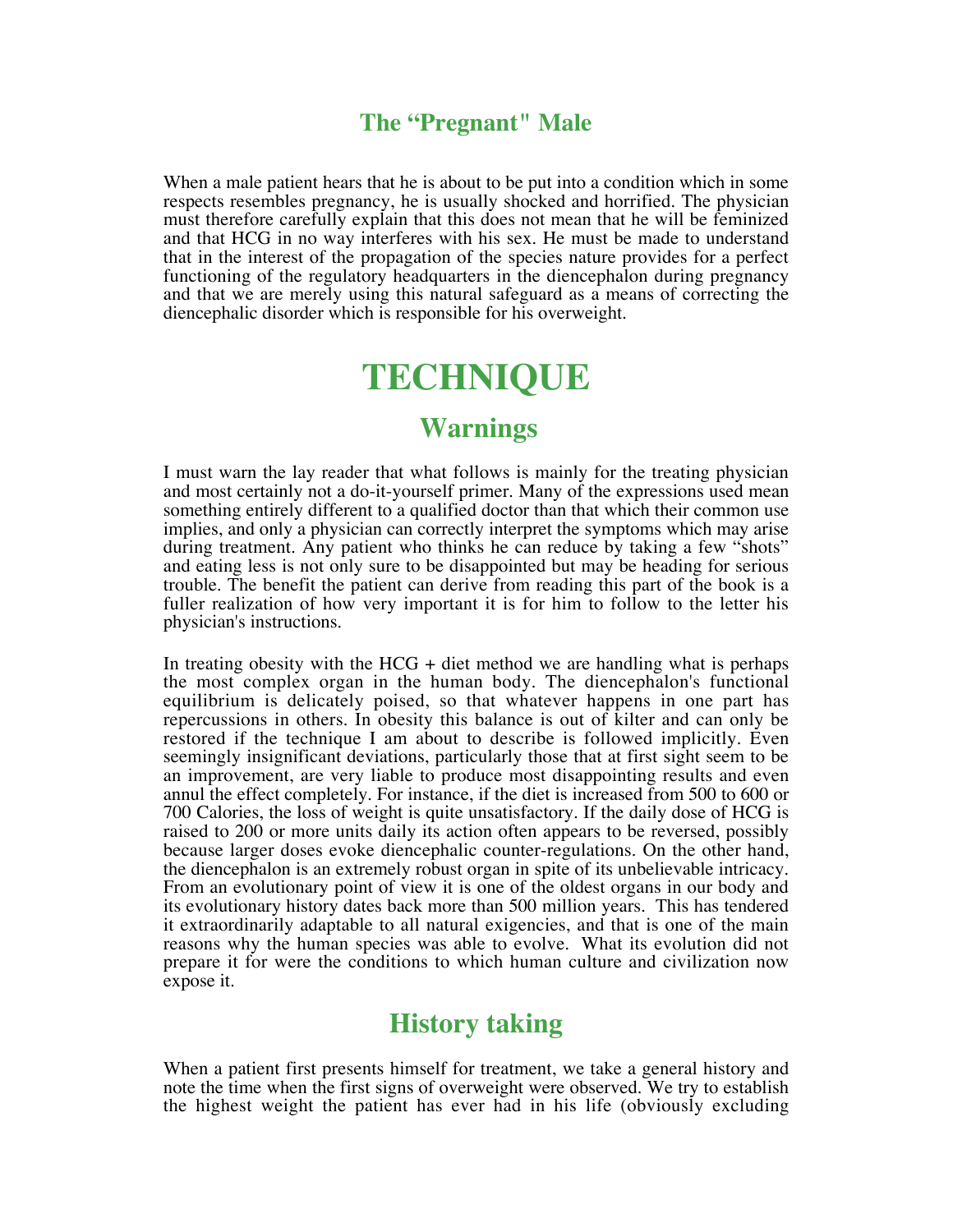#### **The "Pregnant" Male**

When a male patient hears that he is about to be put into a condition which in some respects resembles pregnancy, he is usually shocked and horrified. The physician must therefore carefully explain that this does not mean that he will be feminized and that HCG in no way interferes with his sex. He must be made to understand that in the interest of the propagation of the species nature provides for a perfect functioning of the regulatory headquarters in the diencephalon during pregnancy and that we are merely using this natural safeguard as a means of correcting the diencephalic disorder which is responsible for his overweight.

# **TECHNIQUE**

#### **Warnings**

I must warn the lay reader that what follows is mainly for the treating physician and most certainly not a do-it-yourself primer. Many of the expressions used mean something entirely different to a qualified doctor than that which their common use implies, and only a physician can correctly interpret the symptoms which may arise during treatment. Any patient who thinks he can reduce by taking a few "shots" and eating less is not only sure to be disappointed but may be heading for serious trouble. The benefit the patient can derive from reading this part of the book is a fuller realization of how very important it is for him to follow to the letter his physician's instructions.

In treating obesity with the  $HCG +$  diet method we are handling what is perhaps the most complex organ in the human body. The diencephalon's functional equilibrium is delicately poised, so that whatever happens in one part has repercussions in others. In obesity this balance is out of kilter and can only be restored if the technique I am about to describe is followed implicitly. Even seemingly insignificant deviations, particularly those that at first sight seem to be an improvement, are very liable to produce most disappointing results and even annul the effect completely. For instance, if the diet is increased from 500 to 600 or 700 Calories, the loss of weight is quite unsatisfactory. If the daily dose of HCG is raised to 200 or more units daily its action often appears to be reversed, possibly because larger doses evoke diencephalic counter-regulations. On the other hand, the diencephalon is an extremely robust organ in spite of its unbelievable intricacy. From an evolutionary point of view it is one of the oldest organs in our body and its evolutionary history dates back more than 500 million years. This has tendered it extraordinarily adaptable to all natural exigencies, and that is one of the main reasons why the human species was able to evolve. What its evolution did not prepare it for were the conditions to which human culture and civilization now expose it.

#### **History taking**

When a patient first presents himself for treatment, we take a general history and note the time when the first signs of overweight were observed. We try to establish the highest weight the patient has ever had in his life (obviously excluding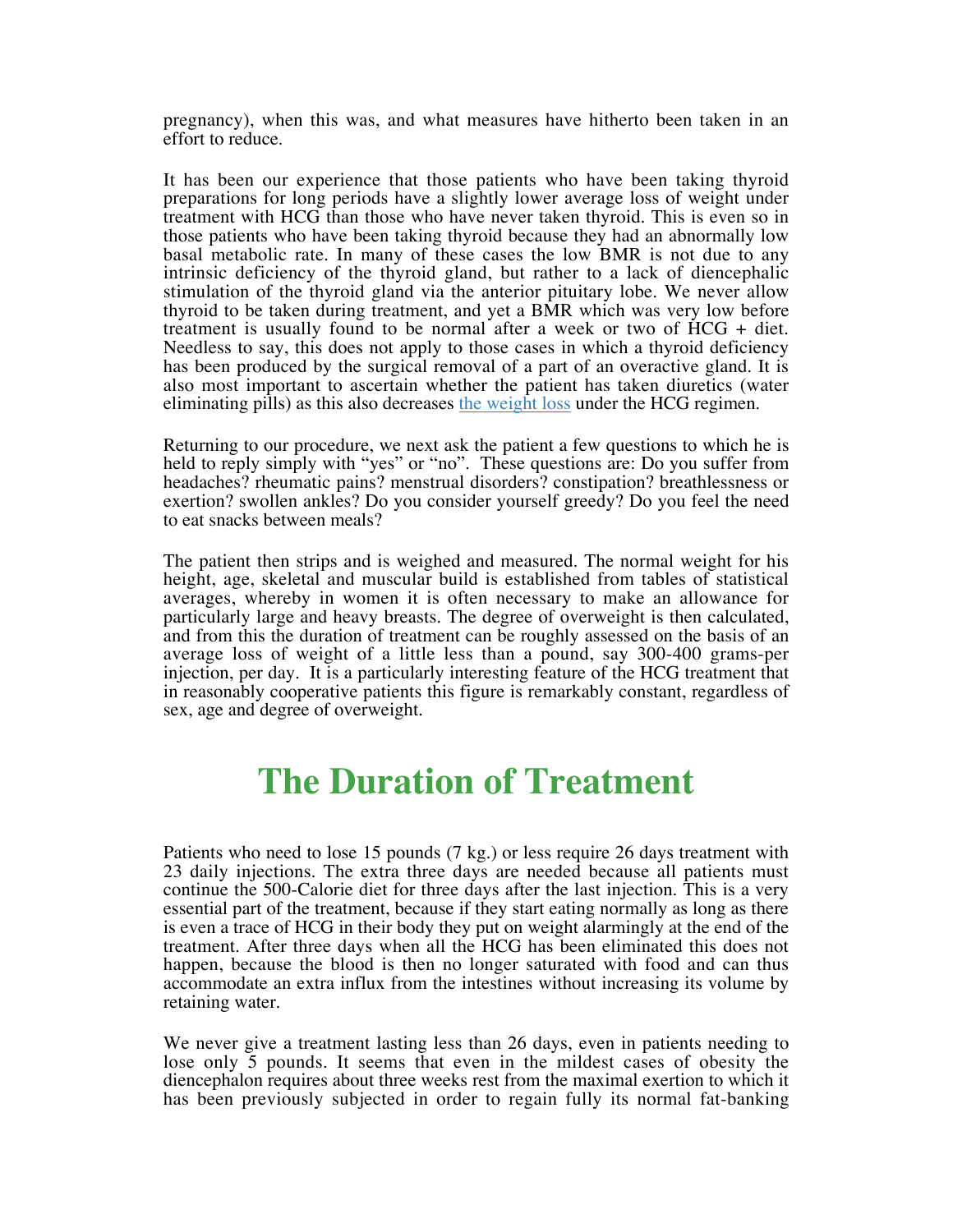pregnancy), when this was, and what measures have hitherto been taken in an effort to reduce.

It has been our experience that those patients who have been taking thyroid preparations for long periods have a slightly lower average loss of weight under treatment with HCG than those who have never taken thyroid. This is even so in those patients who have been taking thyroid because they had an abnormally low basal metabolic rate. In many of these cases the low BMR is not due to any intrinsic deficiency of the thyroid gland, but rather to a lack of diencephalic stimulation of the thyroid gland via the anterior pituitary lobe. We never allow thyroid to be taken during treatment, and yet a BMR which was very low before treatment is usually found to be normal after a week or two of HCG + diet. Needless to say, this does not apply to those cases in which a thyroid deficiency has been produced by the surgical removal of a part of an overactive gland. It is also most important to ascertain whether the patient has taken diuretics (water eliminating pills) as this also decreases the weight loss under the HCG regimen.

Returning to our procedure, we next ask the patient a few questions to which he is held to reply simply with "yes" or "no". These questions are: Do you suffer from headaches? rheumatic pains? menstrual disorders? constipation? breathlessness or exertion? swollen ankles? Do you consider yourself greedy? Do you feel the need to eat snacks between meals?

The patient then strips and is weighed and measured. The normal weight for his height, age, skeletal and muscular build is established from tables of statistical averages, whereby in women it is often necessary to make an allowance for particularly large and heavy breasts. The degree of overweight is then calculated, and from this the duration of treatment can be roughly assessed on the basis of an average loss of weight of a little less than a pound, say 300-400 grams-per injection, per day. It is a particularly interesting feature of the HCG treatment that in reasonably cooperative patients this figure is remarkably constant, regardless of sex, age and degree of overweight.

# **The Duration of Treatment**

Patients who need to lose 15 pounds (7 kg.) or less require 26 days treatment with 23 daily injections. The extra three days are needed because all patients must continue the 500-Calorie diet for three days after the last injection. This is a very essential part of the treatment, because if they start eating normally as long as there is even a trace of HCG in their body they put on weight alarmingly at the end of the treatment. After three days when all the HCG has been eliminated this does not happen, because the blood is then no longer saturated with food and can thus accommodate an extra influx from the intestines without increasing its volume by retaining water.

We never give a treatment lasting less than 26 days, even in patients needing to lose only 5 pounds. It seems that even in the mildest cases of obesity the diencephalon requires about three weeks rest from the maximal exertion to which it has been previously subjected in order to regain fully its normal fat-banking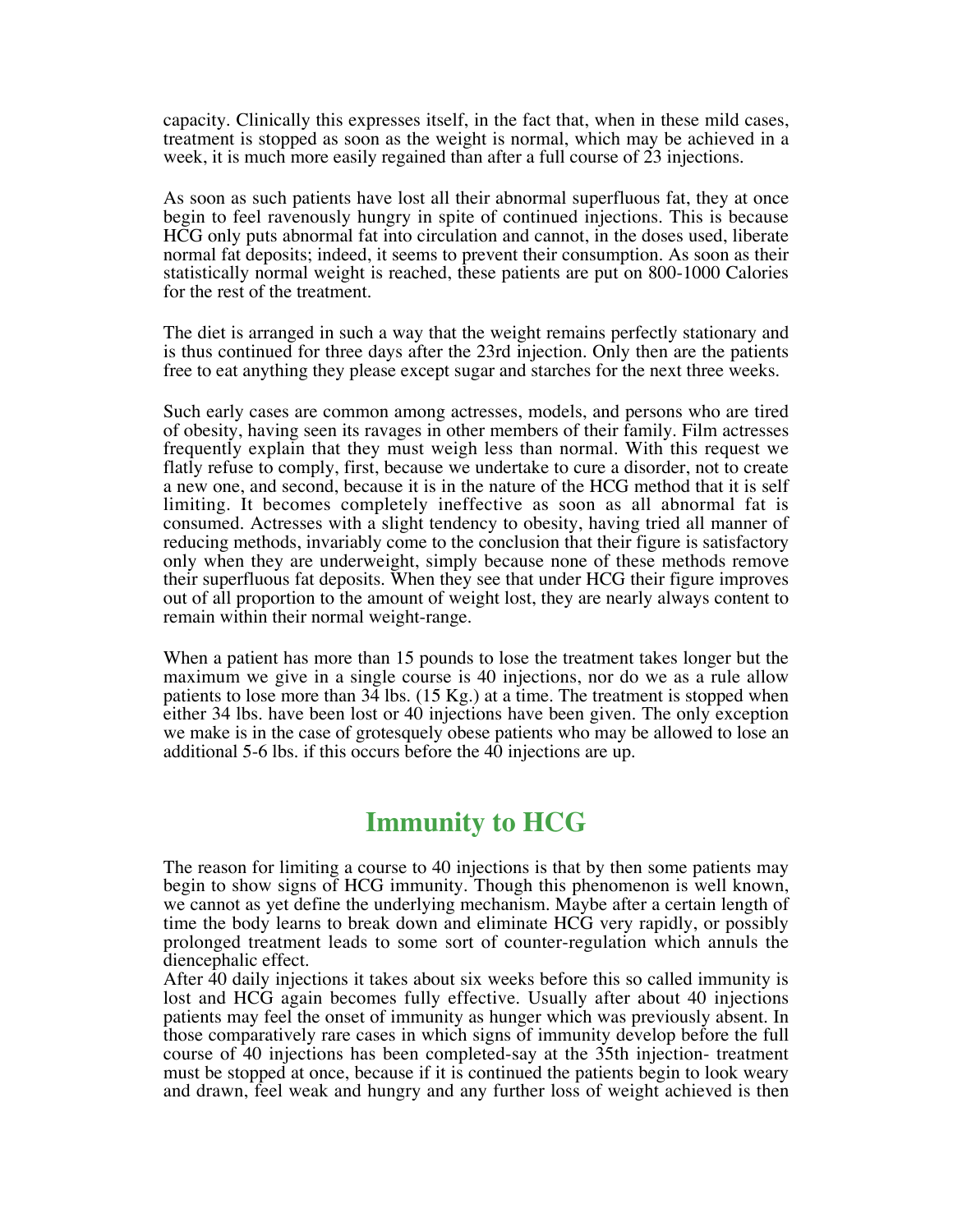capacity. Clinically this expresses itself, in the fact that, when in these mild cases, treatment is stopped as soon as the weight is normal, which may be achieved in a week, it is much more easily regained than after a full course of 23 injections.

As soon as such patients have lost all their abnormal superfluous fat, they at once begin to feel ravenously hungry in spite of continued injections. This is because HCG only puts abnormal fat into circulation and cannot, in the doses used, liberate normal fat deposits; indeed, it seems to prevent their consumption. As soon as their statistically normal weight is reached, these patients are put on 800-1000 Calories for the rest of the treatment.

The diet is arranged in such a way that the weight remains perfectly stationary and is thus continued for three days after the 23rd injection. Only then are the patients free to eat anything they please except sugar and starches for the next three weeks.

Such early cases are common among actresses, models, and persons who are tired of obesity, having seen its ravages in other members of their family. Film actresses frequently explain that they must weigh less than normal. With this request we flatly refuse to comply, first, because we undertake to cure a disorder, not to create a new one, and second, because it is in the nature of the HCG method that it is self limiting. It becomes completely ineffective as soon as all abnormal fat is consumed. Actresses with a slight tendency to obesity, having tried all manner of reducing methods, invariably come to the conclusion that their figure is satisfactory only when they are underweight, simply because none of these methods remove their superfluous fat deposits. When they see that under HCG their figure improves out of all proportion to the amount of weight lost, they are nearly always content to remain within their normal weight-range.

When a patient has more than 15 pounds to lose the treatment takes longer but the maximum we give in a single course is 40 injections, nor do we as a rule allow patients to lose more than  $3\overline{4}$  lbs. (15 Kg.) at a time. The treatment is stopped when either 34 lbs. have been lost or 40 injections have been given. The only exception we make is in the case of grotesquely obese patients who may be allowed to lose an additional 5-6 lbs. if this occurs before the 40 injections are up.

### **Immunity to HCG**

The reason for limiting a course to 40 injections is that by then some patients may begin to show signs of HCG immunity. Though this phenomenon is well known, we cannot as yet define the underlying mechanism. Maybe after a certain length of time the body learns to break down and eliminate HCG very rapidly, or possibly prolonged treatment leads to some sort of counter-regulation which annuls the diencephalic effect.

After 40 daily injections it takes about six weeks before this so called immunity is lost and HCG again becomes fully effective. Usually after about 40 injections patients may feel the onset of immunity as hunger which was previously absent. In those comparatively rare cases in which signs of immunity develop before the full course of 40 injections has been completed-say at the 35th injection- treatment must be stopped at once, because if it is continued the patients begin to look weary and drawn, feel weak and hungry and any further loss of weight achieved is then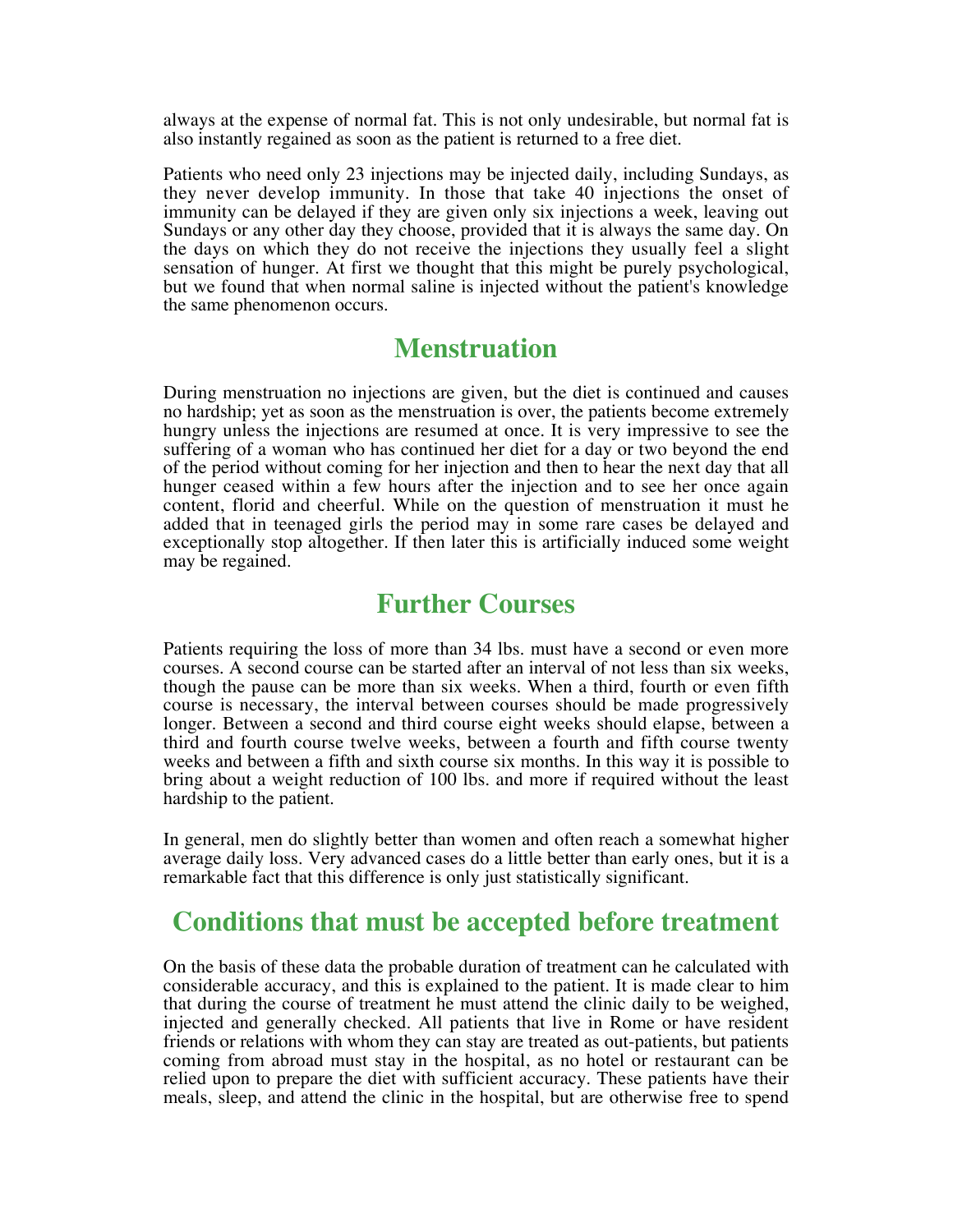always at the expense of normal fat. This is not only undesirable, but normal fat is also instantly regained as soon as the patient is returned to a free diet.

Patients who need only 23 injections may be injected daily, including Sundays, as they never develop immunity. In those that take 40 injections the onset of immunity can be delayed if they are given only six injections a week, leaving out Sundays or any other day they choose, provided that it is always the same day. On the days on which they do not receive the injections they usually feel a slight sensation of hunger. At first we thought that this might be purely psychological, but we found that when normal saline is injected without the patient's knowledge the same phenomenon occurs.

#### **Menstruation**

During menstruation no injections are given, but the diet is continued and causes no hardship; yet as soon as the menstruation is over, the patients become extremely hungry unless the injections are resumed at once. It is very impressive to see the suffering of a woman who has continued her diet for a day or two beyond the end of the period without coming for her injection and then to hear the next day that all hunger ceased within a few hours after the injection and to see her once again content, florid and cheerful. While on the question of menstruation it must he added that in teenaged girls the period may in some rare cases be delayed and exceptionally stop altogether. If then later this is artificially induced some weight may be regained.

#### **Further Courses**

Patients requiring the loss of more than 34 lbs. must have a second or even more courses. A second course can be started after an interval of not less than six weeks, though the pause can be more than six weeks. When a third, fourth or even fifth course is necessary, the interval between courses should be made progressively longer. Between a second and third course eight weeks should elapse, between a third and fourth course twelve weeks, between a fourth and fifth course twenty weeks and between a fifth and sixth course six months. In this way it is possible to bring about a weight reduction of 100 lbs. and more if required without the least hardship to the patient.

In general, men do slightly better than women and often reach a somewhat higher average daily loss. Very advanced cases do a little better than early ones, but it is a remarkable fact that this difference is only just statistically significant.

### **Conditions that must be accepted before treatment**

On the basis of these data the probable duration of treatment can he calculated with considerable accuracy, and this is explained to the patient. It is made clear to him that during the course of treatment he must attend the clinic daily to be weighed, injected and generally checked. All patients that live in Rome or have resident friends or relations with whom they can stay are treated as out-patients, but patients coming from abroad must stay in the hospital, as no hotel or restaurant can be relied upon to prepare the diet with sufficient accuracy. These patients have their meals, sleep, and attend the clinic in the hospital, but are otherwise free to spend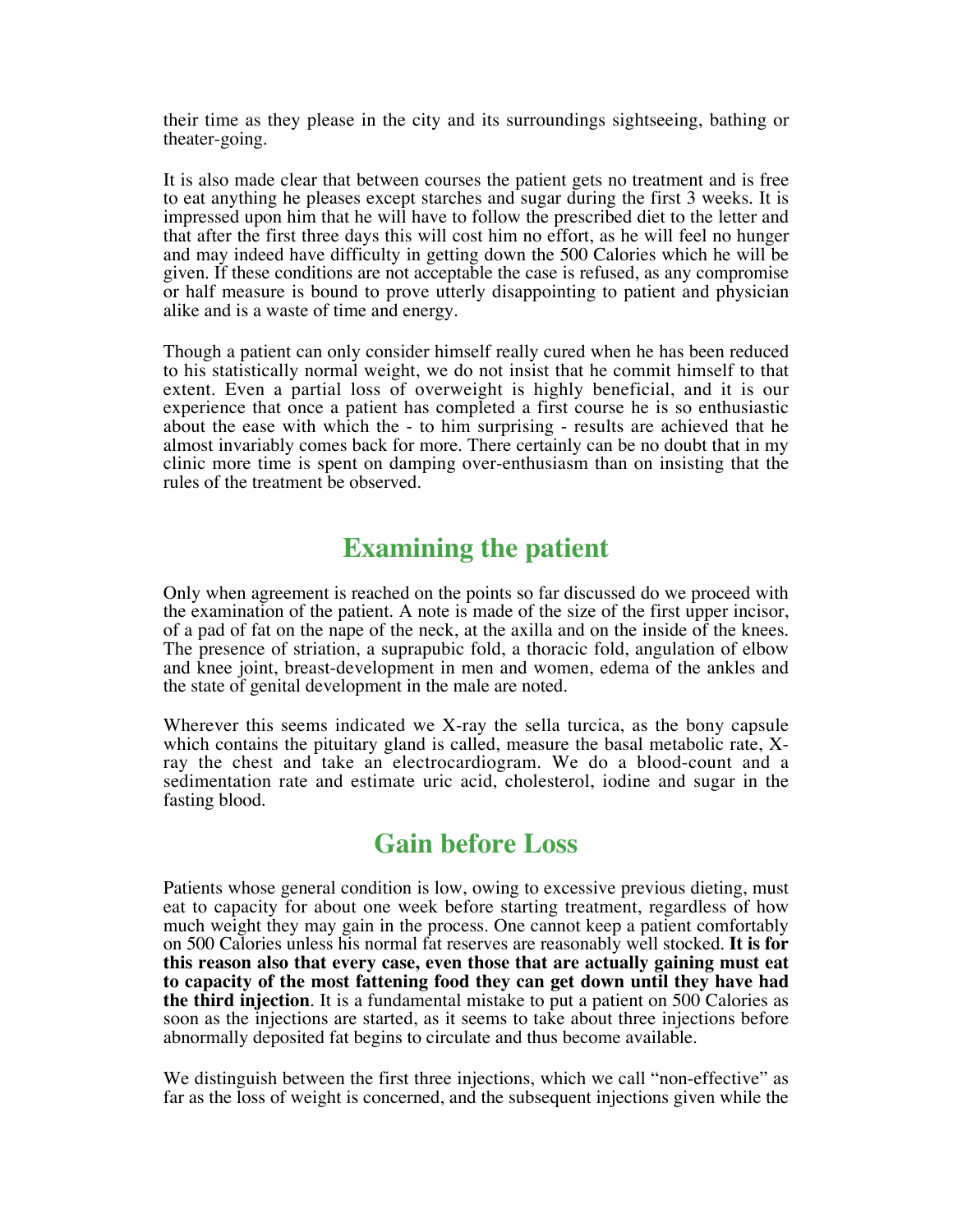their time as they please in the city and its surroundings sightseeing, bathing or theater-going.

It is also made clear that between courses the patient gets no treatment and is free to eat anything he pleases except starches and sugar during the first 3 weeks. It is impressed upon him that he will have to follow the prescribed diet to the letter and that after the first three days this will cost him no effort, as he will feel no hunger and may indeed have difficulty in getting down the 500 Calories which he will be given. If these conditions are not acceptable the case is refused, as any compromise or half measure is bound to prove utterly disappointing to patient and physician alike and is a waste of time and energy.

Though a patient can only consider himself really cured when he has been reduced to his statistically normal weight, we do not insist that he commit himself to that extent. Even a partial loss of overweight is highly beneficial, and it is our experience that once a patient has completed a first course he is so enthusiastic about the ease with which the - to him surprising - results are achieved that he almost invariably comes back for more. There certainly can be no doubt that in my clinic more time is spent on damping over-enthusiasm than on insisting that the rules of the treatment be observed.

### **Examining the patient**

Only when agreement is reached on the points so far discussed do we proceed with the examination of the patient. A note is made of the size of the first upper incisor, of a pad of fat on the nape of the neck, at the axilla and on the inside of the knees. The presence of striation, a suprapubic fold, a thoracic fold, angulation of elbow and knee joint, breast-development in men and women, edema of the ankles and the state of genital development in the male are noted.

Wherever this seems indicated we X-ray the sella turcica, as the bony capsule which contains the pituitary gland is called, measure the basal metabolic rate, Xray the chest and take an electrocardiogram. We do a blood-count and a sedimentation rate and estimate uric acid, cholesterol, iodine and sugar in the fasting blood.

### **Gain before Loss**

Patients whose general condition is low, owing to excessive previous dieting, must eat to capacity for about one week before starting treatment, regardless of how much weight they may gain in the process. One cannot keep a patient comfortably on 500 Calories unless his normal fat reserves are reasonably well stocked. **It is for this reason also that every case, even those that are actually gaining must eat to capacity of the most fattening food they can get down until they have had the third injection**. It is a fundamental mistake to put a patient on 500 Calories as soon as the injections are started, as it seems to take about three injections before abnormally deposited fat begins to circulate and thus become available.

We distinguish between the first three injections, which we call "non-effective" as far as the loss of weight is concerned, and the subsequent injections given while the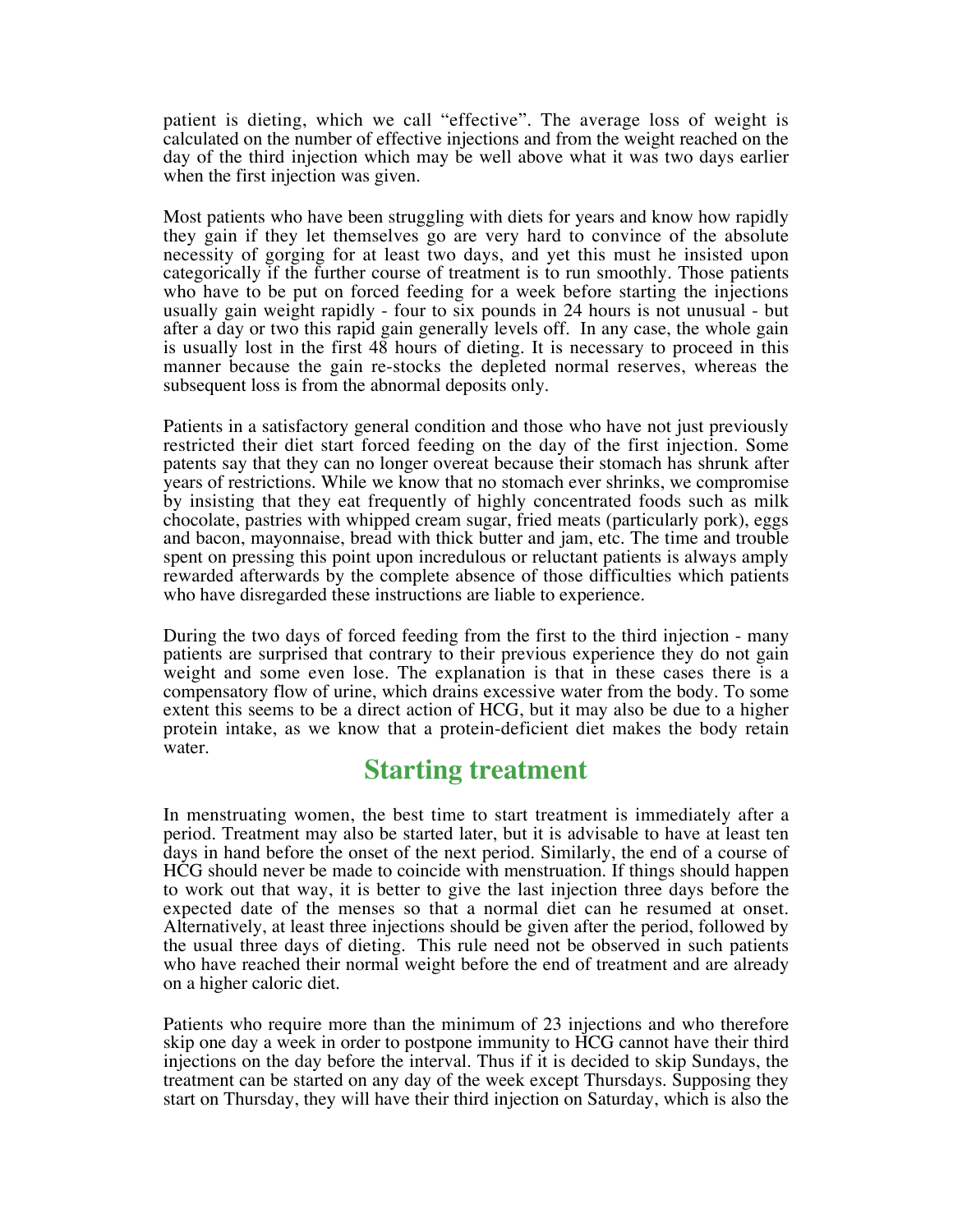patient is dieting, which we call "effective". The average loss of weight is calculated on the number of effective injections and from the weight reached on the day of the third injection which may be well above what it was two days earlier when the first injection was given.

Most patients who have been struggling with diets for years and know how rapidly they gain if they let themselves go are very hard to convince of the absolute necessity of gorging for at least two days, and yet this must he insisted upon categorically if the further course of treatment is to run smoothly. Those patients who have to be put on forced feeding for a week before starting the injections usually gain weight rapidly - four to six pounds in 24 hours is not unusual - but after a day or two this rapid gain generally levels off. In any case, the whole gain is usually lost in the first 48 hours of dieting. It is necessary to proceed in this manner because the gain re-stocks the depleted normal reserves, whereas the subsequent loss is from the abnormal deposits only.

Patients in a satisfactory general condition and those who have not just previously restricted their diet start forced feeding on the day of the first injection. Some patents say that they can no longer overeat because their stomach has shrunk after years of restrictions. While we know that no stomach ever shrinks, we compromise by insisting that they eat frequently of highly concentrated foods such as milk chocolate, pastries with whipped cream sugar, fried meats (particularly pork), eggs and bacon, mayonnaise, bread with thick butter and jam, etc. The time and trouble spent on pressing this point upon incredulous or reluctant patients is always amply rewarded afterwards by the complete absence of those difficulties which patients who have disregarded these instructions are liable to experience.

During the two days of forced feeding from the first to the third injection - many patients are surprised that contrary to their previous experience they do not gain weight and some even lose. The explanation is that in these cases there is a compensatory flow of urine, which drains excessive water from the body. To some extent this seems to be a direct action of HCG, but it may also be due to a higher protein intake, as we know that a protein-deficient diet makes the body retain water.

#### **Starting treatment**

In menstruating women, the best time to start treatment is immediately after a period. Treatment may also be started later, but it is advisable to have at least ten days in hand before the onset of the next period. Similarly, the end of a course of HCG should never be made to coincide with menstruation. If things should happen to work out that way, it is better to give the last injection three days before the expected date of the menses so that a normal diet can he resumed at onset. Alternatively, at least three injections should be given after the period, followed by the usual three days of dieting. This rule need not be observed in such patients who have reached their normal weight before the end of treatment and are already on a higher caloric diet.

Patients who require more than the minimum of 23 injections and who therefore skip one day a week in order to postpone immunity to HCG cannot have their third injections on the day before the interval. Thus if it is decided to skip Sundays, the treatment can be started on any day of the week except Thursdays. Supposing they start on Thursday, they will have their third injection on Saturday, which is also the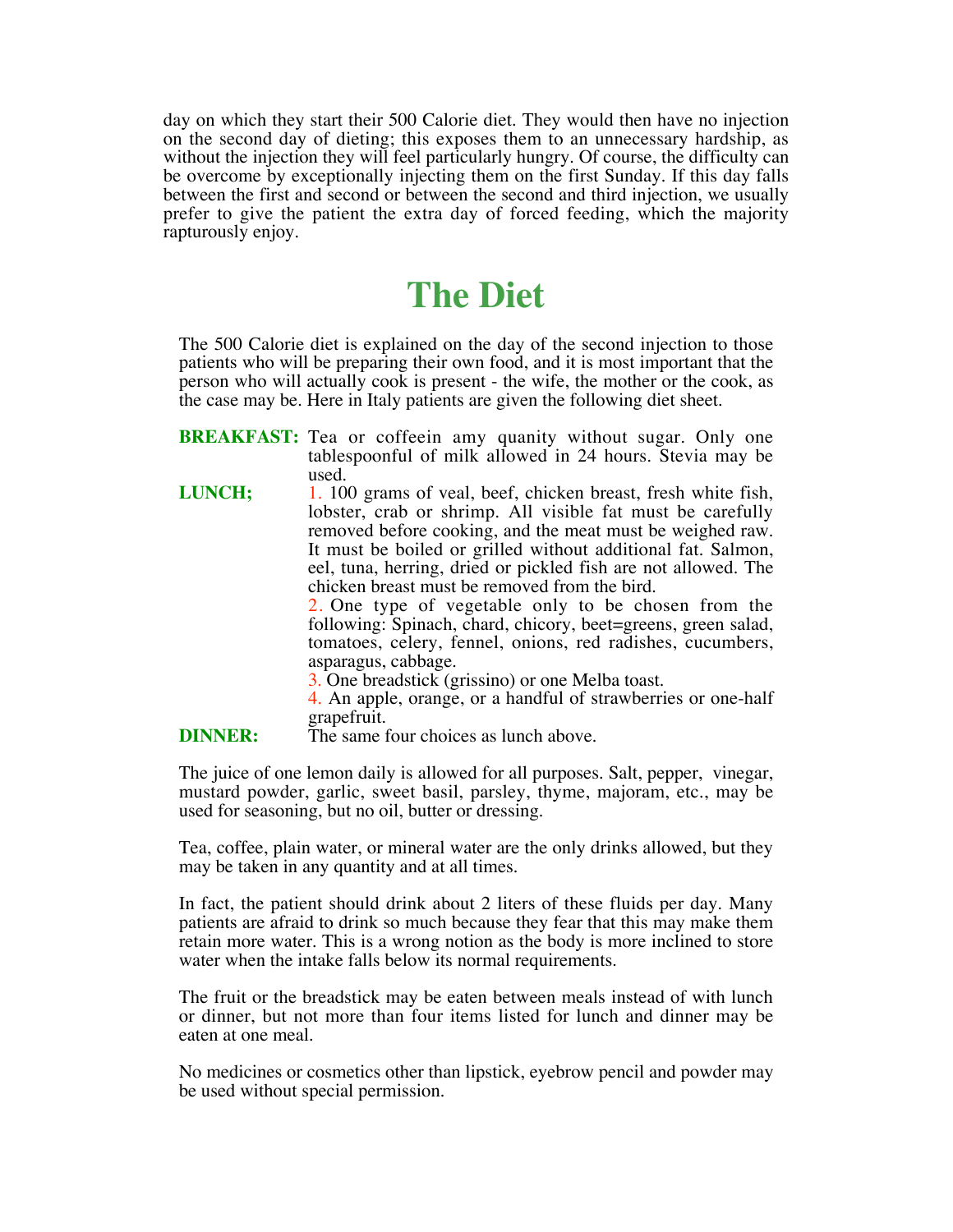day on which they start their 500 Calorie diet. They would then have no injection on the second day of dieting; this exposes them to an unnecessary hardship, as without the injection they will feel particularly hungry. Of course, the difficulty can be overcome by exceptionally injecting them on the first Sunday. If this day falls between the first and second or between the second and third injection, we usually prefer to give the patient the extra day of forced feeding, which the majority rapturously enjoy.

# **The Diet**

The 500 Calorie diet is explained on the day of the second injection to those patients who will be preparing their own food, and it is most important that the person who will actually cook is present - the wife, the mother or the cook, as the case may be. Here in Italy patients are given the following diet sheet.

**BREAKFAST:** Tea or coffeein amy quanity without sugar. Only one tablespoonful of milk allowed in 24 hours. Stevia may be used. **LUNCH;** 1. 100 grams of veal, beef, chicken breast, fresh white fish, lobster, crab or shrimp. All visible fat must be carefully removed before cooking, and the meat must be weighed raw. It must be boiled or grilled without additional fat. Salmon, eel, tuna, herring, dried or pickled fish are not allowed. The chicken breast must be removed from the bird. 2. One type of vegetable only to be chosen from the following: Spinach, chard, chicory, beet=greens, green salad, tomatoes, celery, fennel, onions, red radishes, cucumbers, asparagus, cabbage. 3. One breadstick (grissino) or one Melba toast. 4. An apple, orange, or a handful of strawberries or one-half grapefruit. **DINNER:** The same four choices as lunch above.

The juice of one lemon daily is allowed for all purposes. Salt, pepper, vinegar, mustard powder, garlic, sweet basil, parsley, thyme, majoram, etc., may be used for seasoning, but no oil, butter or dressing.

Tea, coffee, plain water, or mineral water are the only drinks allowed, but they may be taken in any quantity and at all times.

In fact, the patient should drink about 2 liters of these fluids per day. Many patients are afraid to drink so much because they fear that this may make them retain more water. This is a wrong notion as the body is more inclined to store water when the intake falls below its normal requirements.

The fruit or the breadstick may be eaten between meals instead of with lunch or dinner, but not more than four items listed for lunch and dinner may be eaten at one meal.

No medicines or cosmetics other than lipstick, eyebrow pencil and powder may be used without special permission.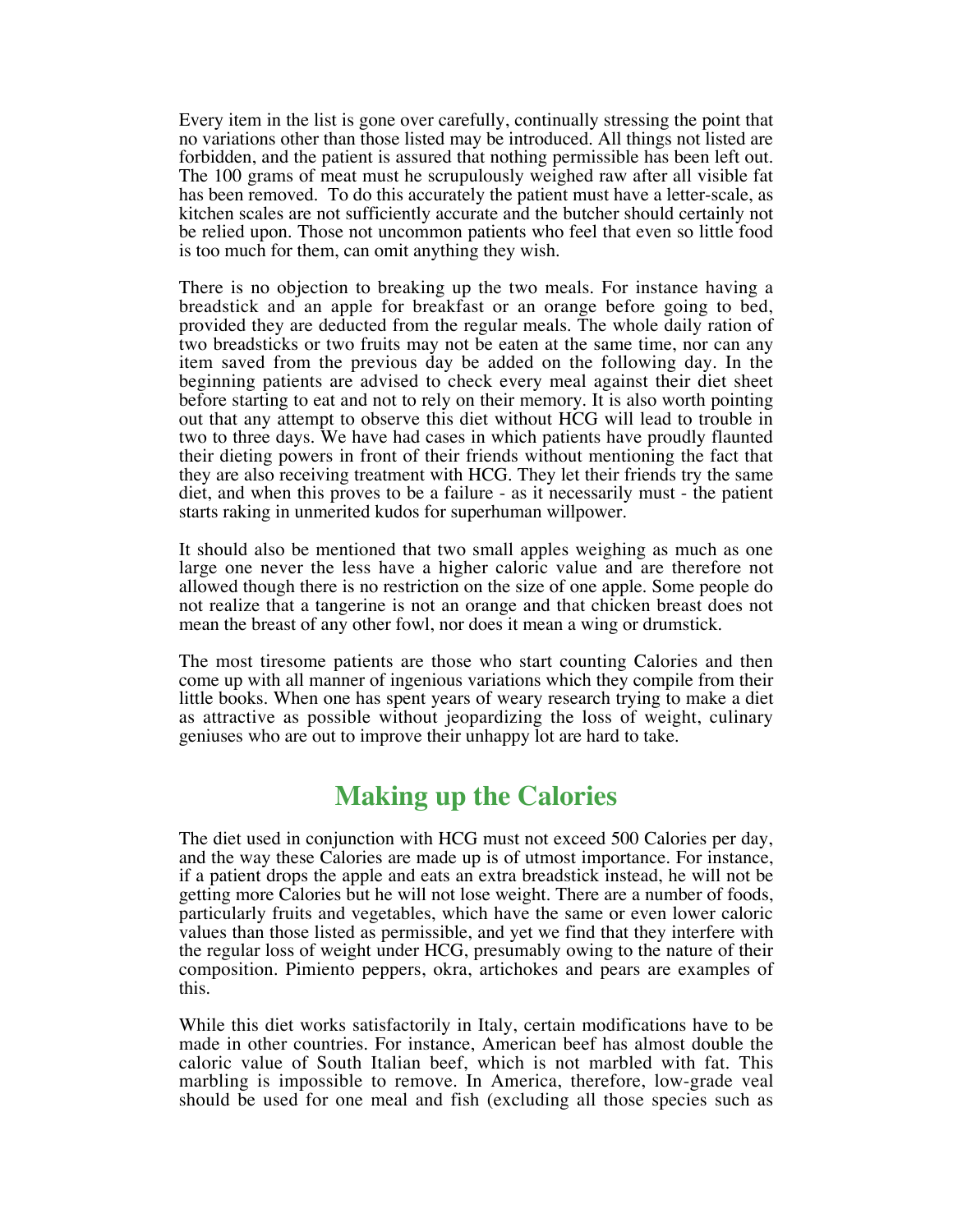Every item in the list is gone over carefully, continually stressing the point that no variations other than those listed may be introduced. All things not listed are forbidden, and the patient is assured that nothing permissible has been left out. The 100 grams of meat must he scrupulously weighed raw after all visible fat has been removed. To do this accurately the patient must have a letter-scale, as kitchen scales are not sufficiently accurate and the butcher should certainly not be relied upon. Those not uncommon patients who feel that even so little food is too much for them, can omit anything they wish.

There is no objection to breaking up the two meals. For instance having a breadstick and an apple for breakfast or an orange before going to bed, provided they are deducted from the regular meals. The whole daily ration of two breadsticks or two fruits may not be eaten at the same time, nor can any item saved from the previous day be added on the following day. In the beginning patients are advised to check every meal against their diet sheet before starting to eat and not to rely on their memory. It is also worth pointing out that any attempt to observe this diet without HCG will lead to trouble in two to three days. We have had cases in which patients have proudly flaunted their dieting powers in front of their friends without mentioning the fact that they are also receiving treatment with HCG. They let their friends try the same diet, and when this proves to be a failure - as it necessarily must - the patient starts raking in unmerited kudos for superhuman willpower.

It should also be mentioned that two small apples weighing as much as one large one never the less have a higher caloric value and are therefore not allowed though there is no restriction on the size of one apple. Some people do not realize that a tangerine is not an orange and that chicken breast does not mean the breast of any other fowl, nor does it mean a wing or drumstick.

The most tiresome patients are those who start counting Calories and then come up with all manner of ingenious variations which they compile from their little books. When one has spent years of weary research trying to make a diet as attractive as possible without jeopardizing the loss of weight, culinary geniuses who are out to improve their unhappy lot are hard to take.

# **Making up the Calories**

The diet used in conjunction with HCG must not exceed 500 Calories per day, and the way these Calories are made up is of utmost importance. For instance, if a patient drops the apple and eats an extra breadstick instead, he will not be getting more Calories but he will not lose weight. There are a number of foods, particularly fruits and vegetables, which have the same or even lower caloric values than those listed as permissible, and yet we find that they interfere with the regular loss of weight under HCG, presumably owing to the nature of their composition. Pimiento peppers, okra, artichokes and pears are examples of this.

While this diet works satisfactorily in Italy, certain modifications have to be made in other countries. For instance, American beef has almost double the caloric value of South Italian beef, which is not marbled with fat. This marbling is impossible to remove. In America, therefore, low-grade veal should be used for one meal and fish (excluding all those species such as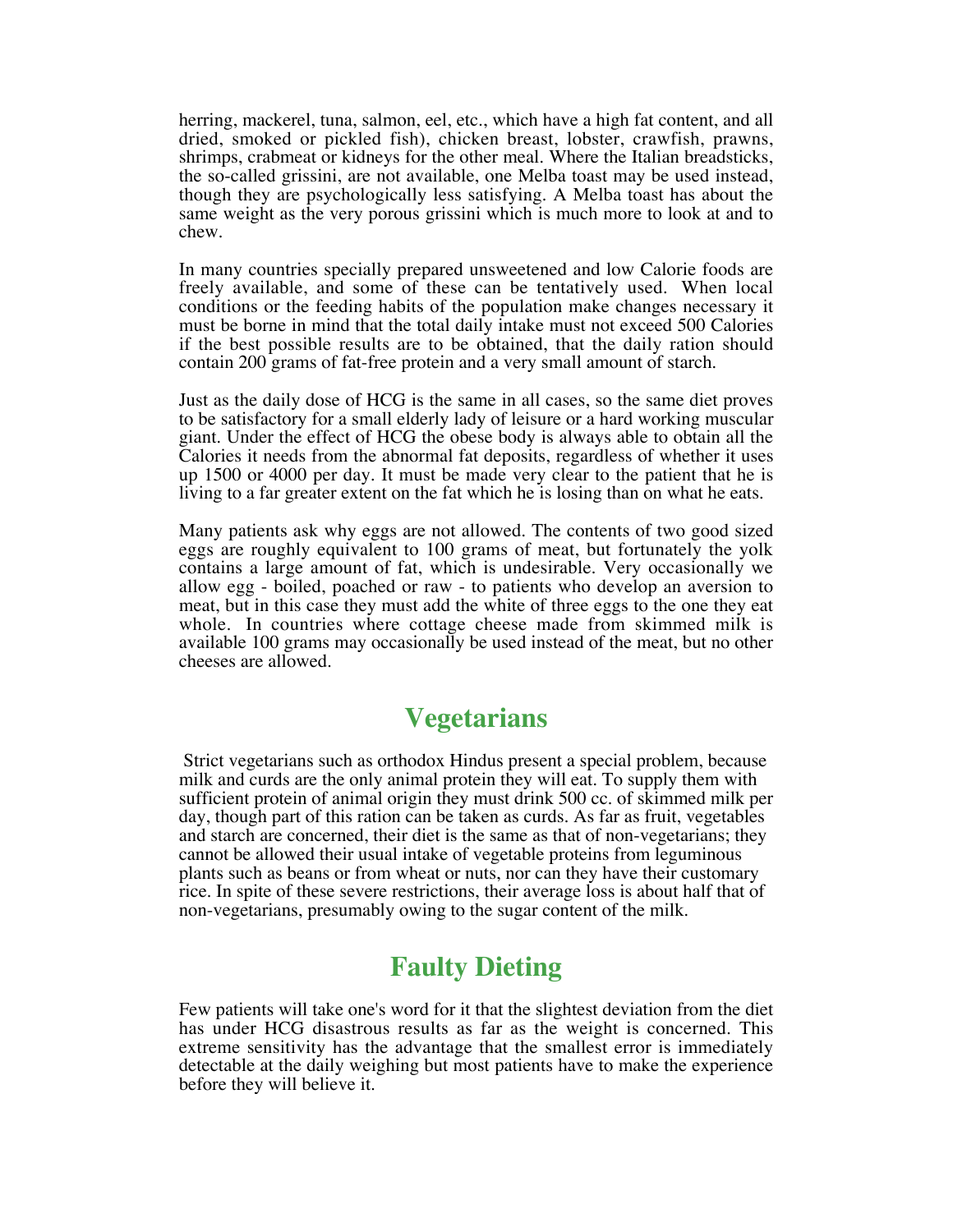herring, mackerel, tuna, salmon, eel, etc., which have a high fat content, and all dried, smoked or pickled fish), chicken breast, lobster, crawfish, prawns, shrimps, crabmeat or kidneys for the other meal. Where the Italian breadsticks, the so-called grissini, are not available, one Melba toast may be used instead, though they are psychologically less satisfying. A Melba toast has about the same weight as the very porous grissini which is much more to look at and to chew.

In many countries specially prepared unsweetened and low Calorie foods are freely available, and some of these can be tentatively used. When local conditions or the feeding habits of the population make changes necessary it must be borne in mind that the total daily intake must not exceed 500 Calories if the best possible results are to be obtained, that the daily ration should contain 200 grams of fat-free protein and a very small amount of starch.

Just as the daily dose of HCG is the same in all cases, so the same diet proves to be satisfactory for a small elderly lady of leisure or a hard working muscular giant. Under the effect of HCG the obese body is always able to obtain all the Calories it needs from the abnormal fat deposits, regardless of whether it uses up 1500 or 4000 per day. It must be made very clear to the patient that he is living to a far greater extent on the fat which he is losing than on what he eats.

Many patients ask why eggs are not allowed. The contents of two good sized eggs are roughly equivalent to 100 grams of meat, but fortunately the yolk contains a large amount of fat, which is undesirable. Very occasionally we allow egg - boiled, poached or raw - to patients who develop an aversion to meat, but in this case they must add the white of three eggs to the one they eat whole. In countries where cottage cheese made from skimmed milk is available 100 grams may occasionally be used instead of the meat, but no other cheeses are allowed.

### **Vegetarians**

Strict vegetarians such as orthodox Hindus present a special problem, because milk and curds are the only animal protein they will eat. To supply them with sufficient protein of animal origin they must drink 500 cc. of skimmed milk per day, though part of this ration can be taken as curds. As far as fruit, vegetables and starch are concerned, their diet is the same as that of non-vegetarians; they cannot be allowed their usual intake of vegetable proteins from leguminous plants such as beans or from wheat or nuts, nor can they have their customary rice. In spite of these severe restrictions, their average loss is about half that of non-vegetarians, presumably owing to the sugar content of the milk.

# **Faulty Dieting**

Few patients will take one's word for it that the slightest deviation from the diet has under HCG disastrous results as far as the weight is concerned. This extreme sensitivity has the advantage that the smallest error is immediately detectable at the daily weighing but most patients have to make the experience before they will believe it.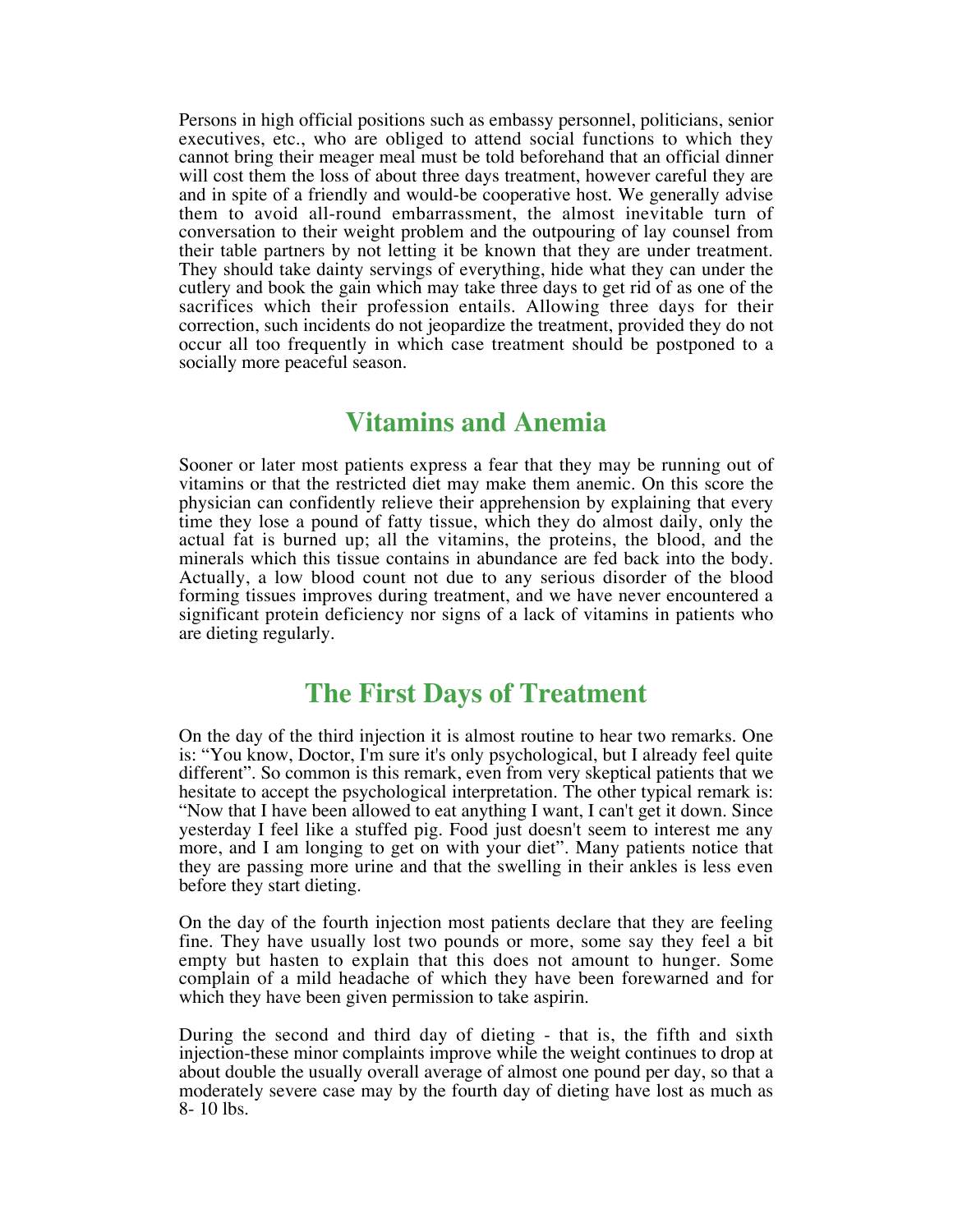Persons in high official positions such as embassy personnel, politicians, senior executives, etc., who are obliged to attend social functions to which they cannot bring their meager meal must be told beforehand that an official dinner will cost them the loss of about three days treatment, however careful they are and in spite of a friendly and would-be cooperative host. We generally advise them to avoid all-round embarrassment, the almost inevitable turn of conversation to their weight problem and the outpouring of lay counsel from their table partners by not letting it be known that they are under treatment. They should take dainty servings of everything, hide what they can under the cutlery and book the gain which may take three days to get rid of as one of the sacrifices which their profession entails. Allowing three days for their correction, such incidents do not jeopardize the treatment, provided they do not occur all too frequently in which case treatment should be postponed to a socially more peaceful season.

#### **Vitamins and Anemia**

Sooner or later most patients express a fear that they may be running out of vitamins or that the restricted diet may make them anemic. On this score the physician can confidently relieve their apprehension by explaining that every time they lose a pound of fatty tissue, which they do almost daily, only the actual fat is burned up; all the vitamins, the proteins, the blood, and the minerals which this tissue contains in abundance are fed back into the body. Actually, a low blood count not due to any serious disorder of the blood forming tissues improves during treatment, and we have never encountered a significant protein deficiency nor signs of a lack of vitamins in patients who are dieting regularly.

#### **The First Days of Treatment**

On the day of the third injection it is almost routine to hear two remarks. One is: "You know, Doctor, I'm sure it's only psychological, but I already feel quite different". So common is this remark, even from very skeptical patients that we hesitate to accept the psychological interpretation. The other typical remark is: "Now that I have been allowed to eat anything I want, I can't get it down. Since yesterday I feel like a stuffed pig. Food just doesn't seem to interest me any more, and I am longing to get on with your diet". Many patients notice that they are passing more urine and that the swelling in their ankles is less even before they start dieting.

On the day of the fourth injection most patients declare that they are feeling fine. They have usually lost two pounds or more, some say they feel a bit empty but hasten to explain that this does not amount to hunger. Some complain of a mild headache of which they have been forewarned and for which they have been given permission to take aspirin.

During the second and third day of dieting - that is, the fifth and sixth injection-these minor complaints improve while the weight continues to drop at about double the usually overall average of almost one pound per day, so that a moderately severe case may by the fourth day of dieting have lost as much as 8- 10 lbs.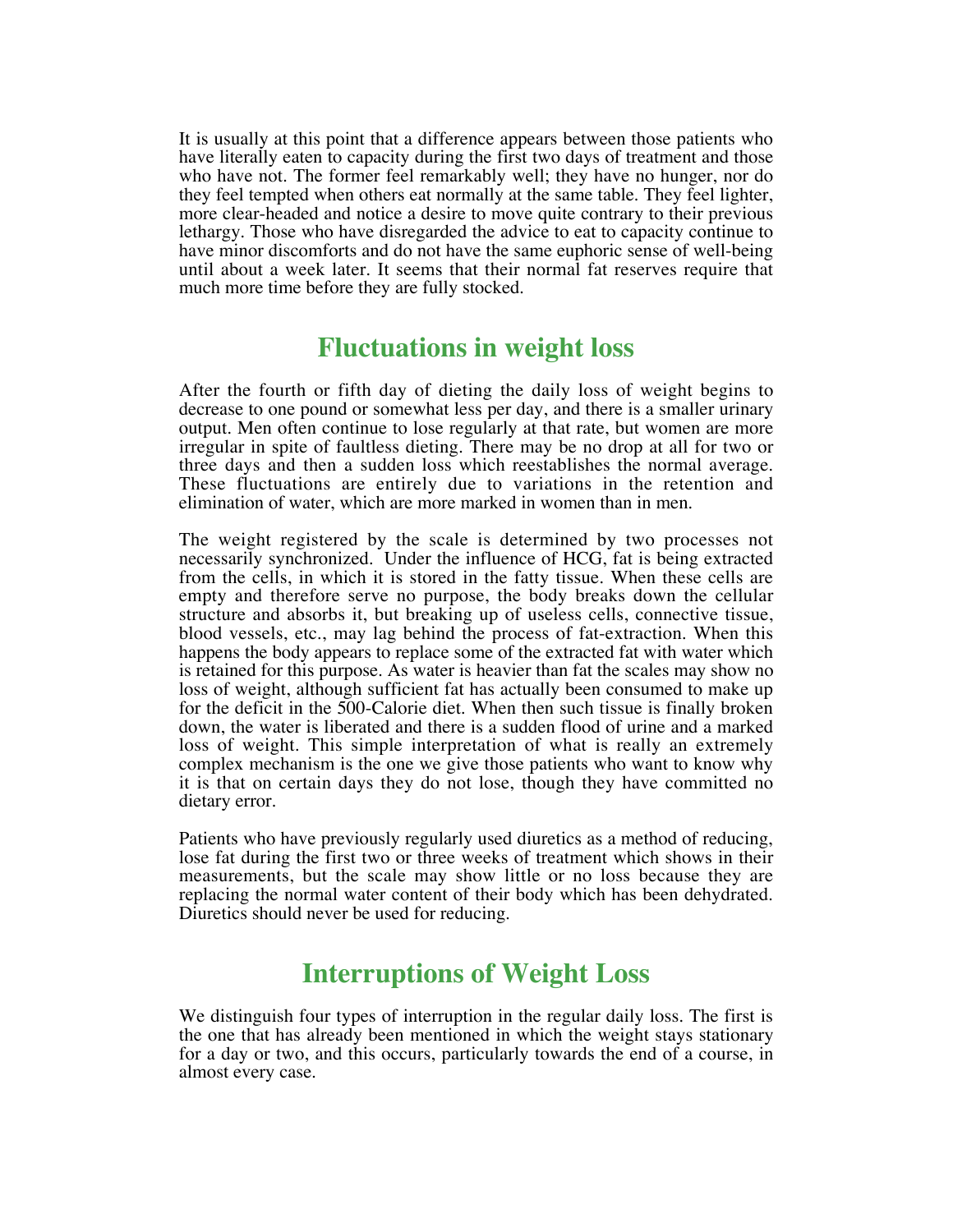It is usually at this point that a difference appears between those patients who have literally eaten to capacity during the first two days of treatment and those who have not. The former feel remarkably well; they have no hunger, nor do they feel tempted when others eat normally at the same table. They feel lighter, more clear-headed and notice a desire to move quite contrary to their previous lethargy. Those who have disregarded the advice to eat to capacity continue to have minor discomforts and do not have the same euphoric sense of well-being until about a week later. It seems that their normal fat reserves require that much more time before they are fully stocked.

#### **Fluctuations in weight loss**

After the fourth or fifth day of dieting the daily loss of weight begins to decrease to one pound or somewhat less per day, and there is a smaller urinary output. Men often continue to lose regularly at that rate, but women are more irregular in spite of faultless dieting. There may be no drop at all for two or three days and then a sudden loss which reestablishes the normal average. These fluctuations are entirely due to variations in the retention and elimination of water, which are more marked in women than in men.

The weight registered by the scale is determined by two processes not necessarily synchronized. Under the influence of HCG, fat is being extracted from the cells, in which it is stored in the fatty tissue. When these cells are empty and therefore serve no purpose, the body breaks down the cellular structure and absorbs it, but breaking up of useless cells, connective tissue, blood vessels, etc., may lag behind the process of fat-extraction. When this happens the body appears to replace some of the extracted fat with water which is retained for this purpose. As water is heavier than fat the scales may show no loss of weight, although sufficient fat has actually been consumed to make up for the deficit in the 500-Calorie diet. When then such tissue is finally broken down, the water is liberated and there is a sudden flood of urine and a marked loss of weight. This simple interpretation of what is really an extremely complex mechanism is the one we give those patients who want to know why it is that on certain days they do not lose, though they have committed no dietary error.

Patients who have previously regularly used diuretics as a method of reducing, lose fat during the first two or three weeks of treatment which shows in their measurements, but the scale may show little or no loss because they are replacing the normal water content of their body which has been dehydrated. Diuretics should never be used for reducing.

# **Interruptions of Weight Loss**

We distinguish four types of interruption in the regular daily loss. The first is the one that has already been mentioned in which the weight stays stationary for a day or two, and this occurs, particularly towards the end of a course, in almost every case.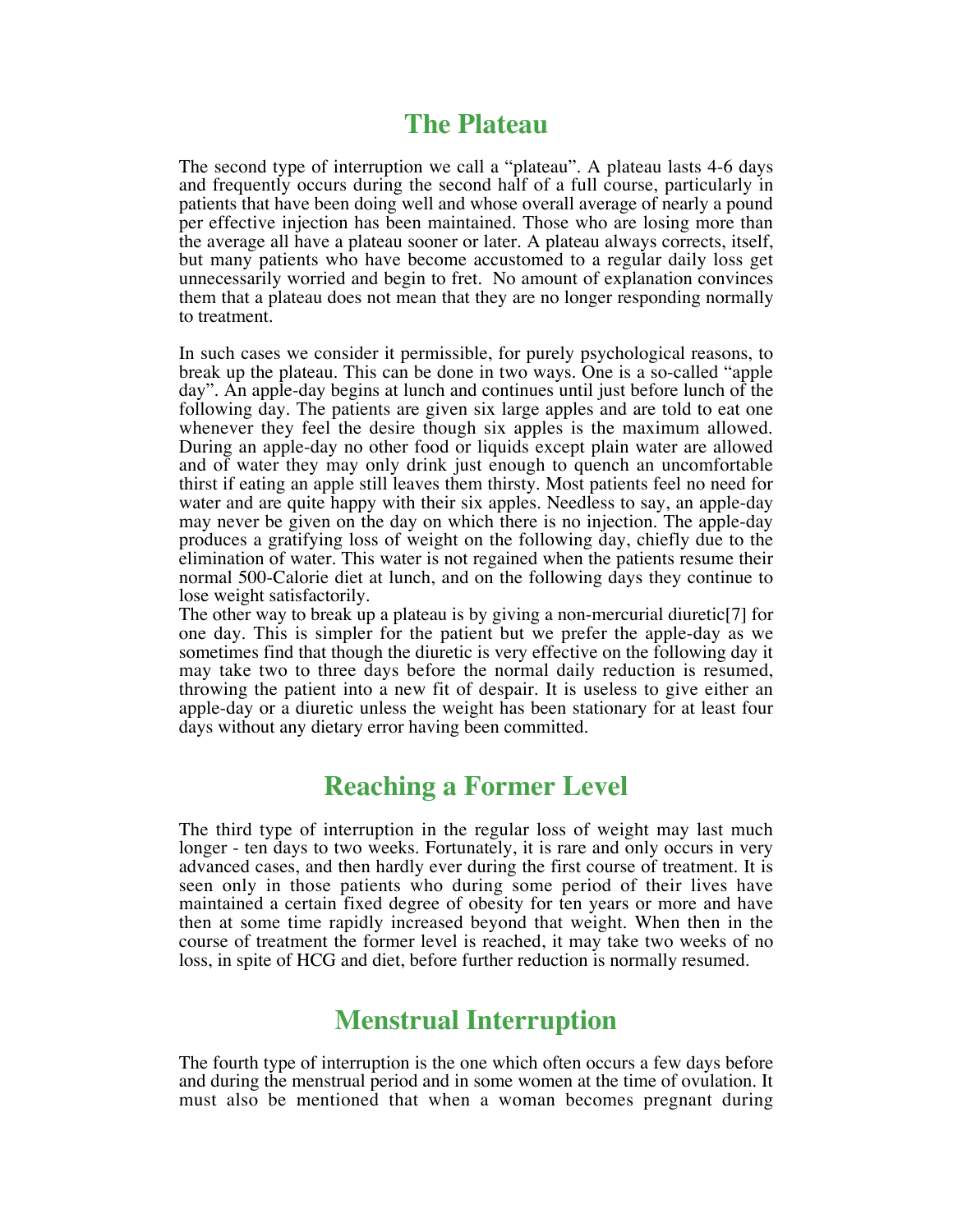#### **The Plateau**

The second type of interruption we call a "plateau". A plateau lasts 4-6 days and frequently occurs during the second half of a full course, particularly in patients that have been doing well and whose overall average of nearly a pound per effective injection has been maintained. Those who are losing more than the average all have a plateau sooner or later. A plateau always corrects, itself, but many patients who have become accustomed to a regular daily loss get unnecessarily worried and begin to fret. No amount of explanation convinces them that a plateau does not mean that they are no longer responding normally to treatment.

In such cases we consider it permissible, for purely psychological reasons, to break up the plateau. This can be done in two ways. One is a so-called "apple day". An apple-day begins at lunch and continues until just before lunch of the following day. The patients are given six large apples and are told to eat one whenever they feel the desire though six apples is the maximum allowed. During an apple-day no other food or liquids except plain water are allowed and of water they may only drink just enough to quench an uncomfortable thirst if eating an apple still leaves them thirsty. Most patients feel no need for water and are quite happy with their six apples. Needless to say, an apple-day may never be given on the day on which there is no injection. The apple-day produces a gratifying loss of weight on the following day, chiefly due to the elimination of water. This water is not regained when the patients resume their normal 500-Calorie diet at lunch, and on the following days they continue to lose weight satisfactorily.

The other way to break up a plateau is by giving a non-mercurial diuretic[7] for one day. This is simpler for the patient but we prefer the apple-day as we sometimes find that though the diuretic is very effective on the following day it may take two to three days before the normal daily reduction is resumed, throwing the patient into a new fit of despair. It is useless to give either an apple-day or a diuretic unless the weight has been stationary for at least four days without any dietary error having been committed.

### **Reaching a Former Level**

The third type of interruption in the regular loss of weight may last much longer - ten days to two weeks. Fortunately, it is rare and only occurs in very advanced cases, and then hardly ever during the first course of treatment. It is seen only in those patients who during some period of their lives have maintained a certain fixed degree of obesity for ten years or more and have then at some time rapidly increased beyond that weight. When then in the course of treatment the former level is reached, it may take two weeks of no loss, in spite of HCG and diet, before further reduction is normally resumed.

### **Menstrual Interruption**

The fourth type of interruption is the one which often occurs a few days before and during the menstrual period and in some women at the time of ovulation. It must also be mentioned that when a woman becomes pregnant during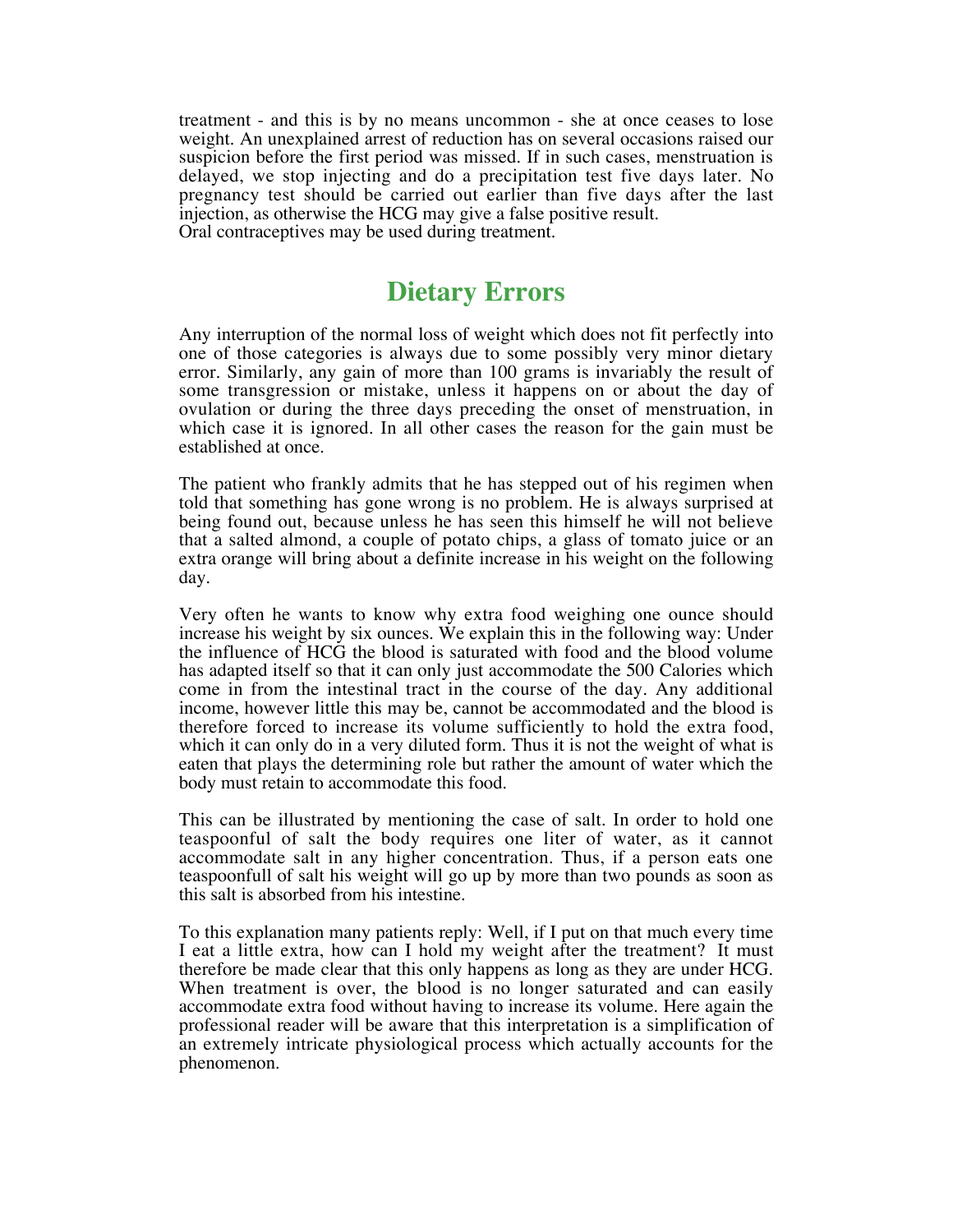treatment - and this is by no means uncommon - she at once ceases to lose weight. An unexplained arrest of reduction has on several occasions raised our suspicion before the first period was missed. If in such cases, menstruation is delayed, we stop injecting and do a precipitation test five days later. No pregnancy test should be carried out earlier than five days after the last injection, as otherwise the HCG may give a false positive result. Oral contraceptives may be used during treatment.

#### **Dietary Errors**

Any interruption of the normal loss of weight which does not fit perfectly into one of those categories is always due to some possibly very minor dietary error. Similarly, any gain of more than 100 grams is invariably the result of some transgression or mistake, unless it happens on or about the day of ovulation or during the three days preceding the onset of menstruation, in which case it is ignored. In all other cases the reason for the gain must be established at once.

The patient who frankly admits that he has stepped out of his regimen when told that something has gone wrong is no problem. He is always surprised at being found out, because unless he has seen this himself he will not believe that a salted almond, a couple of potato chips, a glass of tomato juice or an extra orange will bring about a definite increase in his weight on the following day.

Very often he wants to know why extra food weighing one ounce should increase his weight by six ounces. We explain this in the following way: Under the influence of HCG the blood is saturated with food and the blood volume has adapted itself so that it can only just accommodate the 500 Calories which come in from the intestinal tract in the course of the day. Any additional income, however little this may be, cannot be accommodated and the blood is therefore forced to increase its volume sufficiently to hold the extra food, which it can only do in a very diluted form. Thus it is not the weight of what is eaten that plays the determining role but rather the amount of water which the body must retain to accommodate this food.

This can be illustrated by mentioning the case of salt. In order to hold one teaspoonful of salt the body requires one liter of water, as it cannot accommodate salt in any higher concentration. Thus, if a person eats one teaspoonfull of salt his weight will go up by more than two pounds as soon as this salt is absorbed from his intestine.

To this explanation many patients reply: Well, if I put on that much every time I eat a little extra, how can I hold my weight after the treatment? It must therefore be made clear that this only happens as long as they are under HCG. When treatment is over, the blood is no longer saturated and can easily accommodate extra food without having to increase its volume. Here again the professional reader will be aware that this interpretation is a simplification of an extremely intricate physiological process which actually accounts for the phenomenon.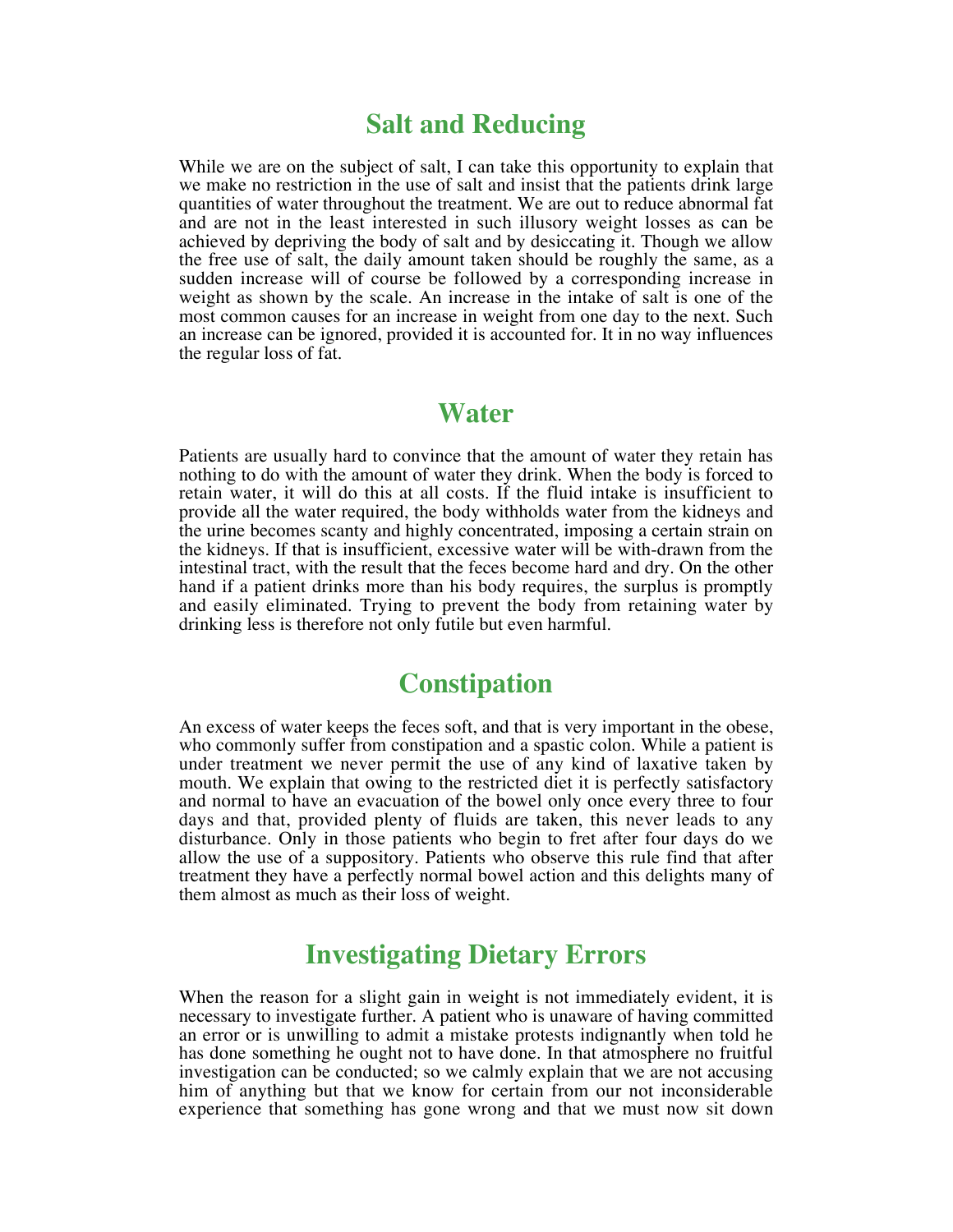#### **Salt and Reducing**

While we are on the subject of salt, I can take this opportunity to explain that we make no restriction in the use of salt and insist that the patients drink large quantities of water throughout the treatment. We are out to reduce abnormal fat and are not in the least interested in such illusory weight losses as can be achieved by depriving the body of salt and by desiccating it. Though we allow the free use of salt, the daily amount taken should be roughly the same, as a sudden increase will of course be followed by a corresponding increase in weight as shown by the scale. An increase in the intake of salt is one of the most common causes for an increase in weight from one day to the next. Such an increase can be ignored, provided it is accounted for. It in no way influences the regular loss of fat.

#### **Water**

Patients are usually hard to convince that the amount of water they retain has nothing to do with the amount of water they drink. When the body is forced to retain water, it will do this at all costs. If the fluid intake is insufficient to provide all the water required, the body withholds water from the kidneys and the urine becomes scanty and highly concentrated, imposing a certain strain on the kidneys. If that is insufficient, excessive water will be with-drawn from the intestinal tract, with the result that the feces become hard and dry. On the other hand if a patient drinks more than his body requires, the surplus is promptly and easily eliminated. Trying to prevent the body from retaining water by drinking less is therefore not only futile but even harmful.

#### **Constipation**

An excess of water keeps the feces soft, and that is very important in the obese, who commonly suffer from constipation and a spastic colon. While a patient is under treatment we never permit the use of any kind of laxative taken by mouth. We explain that owing to the restricted diet it is perfectly satisfactory and normal to have an evacuation of the bowel only once every three to four days and that, provided plenty of fluids are taken, this never leads to any disturbance. Only in those patients who begin to fret after four days do we allow the use of a suppository. Patients who observe this rule find that after treatment they have a perfectly normal bowel action and this delights many of them almost as much as their loss of weight.

#### **Investigating Dietary Errors**

When the reason for a slight gain in weight is not immediately evident, it is necessary to investigate further. A patient who is unaware of having committed an error or is unwilling to admit a mistake protests indignantly when told he has done something he ought not to have done. In that atmosphere no fruitful investigation can be conducted; so we calmly explain that we are not accusing him of anything but that we know for certain from our not inconsiderable experience that something has gone wrong and that we must now sit down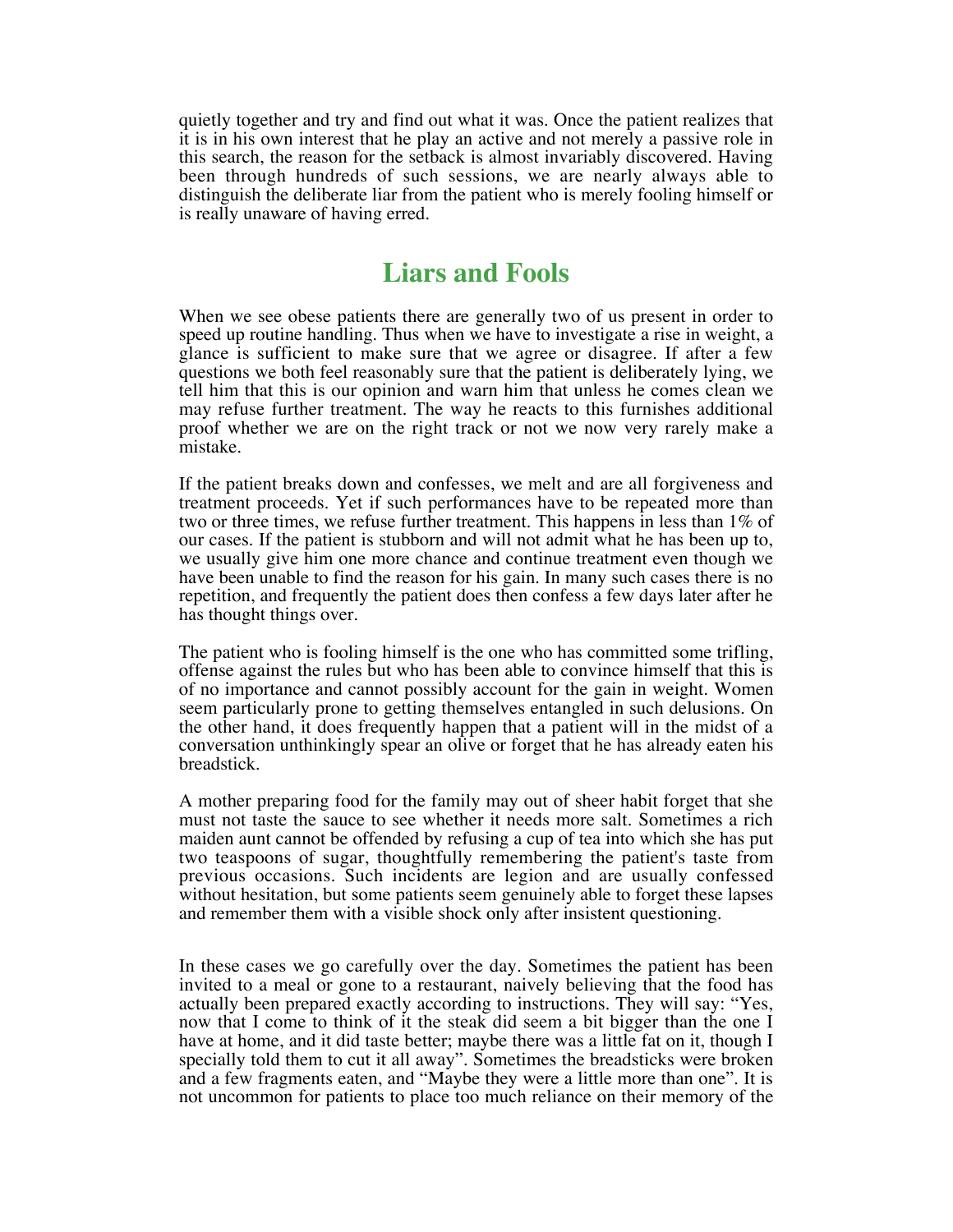quietly together and try and find out what it was. Once the patient realizes that it is in his own interest that he play an active and not merely a passive role in this search, the reason for the setback is almost invariably discovered. Having been through hundreds of such sessions, we are nearly always able to distinguish the deliberate liar from the patient who is merely fooling himself or is really unaware of having erred.

### **Liars and Fools**

When we see obese patients there are generally two of us present in order to speed up routine handling. Thus when we have to investigate a rise in weight, a glance is sufficient to make sure that we agree or disagree. If after a few questions we both feel reasonably sure that the patient is deliberately lying, we tell him that this is our opinion and warn him that unless he comes clean we may refuse further treatment. The way he reacts to this furnishes additional proof whether we are on the right track or not we now very rarely make a mistake.

If the patient breaks down and confesses, we melt and are all forgiveness and treatment proceeds. Yet if such performances have to be repeated more than two or three times, we refuse further treatment. This happens in less than 1% of our cases. If the patient is stubborn and will not admit what he has been up to, we usually give him one more chance and continue treatment even though we have been unable to find the reason for his gain. In many such cases there is no repetition, and frequently the patient does then confess a few days later after he has thought things over.

The patient who is fooling himself is the one who has committed some trifling, offense against the rules but who has been able to convince himself that this is of no importance and cannot possibly account for the gain in weight. Women seem particularly prone to getting themselves entangled in such delusions. On the other hand, it does frequently happen that a patient will in the midst of a conversation unthinkingly spear an olive or forget that he has already eaten his breadstick.

A mother preparing food for the family may out of sheer habit forget that she must not taste the sauce to see whether it needs more salt. Sometimes a rich maiden aunt cannot be offended by refusing a cup of tea into which she has put two teaspoons of sugar, thoughtfully remembering the patient's taste from previous occasions. Such incidents are legion and are usually confessed without hesitation, but some patients seem genuinely able to forget these lapses and remember them with a visible shock only after insistent questioning.

In these cases we go carefully over the day. Sometimes the patient has been invited to a meal or gone to a restaurant, naively believing that the food has actually been prepared exactly according to instructions. They will say: "Yes, now that I come to think of it the steak did seem a bit bigger than the one I have at home, and it did taste better; maybe there was a little fat on it, though I specially told them to cut it all away". Sometimes the breadsticks were broken and a few fragments eaten, and "Maybe they were a little more than one". It is not uncommon for patients to place too much reliance on their memory of the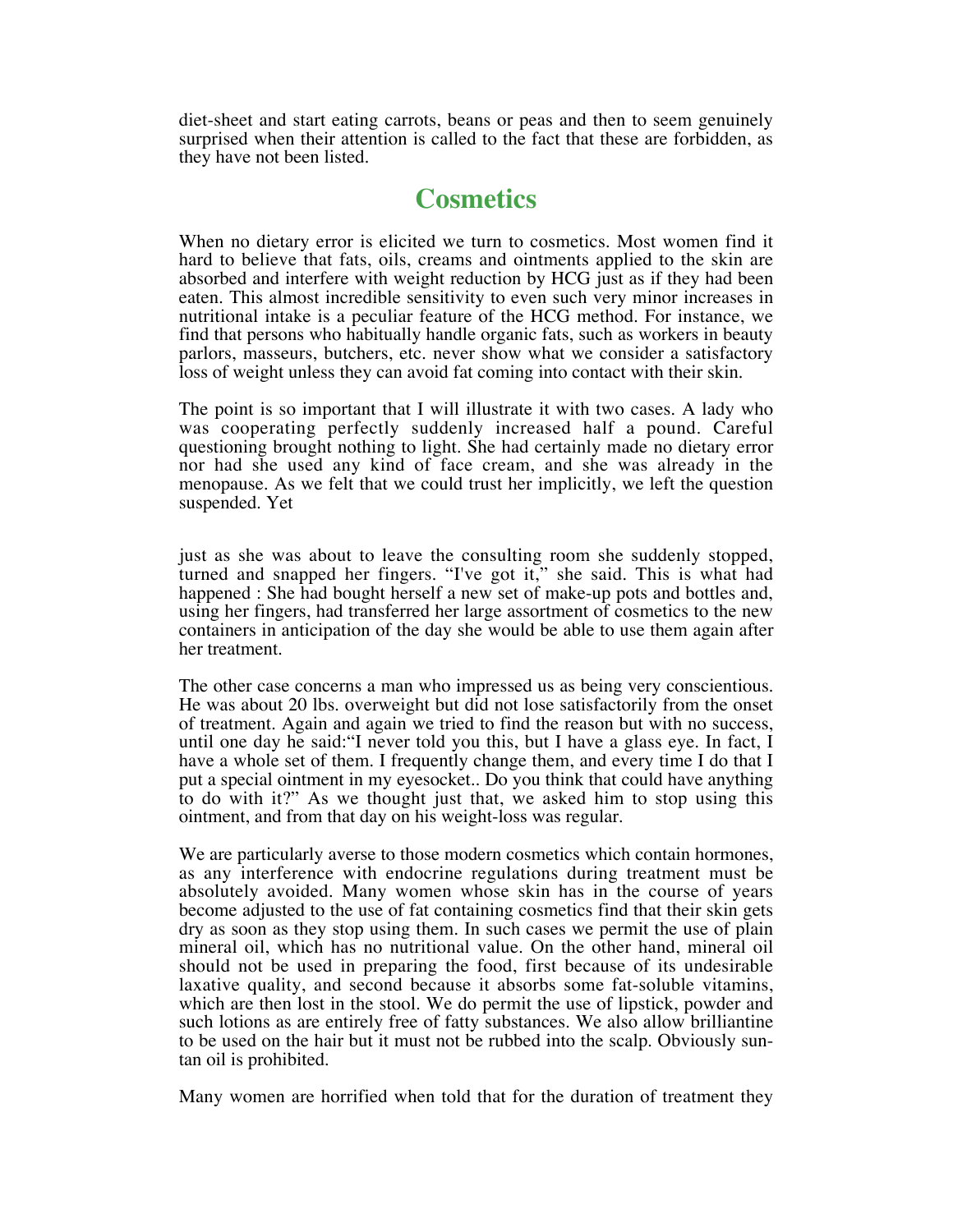diet-sheet and start eating carrots, beans or peas and then to seem genuinely surprised when their attention is called to the fact that these are forbidden, as they have not been listed.

#### **Cosmetics**

When no dietary error is elicited we turn to cosmetics. Most women find it hard to believe that fats, oils, creams and ointments applied to the skin are absorbed and interfere with weight reduction by HCG just as if they had been eaten. This almost incredible sensitivity to even such very minor increases in nutritional intake is a peculiar feature of the HCG method. For instance, we find that persons who habitually handle organic fats, such as workers in beauty parlors, masseurs, butchers, etc. never show what we consider a satisfactory loss of weight unless they can avoid fat coming into contact with their skin.

The point is so important that I will illustrate it with two cases. A lady who was cooperating perfectly suddenly increased half a pound. Careful questioning brought nothing to light. She had certainly made no dietary error nor had she used any kind of face cream, and she was already in the menopause. As we felt that we could trust her implicitly, we left the question suspended. Yet

just as she was about to leave the consulting room she suddenly stopped, turned and snapped her fingers. "I've got it," she said. This is what had happened : She had bought herself a new set of make-up pots and bottles and, using her fingers, had transferred her large assortment of cosmetics to the new containers in anticipation of the day she would be able to use them again after her treatment.

The other case concerns a man who impressed us as being very conscientious. He was about 20 lbs. overweight but did not lose satisfactorily from the onset of treatment. Again and again we tried to find the reason but with no success, until one day he said:"I never told you this, but I have a glass eye. In fact, I have a whole set of them. I frequently change them, and every time I do that I put a special ointment in my eyesocket.. Do you think that could have anything to do with it?" As we thought just that, we asked him to stop using this ointment, and from that day on his weight-loss was regular.

We are particularly averse to those modern cosmetics which contain hormones, as any interference with endocrine regulations during treatment must be absolutely avoided. Many women whose skin has in the course of years become adjusted to the use of fat containing cosmetics find that their skin gets dry as soon as they stop using them. In such cases we permit the use of plain mineral oil, which has no nutritional value. On the other hand, mineral oil should not be used in preparing the food, first because of its undesirable laxative quality, and second because it absorbs some fat-soluble vitamins, which are then lost in the stool. We do permit the use of lipstick, powder and such lotions as are entirely free of fatty substances. We also allow brilliantine to be used on the hair but it must not be rubbed into the scalp. Obviously suntan oil is prohibited.

Many women are horrified when told that for the duration of treatment they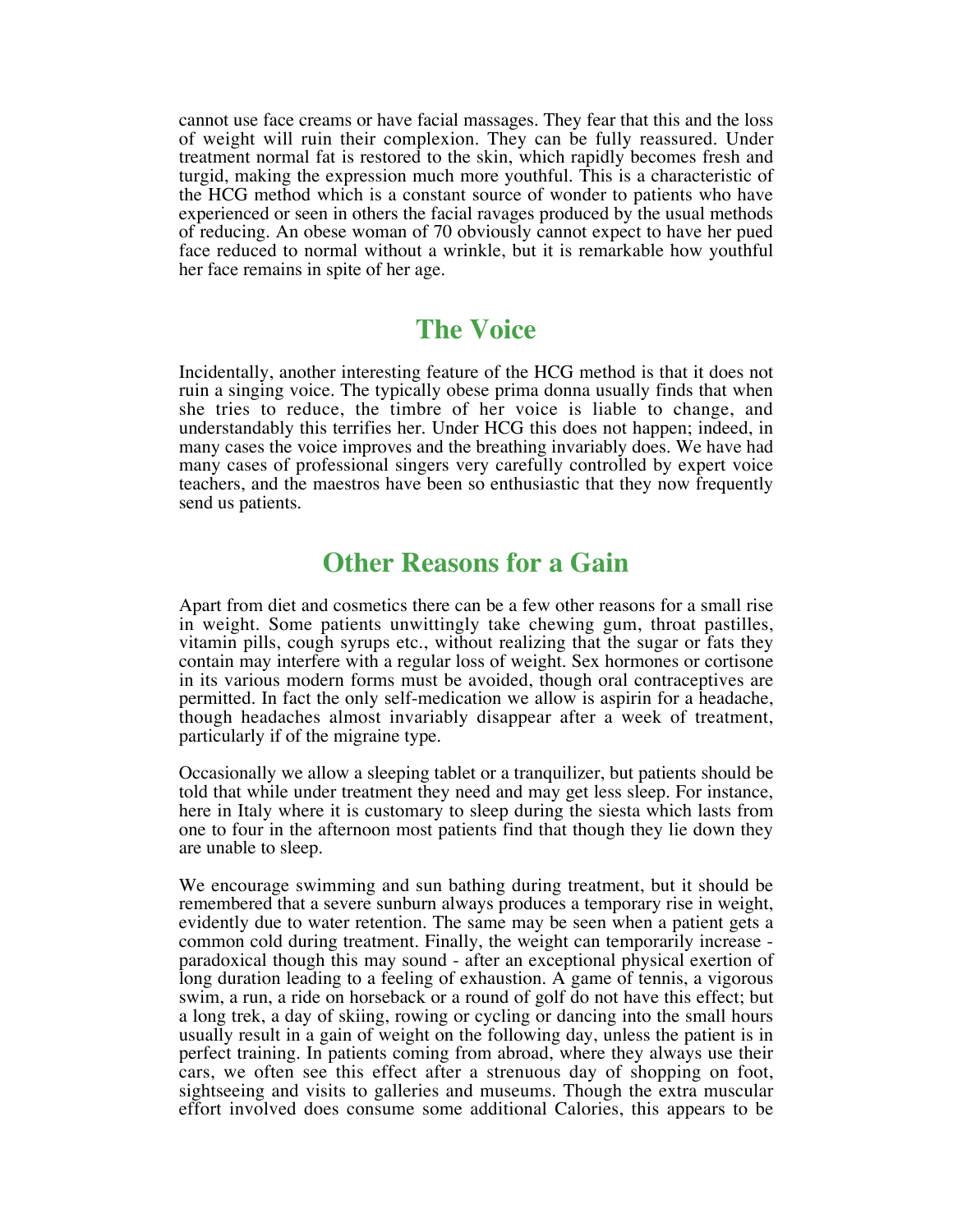cannot use face creams or have facial massages. They fear that this and the loss of weight will ruin their complexion. They can be fully reassured. Under treatment normal fat is restored to the skin, which rapidly becomes fresh and turgid, making the expression much more youthful. This is a characteristic of the HCG method which is a constant source of wonder to patients who have experienced or seen in others the facial ravages produced by the usual methods of reducing. An obese woman of 70 obviously cannot expect to have her pued face reduced to normal without a wrinkle, but it is remarkable how youthful her face remains in spite of her age.

#### **The Voice**

Incidentally, another interesting feature of the HCG method is that it does not ruin a singing voice. The typically obese prima donna usually finds that when she tries to reduce, the timbre of her voice is liable to change, and understandably this terrifies her. Under HCG this does not happen; indeed, in many cases the voice improves and the breathing invariably does. We have had many cases of professional singers very carefully controlled by expert voice teachers, and the maestros have been so enthusiastic that they now frequently send us patients.

#### **Other Reasons for a Gain**

Apart from diet and cosmetics there can be a few other reasons for a small rise in weight. Some patients unwittingly take chewing gum, throat pastilles, vitamin pills, cough syrups etc., without realizing that the sugar or fats they contain may interfere with a regular loss of weight. Sex hormones or cortisone in its various modern forms must be avoided, though oral contraceptives are permitted. In fact the only self-medication we allow is aspirin for a headache, though headaches almost invariably disappear after a week of treatment, particularly if of the migraine type.

Occasionally we allow a sleeping tablet or a tranquilizer, but patients should be told that while under treatment they need and may get less sleep. For instance, here in Italy where it is customary to sleep during the siesta which lasts from one to four in the afternoon most patients find that though they lie down they are unable to sleep.

We encourage swimming and sun bathing during treatment, but it should be remembered that a severe sunburn always produces a temporary rise in weight, evidently due to water retention. The same may be seen when a patient gets a common cold during treatment. Finally, the weight can temporarily increase paradoxical though this may sound - after an exceptional physical exertion of long duration leading to a feeling of exhaustion. A game of tennis, a vigorous swim, a run, a ride on horseback or a round of golf do not have this effect; but a long trek, a day of skiing, rowing or cycling or dancing into the small hours usually result in a gain of weight on the following day, unless the patient is in perfect training. In patients coming from abroad, where they always use their cars, we often see this effect after a strenuous day of shopping on foot, sightseeing and visits to galleries and museums. Though the extra muscular effort involved does consume some additional Calories, this appears to be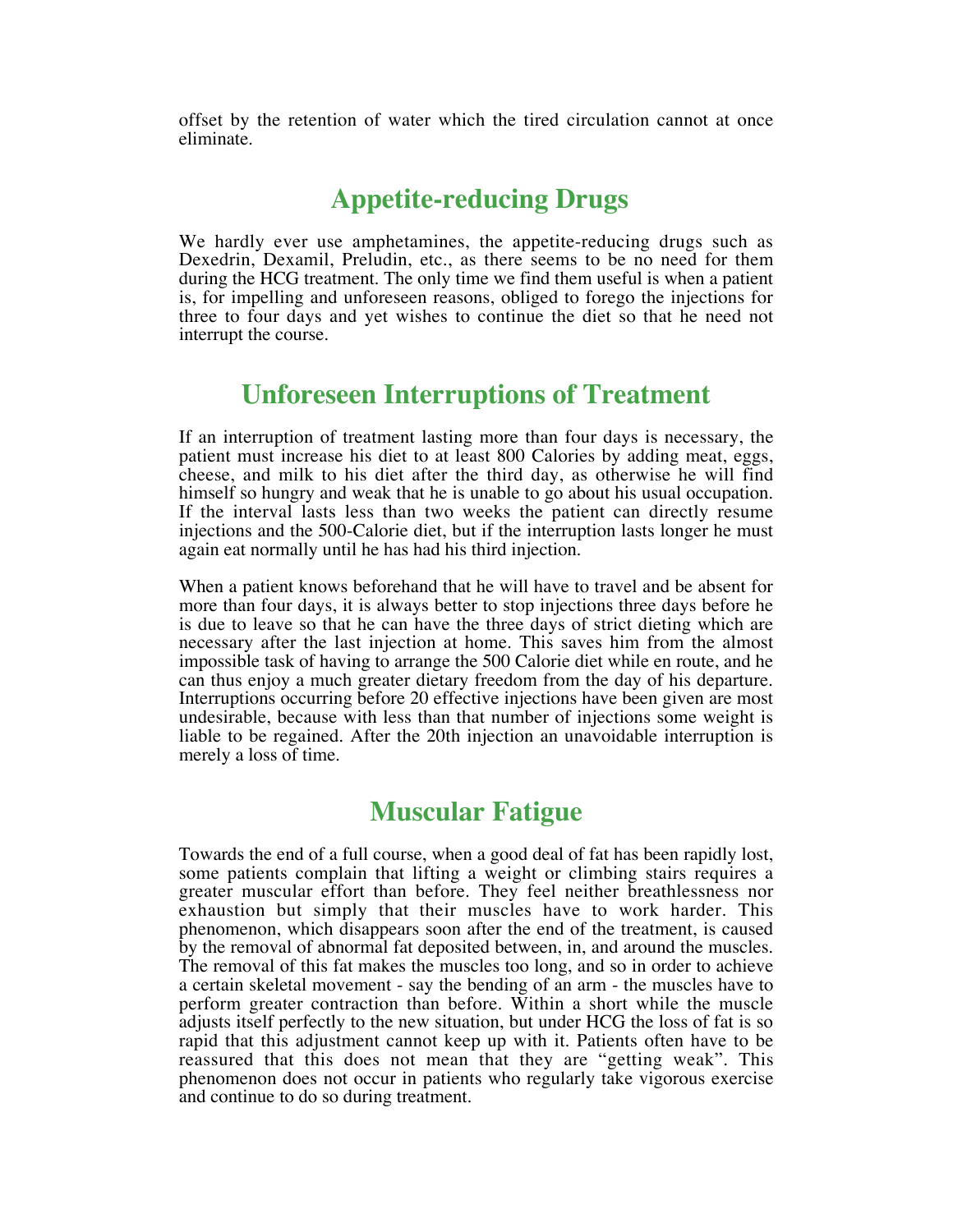offset by the retention of water which the tired circulation cannot at once eliminate.

## **Appetite-reducing Drugs**

We hardly ever use amphetamines, the appetite-reducing drugs such as Dexedrin, Dexamil, Preludin, etc., as there seems to be no need for them during the HCG treatment. The only time we find them useful is when a patient is, for impelling and unforeseen reasons, obliged to forego the injections for three to four days and yet wishes to continue the diet so that he need not interrupt the course.

#### **Unforeseen Interruptions of Treatment**

If an interruption of treatment lasting more than four days is necessary, the patient must increase his diet to at least 800 Calories by adding meat, eggs, cheese, and milk to his diet after the third day, as otherwise he will find himself so hungry and weak that he is unable to go about his usual occupation. If the interval lasts less than two weeks the patient can directly resume injections and the 500-Calorie diet, but if the interruption lasts longer he must again eat normally until he has had his third injection.

When a patient knows beforehand that he will have to travel and be absent for more than four days, it is always better to stop injections three days before he is due to leave so that he can have the three days of strict dieting which are necessary after the last injection at home. This saves him from the almost impossible task of having to arrange the 500 Calorie diet while en route, and he can thus enjoy a much greater dietary freedom from the day of his departure. Interruptions occurring before 20 effective injections have been given are most undesirable, because with less than that number of injections some weight is liable to be regained. After the 20th injection an unavoidable interruption is merely a loss of time.

#### **Muscular Fatigue**

Towards the end of a full course, when a good deal of fat has been rapidly lost, some patients complain that lifting a weight or climbing stairs requires a greater muscular effort than before. They feel neither breathlessness nor exhaustion but simply that their muscles have to work harder. This phenomenon, which disappears soon after the end of the treatment, is caused by the removal of abnormal fat deposited between, in, and around the muscles. The removal of this fat makes the muscles too long, and so in order to achieve a certain skeletal movement - say the bending of an arm - the muscles have to perform greater contraction than before. Within a short while the muscle adjusts itself perfectly to the new situation, but under HCG the loss of fat is so rapid that this adjustment cannot keep up with it. Patients often have to be reassured that this does not mean that they are "getting weak". This phenomenon does not occur in patients who regularly take vigorous exercise and continue to do so during treatment.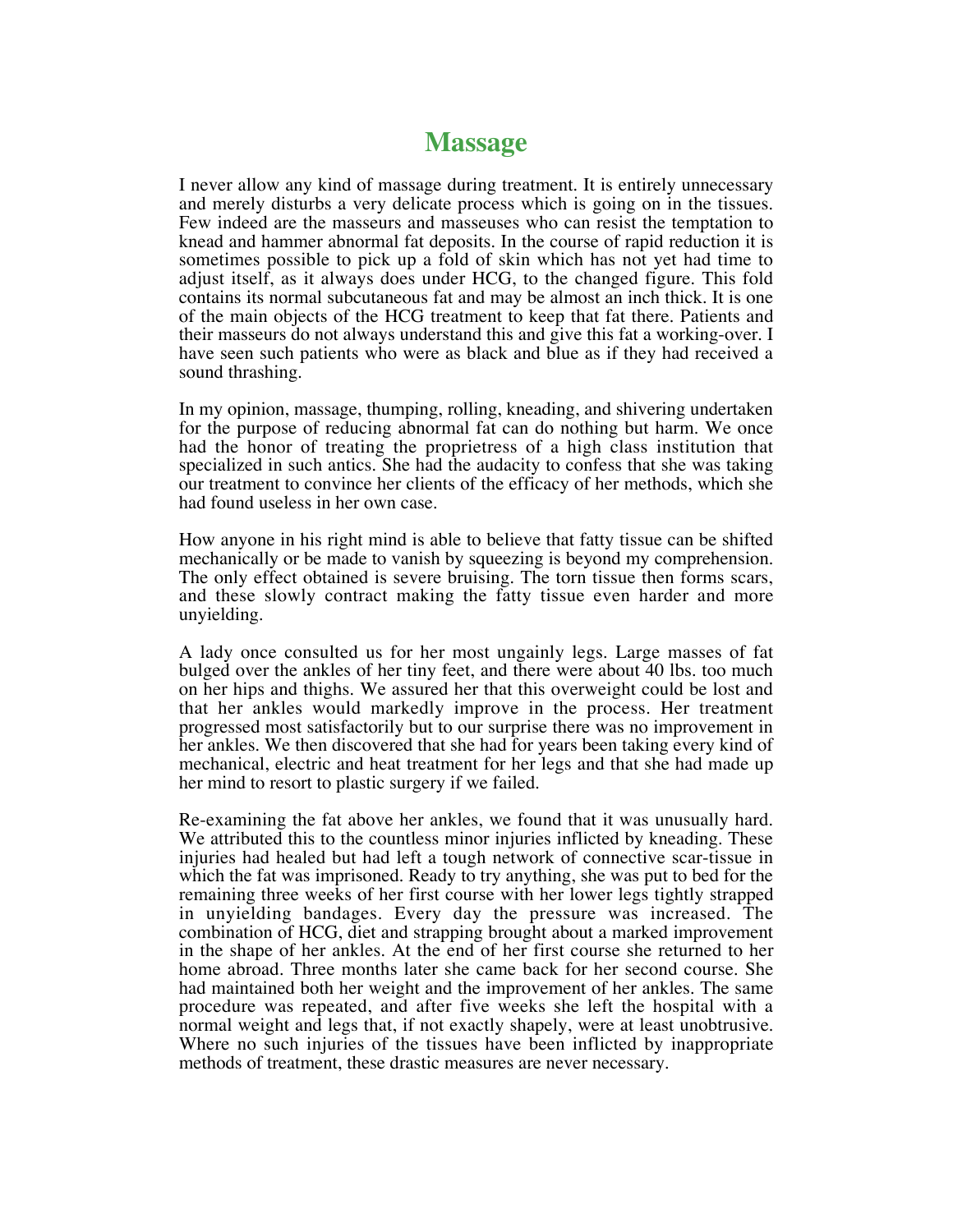#### **Massage**

I never allow any kind of massage during treatment. It is entirely unnecessary and merely disturbs a very delicate process which is going on in the tissues. Few indeed are the masseurs and masseuses who can resist the temptation to knead and hammer abnormal fat deposits. In the course of rapid reduction it is sometimes possible to pick up a fold of skin which has not yet had time to adjust itself, as it always does under HCG, to the changed figure. This fold contains its normal subcutaneous fat and may be almost an inch thick. It is one of the main objects of the HCG treatment to keep that fat there. Patients and their masseurs do not always understand this and give this fat a working-over. I have seen such patients who were as black and blue as if they had received a sound thrashing.

In my opinion, massage, thumping, rolling, kneading, and shivering undertaken for the purpose of reducing abnormal fat can do nothing but harm. We once had the honor of treating the proprietress of a high class institution that specialized in such antics. She had the audacity to confess that she was taking our treatment to convince her clients of the efficacy of her methods, which she had found useless in her own case.

How anyone in his right mind is able to believe that fatty tissue can be shifted mechanically or be made to vanish by squeezing is beyond my comprehension. The only effect obtained is severe bruising. The torn tissue then forms scars, and these slowly contract making the fatty tissue even harder and more unyielding.

A lady once consulted us for her most ungainly legs. Large masses of fat bulged over the ankles of her tiny feet, and there were about 40 lbs. too much on her hips and thighs. We assured her that this overweight could be lost and that her ankles would markedly improve in the process. Her treatment progressed most satisfactorily but to our surprise there was no improvement in her ankles. We then discovered that she had for years been taking every kind of mechanical, electric and heat treatment for her legs and that she had made up her mind to resort to plastic surgery if we failed.

Re-examining the fat above her ankles, we found that it was unusually hard. We attributed this to the countless minor injuries inflicted by kneading. These injuries had healed but had left a tough network of connective scar-tissue in which the fat was imprisoned. Ready to try anything, she was put to bed for the remaining three weeks of her first course with her lower legs tightly strapped in unyielding bandages. Every day the pressure was increased. The combination of HCG, diet and strapping brought about a marked improvement in the shape of her ankles. At the end of her first course she returned to her home abroad. Three months later she came back for her second course. She had maintained both her weight and the improvement of her ankles. The same procedure was repeated, and after five weeks she left the hospital with a normal weight and legs that, if not exactly shapely, were at least unobtrusive. Where no such injuries of the tissues have been inflicted by inappropriate methods of treatment, these drastic measures are never necessary.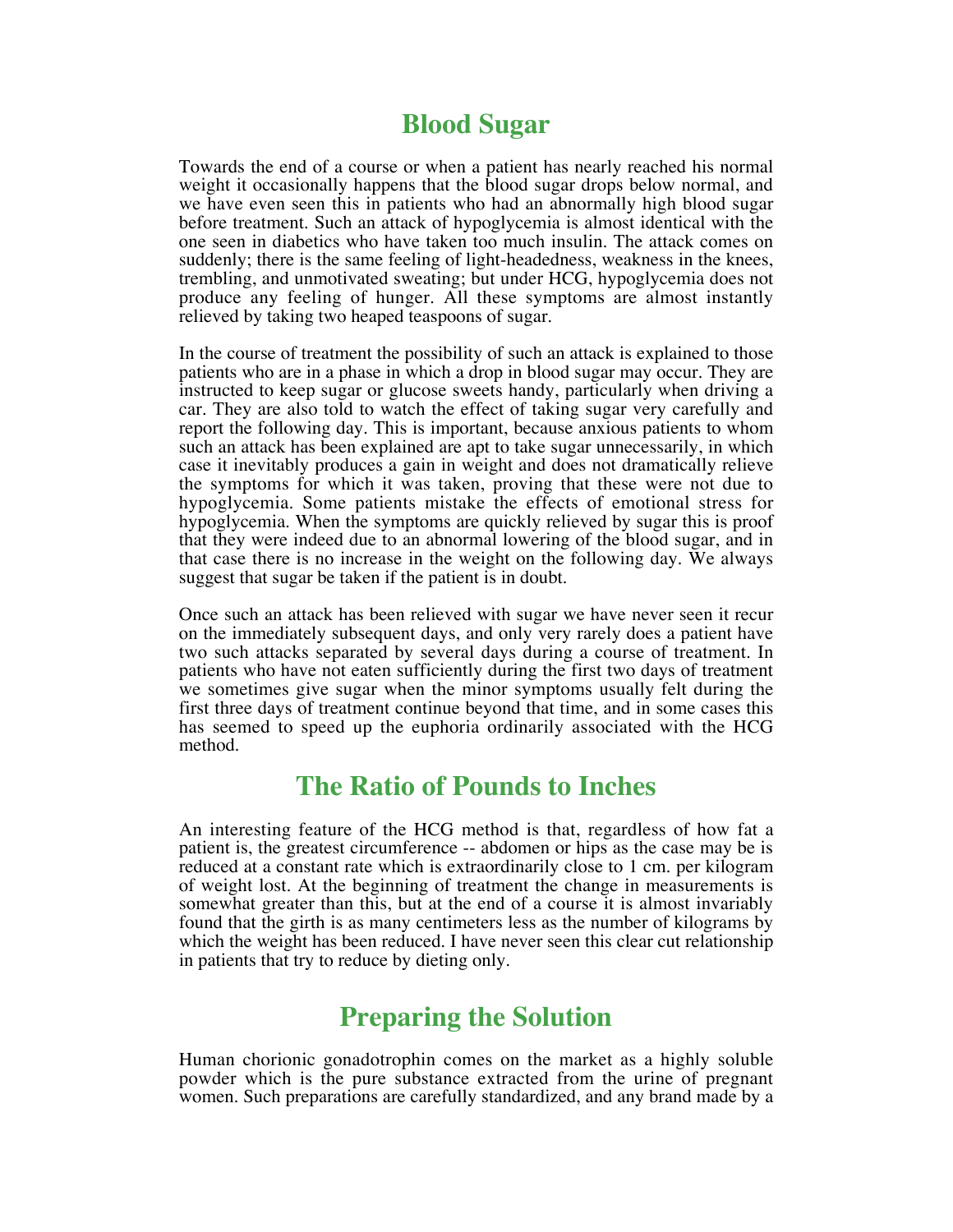#### **Blood Sugar**

Towards the end of a course or when a patient has nearly reached his normal weight it occasionally happens that the blood sugar drops below normal, and we have even seen this in patients who had an abnormally high blood sugar before treatment. Such an attack of hypoglycemia is almost identical with the one seen in diabetics who have taken too much insulin. The attack comes on suddenly; there is the same feeling of light-headedness, weakness in the knees, trembling, and unmotivated sweating; but under HCG, hypoglycemia does not produce any feeling of hunger. All these symptoms are almost instantly relieved by taking two heaped teaspoons of sugar.

In the course of treatment the possibility of such an attack is explained to those patients who are in a phase in which a drop in blood sugar may occur. They are instructed to keep sugar or glucose sweets handy, particularly when driving a car. They are also told to watch the effect of taking sugar very carefully and report the following day. This is important, because anxious patients to whom such an attack has been explained are apt to take sugar unnecessarily, in which case it inevitably produces a gain in weight and does not dramatically relieve the symptoms for which it was taken, proving that these were not due to hypoglycemia. Some patients mistake the effects of emotional stress for hypoglycemia. When the symptoms are quickly relieved by sugar this is proof that they were indeed due to an abnormal lowering of the blood sugar, and in that case there is no increase in the weight on the following day. We always suggest that sugar be taken if the patient is in doubt.

Once such an attack has been relieved with sugar we have never seen it recur on the immediately subsequent days, and only very rarely does a patient have two such attacks separated by several days during a course of treatment. In patients who have not eaten sufficiently during the first two days of treatment we sometimes give sugar when the minor symptoms usually felt during the first three days of treatment continue beyond that time, and in some cases this has seemed to speed up the euphoria ordinarily associated with the HCG method.

#### **The Ratio of Pounds to Inches**

An interesting feature of the HCG method is that, regardless of how fat a patient is, the greatest circumference -- abdomen or hips as the case may be is reduced at a constant rate which is extraordinarily close to 1 cm. per kilogram of weight lost. At the beginning of treatment the change in measurements is somewhat greater than this, but at the end of a course it is almost invariably found that the girth is as many centimeters less as the number of kilograms by which the weight has been reduced. I have never seen this clear cut relationship in patients that try to reduce by dieting only.

### **Preparing the Solution**

Human chorionic gonadotrophin comes on the market as a highly soluble powder which is the pure substance extracted from the urine of pregnant women. Such preparations are carefully standardized, and any brand made by a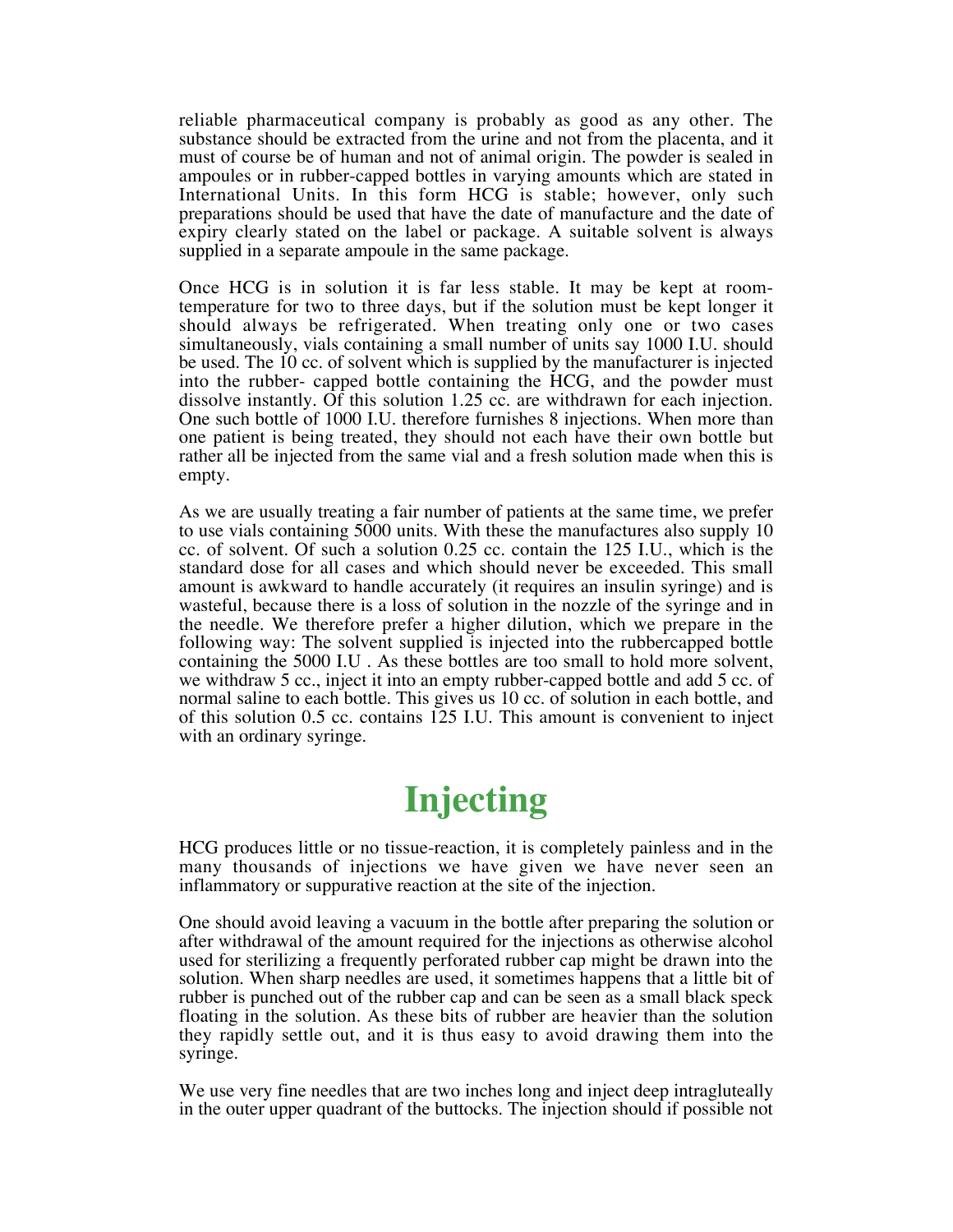reliable pharmaceutical company is probably as good as any other. The substance should be extracted from the urine and not from the placenta, and it must of course be of human and not of animal origin. The powder is sealed in ampoules or in rubber-capped bottles in varying amounts which are stated in International Units. In this form HCG is stable; however, only such preparations should be used that have the date of manufacture and the date of expiry clearly stated on the label or package. A suitable solvent is always supplied in a separate ampoule in the same package.

Once HCG is in solution it is far less stable. It may be kept at roomtemperature for two to three days, but if the solution must be kept longer it should always be refrigerated. When treating only one or two cases simultaneously, vials containing a small number of units say 1000 I.U. should be used. The 10 cc. of solvent which is supplied by the manufacturer is injected into the rubber- capped bottle containing the HCG, and the powder must dissolve instantly. Of this solution 1.25 cc. are withdrawn for each injection. One such bottle of 1000 I.U. therefore furnishes 8 injections. When more than one patient is being treated, they should not each have their own bottle but rather all be injected from the same vial and a fresh solution made when this is empty.

As we are usually treating a fair number of patients at the same time, we prefer to use vials containing 5000 units. With these the manufactures also supply 10 cc. of solvent. Of such a solution 0.25 cc. contain the 125 I.U., which is the standard dose for all cases and which should never be exceeded. This small amount is awkward to handle accurately (it requires an insulin syringe) and is wasteful, because there is a loss of solution in the nozzle of the syringe and in the needle. We therefore prefer a higher dilution, which we prepare in the following way: The solvent supplied is injected into the rubbercapped bottle containing the 5000 I.U . As these bottles are too small to hold more solvent, we withdraw 5 cc., inject it into an empty rubber-capped bottle and add 5 cc. of normal saline to each bottle. This gives us 10 cc. of solution in each bottle, and of this solution 0.5 cc. contains 125 I.U. This amount is convenient to inject with an ordinary syringe.

# **Injecting**

HCG produces little or no tissue-reaction, it is completely painless and in the many thousands of injections we have given we have never seen an inflammatory or suppurative reaction at the site of the injection.

One should avoid leaving a vacuum in the bottle after preparing the solution or after withdrawal of the amount required for the injections as otherwise alcohol used for sterilizing a frequently perforated rubber cap might be drawn into the solution. When sharp needles are used, it sometimes happens that a little bit of rubber is punched out of the rubber cap and can be seen as a small black speck floating in the solution. As these bits of rubber are heavier than the solution they rapidly settle out, and it is thus easy to avoid drawing them into the syringe.

We use very fine needles that are two inches long and inject deep intragluteally in the outer upper quadrant of the buttocks. The injection should if possible not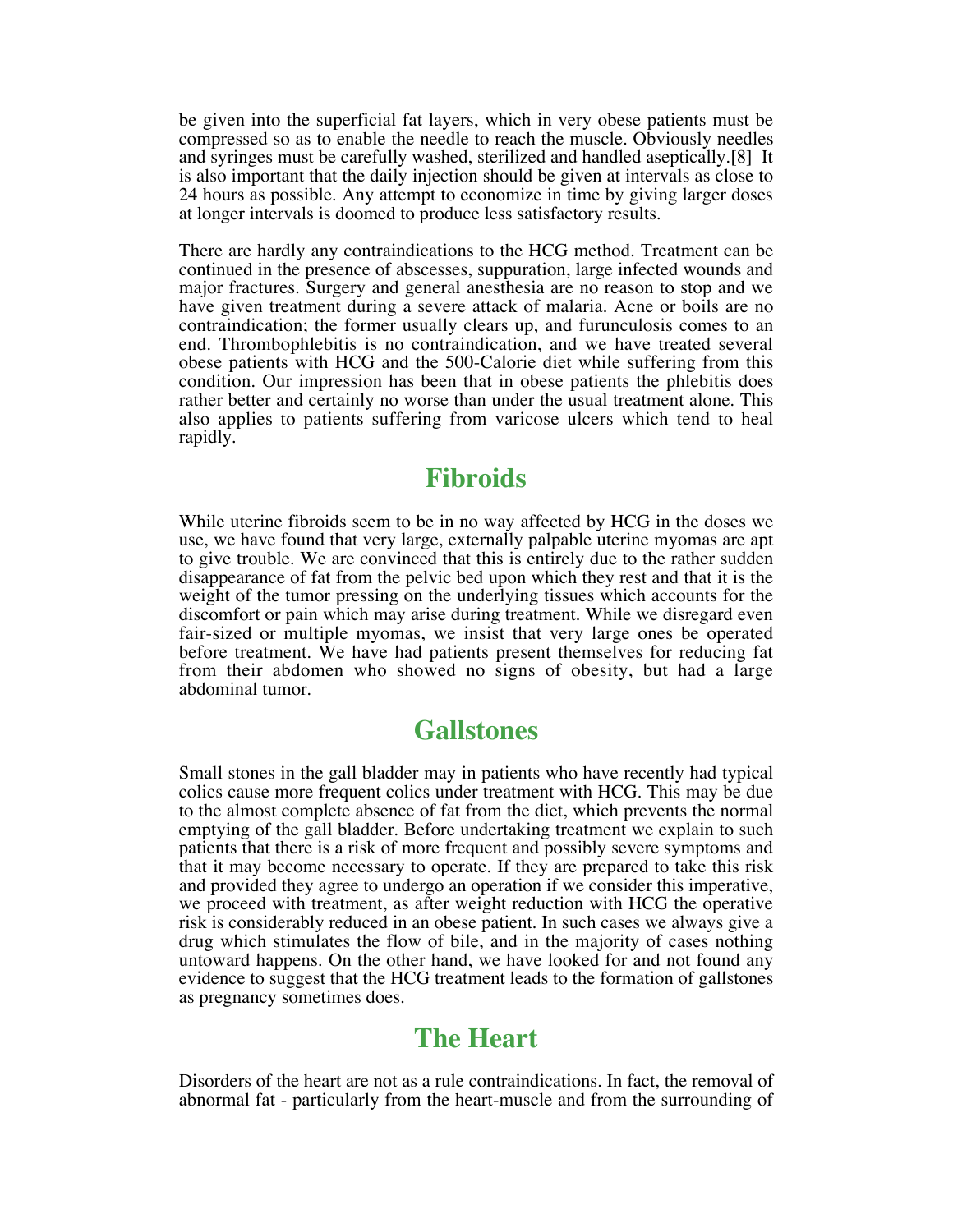be given into the superficial fat layers, which in very obese patients must be compressed so as to enable the needle to reach the muscle. Obviously needles and syringes must be carefully washed, sterilized and handled aseptically.[8] It is also important that the daily injection should be given at intervals as close to 24 hours as possible. Any attempt to economize in time by giving larger doses at longer intervals is doomed to produce less satisfactory results.

There are hardly any contraindications to the HCG method. Treatment can be continued in the presence of abscesses, suppuration, large infected wounds and major fractures. Surgery and general anesthesia are no reason to stop and we have given treatment during a severe attack of malaria. Acne or boils are no contraindication; the former usually clears up, and furunculosis comes to an end. Thrombophlebitis is no contraindication, and we have treated several obese patients with HCG and the 500-Calorie diet while suffering from this condition. Our impression has been that in obese patients the phlebitis does rather better and certainly no worse than under the usual treatment alone. This also applies to patients suffering from varicose ulcers which tend to heal rapidly.

#### **Fibroids**

While uterine fibroids seem to be in no way affected by HCG in the doses we use, we have found that very large, externally palpable uterine myomas are apt to give trouble. We are convinced that this is entirely due to the rather sudden disappearance of fat from the pelvic bed upon which they rest and that it is the weight of the tumor pressing on the underlying tissues which accounts for the discomfort or pain which may arise during treatment. While we disregard even fair-sized or multiple myomas, we insist that very large ones be operated before treatment. We have had patients present themselves for reducing fat from their abdomen who showed no signs of obesity, but had a large abdominal tumor.

#### **Gallstones**

Small stones in the gall bladder may in patients who have recently had typical colics cause more frequent colics under treatment with HCG. This may be due to the almost complete absence of fat from the diet, which prevents the normal emptying of the gall bladder. Before undertaking treatment we explain to such patients that there is a risk of more frequent and possibly severe symptoms and that it may become necessary to operate. If they are prepared to take this risk and provided they agree to undergo an operation if we consider this imperative, we proceed with treatment, as after weight reduction with HCG the operative risk is considerably reduced in an obese patient. In such cases we always give a drug which stimulates the flow of bile, and in the majority of cases nothing untoward happens. On the other hand, we have looked for and not found any evidence to suggest that the HCG treatment leads to the formation of gallstones as pregnancy sometimes does.

### **The Heart**

Disorders of the heart are not as a rule contraindications. In fact, the removal of abnormal fat - particularly from the heart-muscle and from the surrounding of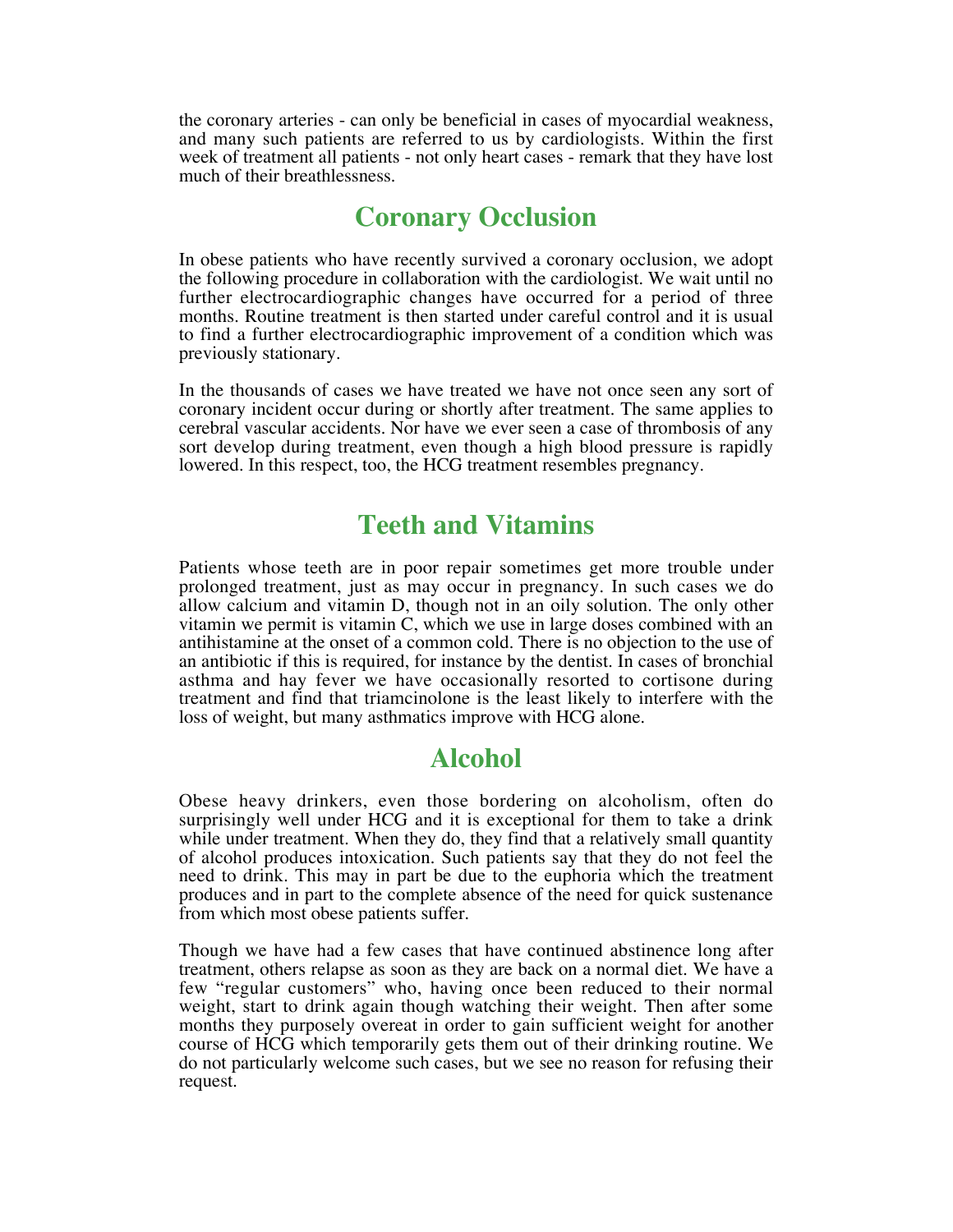the coronary arteries - can only be beneficial in cases of myocardial weakness, and many such patients are referred to us by cardiologists. Within the first week of treatment all patients - not only heart cases - remark that they have lost much of their breathlessness.

# **Coronary Occlusion**

In obese patients who have recently survived a coronary occlusion, we adopt the following procedure in collaboration with the cardiologist. We wait until no further electrocardiographic changes have occurred for a period of three months. Routine treatment is then started under careful control and it is usual to find a further electrocardiographic improvement of a condition which was previously stationary.

In the thousands of cases we have treated we have not once seen any sort of coronary incident occur during or shortly after treatment. The same applies to cerebral vascular accidents. Nor have we ever seen a case of thrombosis of any sort develop during treatment, even though a high blood pressure is rapidly lowered. In this respect, too, the HCG treatment resembles pregnancy.

#### **Teeth and Vitamins**

Patients whose teeth are in poor repair sometimes get more trouble under prolonged treatment, just as may occur in pregnancy. In such cases we do allow calcium and vitamin D, though not in an oily solution. The only other vitamin we permit is vitamin C, which we use in large doses combined with an antihistamine at the onset of a common cold. There is no objection to the use of an antibiotic if this is required, for instance by the dentist. In cases of bronchial asthma and hay fever we have occasionally resorted to cortisone during treatment and find that triamcinolone is the least likely to interfere with the loss of weight, but many asthmatics improve with HCG alone.

### **Alcohol**

Obese heavy drinkers, even those bordering on alcoholism, often do surprisingly well under HCG and it is exceptional for them to take a drink while under treatment. When they do, they find that a relatively small quantity of alcohol produces intoxication. Such patients say that they do not feel the need to drink. This may in part be due to the euphoria which the treatment produces and in part to the complete absence of the need for quick sustenance from which most obese patients suffer.

Though we have had a few cases that have continued abstinence long after treatment, others relapse as soon as they are back on a normal diet. We have a few "regular customers" who, having once been reduced to their normal weight, start to drink again though watching their weight. Then after some months they purposely overeat in order to gain sufficient weight for another course of HCG which temporarily gets them out of their drinking routine. We do not particularly welcome such cases, but we see no reason for refusing their request.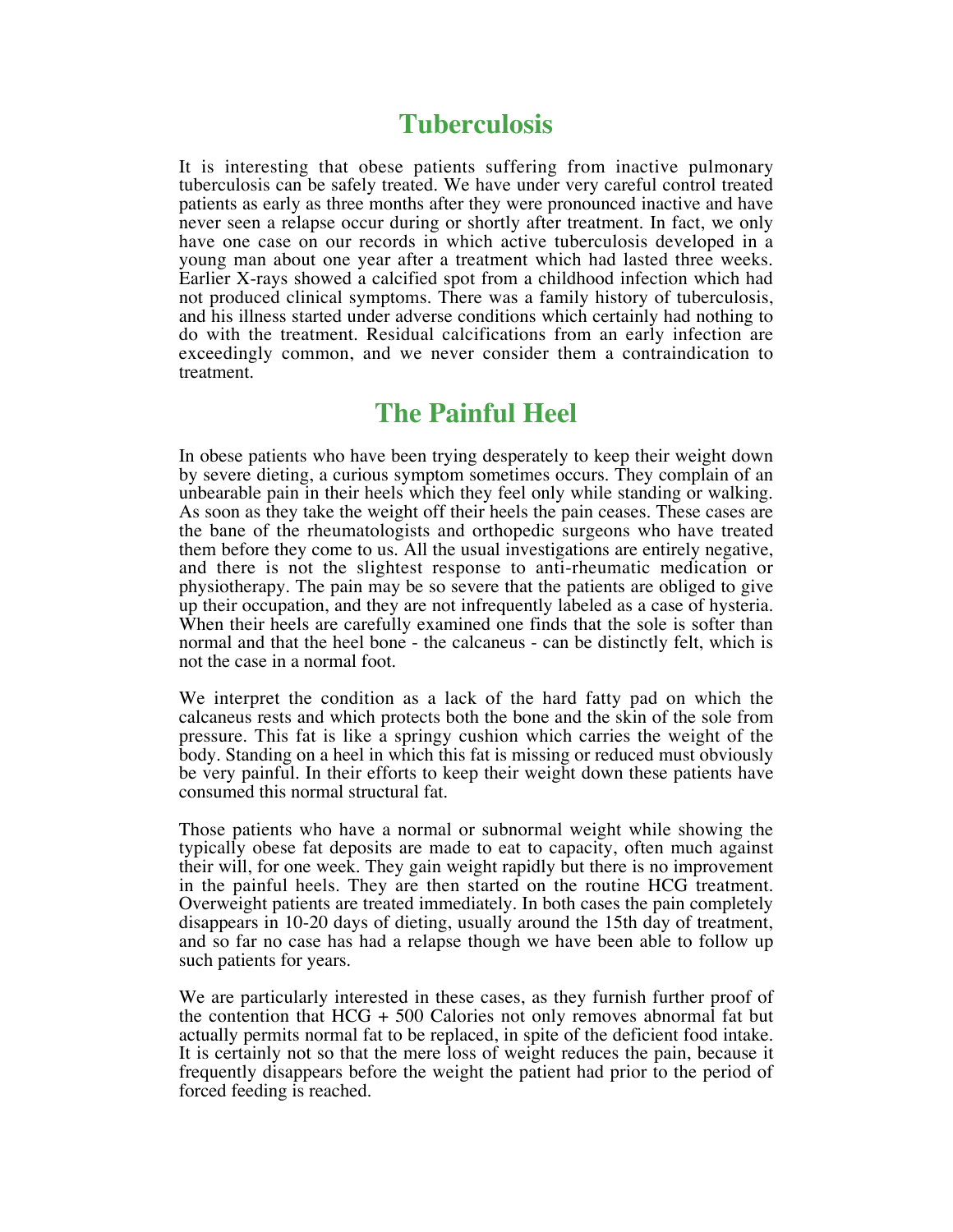#### **Tuberculosis**

It is interesting that obese patients suffering from inactive pulmonary tuberculosis can be safely treated. We have under very careful control treated patients as early as three months after they were pronounced inactive and have never seen a relapse occur during or shortly after treatment. In fact, we only have one case on our records in which active tuberculosis developed in a young man about one year after a treatment which had lasted three weeks. Earlier X-rays showed a calcified spot from a childhood infection which had not produced clinical symptoms. There was a family history of tuberculosis, and his illness started under adverse conditions which certainly had nothing to do with the treatment. Residual calcifications from an early infection are exceedingly common, and we never consider them a contraindication to treatment.

#### **The Painful Heel**

In obese patients who have been trying desperately to keep their weight down by severe dieting, a curious symptom sometimes occurs. They complain of an unbearable pain in their heels which they feel only while standing or walking. As soon as they take the weight off their heels the pain ceases. These cases are the bane of the rheumatologists and orthopedic surgeons who have treated them before they come to us. All the usual investigations are entirely negative, and there is not the slightest response to anti-rheumatic medication or physiotherapy. The pain may be so severe that the patients are obliged to give up their occupation, and they are not infrequently labeled as a case of hysteria. When their heels are carefully examined one finds that the sole is softer than normal and that the heel bone - the calcaneus - can be distinctly felt, which is not the case in a normal foot.

We interpret the condition as a lack of the hard fatty pad on which the calcaneus rests and which protects both the bone and the skin of the sole from pressure. This fat is like a springy cushion which carries the weight of the body. Standing on a heel in which this fat is missing or reduced must obviously be very painful. In their efforts to keep their weight down these patients have consumed this normal structural fat.

Those patients who have a normal or subnormal weight while showing the typically obese fat deposits are made to eat to capacity, often much against their will, for one week. They gain weight rapidly but there is no improvement in the painful heels. They are then started on the routine HCG treatment. Overweight patients are treated immediately. In both cases the pain completely disappears in 10-20 days of dieting, usually around the 15th day of treatment, and so far no case has had a relapse though we have been able to follow up such patients for years.

We are particularly interested in these cases, as they furnish further proof of the contention that  $HCG + 500$  Calories not only removes abnormal fat but actually permits normal fat to be replaced, in spite of the deficient food intake. It is certainly not so that the mere loss of weight reduces the pain, because it frequently disappears before the weight the patient had prior to the period of forced feeding is reached.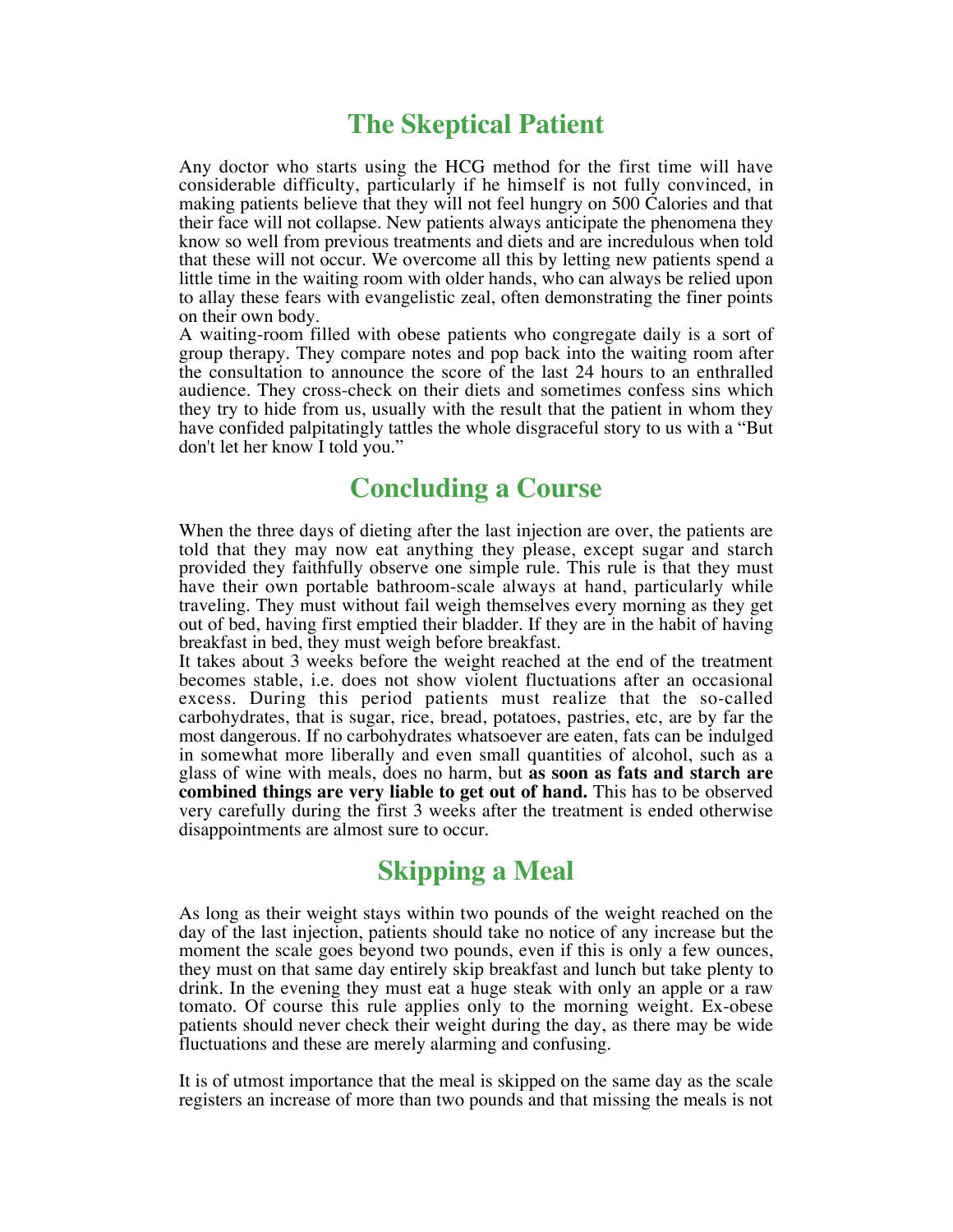#### **The Skeptical Patient**

Any doctor who starts using the HCG method for the first time will have considerable difficulty, particularly if he himself is not fully convinced, in making patients believe that they will not feel hungry on 500 Calories and that their face will not collapse. New patients always anticipate the phenomena they know so well from previous treatments and diets and are incredulous when told that these will not occur. We overcome all this by letting new patients spend a little time in the waiting room with older hands, who can always be relied upon to allay these fears with evangelistic zeal, often demonstrating the finer points on their own body.

A waiting-room filled with obese patients who congregate daily is a sort of group therapy. They compare notes and pop back into the waiting room after the consultation to announce the score of the last 24 hours to an enthralled audience. They cross-check on their diets and sometimes confess sins which they try to hide from us, usually with the result that the patient in whom they have confided palpitatingly tattles the whole disgraceful story to us with a "But don't let her know I told you."

#### **Concluding a Course**

When the three days of dieting after the last injection are over, the patients are told that they may now eat anything they please, except sugar and starch provided they faithfully observe one simple rule. This rule is that they must have their own portable bathroom-scale always at hand, particularly while traveling. They must without fail weigh themselves every morning as they get out of bed, having first emptied their bladder. If they are in the habit of having breakfast in bed, they must weigh before breakfast.

It takes about 3 weeks before the weight reached at the end of the treatment becomes stable, i.e. does not show violent fluctuations after an occasional excess. During this period patients must realize that the so-called carbohydrates, that is sugar, rice, bread, potatoes, pastries, etc, are by far the most dangerous. If no carbohydrates whatsoever are eaten, fats can be indulged in somewhat more liberally and even small quantities of alcohol, such as a glass of wine with meals, does no harm, but **as soon as fats and starch are combined things are very liable to get out of hand.** This has to be observed very carefully during the first 3 weeks after the treatment is ended otherwise disappointments are almost sure to occur.

### **Skipping a Meal**

As long as their weight stays within two pounds of the weight reached on the day of the last injection, patients should take no notice of any increase but the moment the scale goes beyond two pounds, even if this is only a few ounces, they must on that same day entirely skip breakfast and lunch but take plenty to drink. In the evening they must eat a huge steak with only an apple or a raw tomato. Of course this rule applies only to the morning weight. Ex-obese patients should never check their weight during the day, as there may be wide fluctuations and these are merely alarming and confusing.

It is of utmost importance that the meal is skipped on the same day as the scale registers an increase of more than two pounds and that missing the meals is not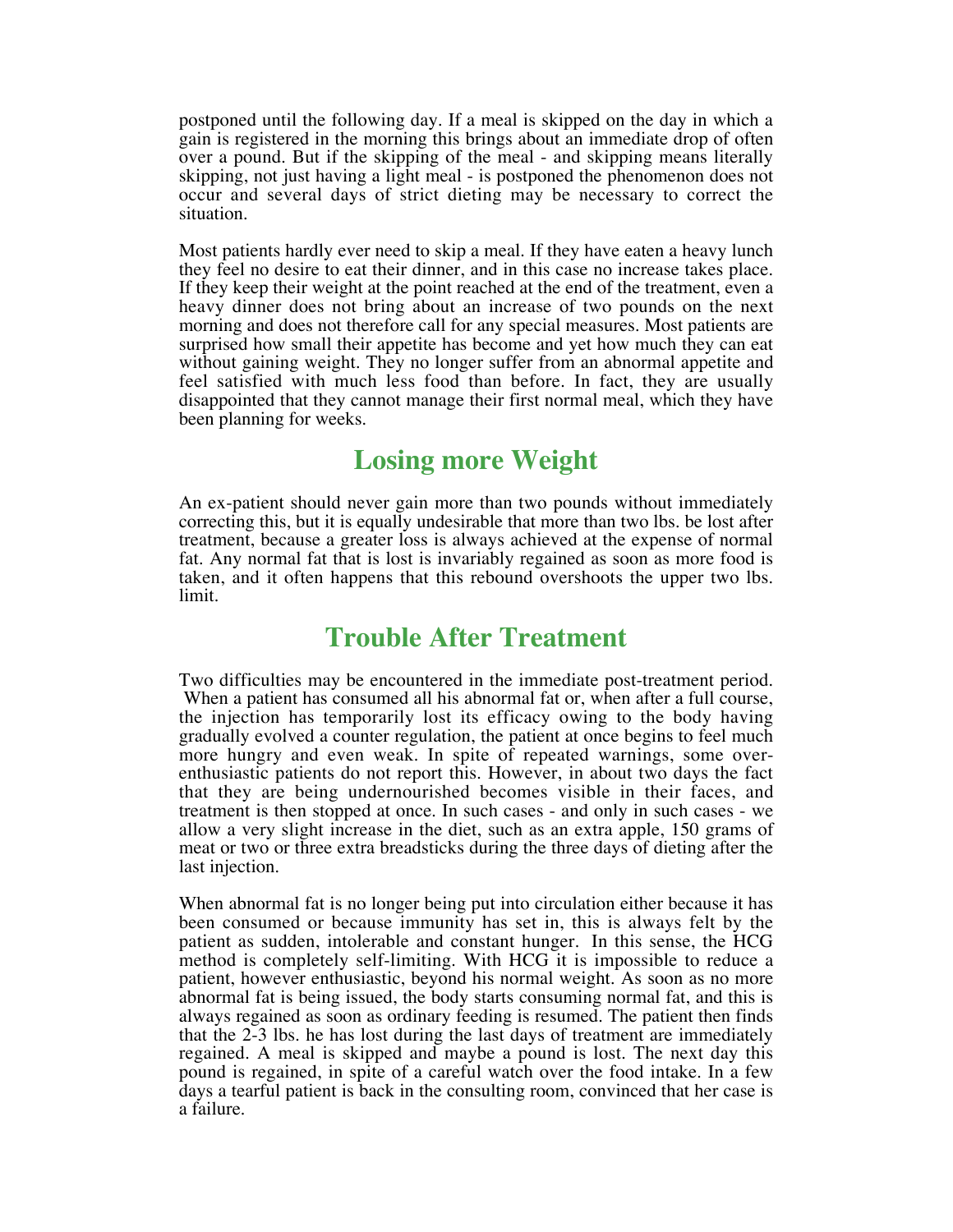postponed until the following day. If a meal is skipped on the day in which a gain is registered in the morning this brings about an immediate drop of often over a pound. But if the skipping of the meal - and skipping means literally skipping, not just having a light meal - is postponed the phenomenon does not occur and several days of strict dieting may be necessary to correct the situation.

Most patients hardly ever need to skip a meal. If they have eaten a heavy lunch they feel no desire to eat their dinner, and in this case no increase takes place. If they keep their weight at the point reached at the end of the treatment, even a heavy dinner does not bring about an increase of two pounds on the next morning and does not therefore call for any special measures. Most patients are surprised how small their appetite has become and yet how much they can eat without gaining weight. They no longer suffer from an abnormal appetite and feel satisfied with much less food than before. In fact, they are usually disappointed that they cannot manage their first normal meal, which they have been planning for weeks.

#### **Losing more Weight**

An ex-patient should never gain more than two pounds without immediately correcting this, but it is equally undesirable that more than two lbs. be lost after treatment, because a greater loss is always achieved at the expense of normal fat. Any normal fat that is lost is invariably regained as soon as more food is taken, and it often happens that this rebound overshoots the upper two lbs. limit.

#### **Trouble After Treatment**

Two difficulties may be encountered in the immediate post-treatment period. When a patient has consumed all his abnormal fat or, when after a full course, the injection has temporarily lost its efficacy owing to the body having gradually evolved a counter regulation, the patient at once begins to feel much more hungry and even weak. In spite of repeated warnings, some overenthusiastic patients do not report this. However, in about two days the fact that they are being undernourished becomes visible in their faces, and treatment is then stopped at once. In such cases - and only in such cases - we allow a very slight increase in the diet, such as an extra apple, 150 grams of meat or two or three extra breadsticks during the three days of dieting after the last injection.

When abnormal fat is no longer being put into circulation either because it has been consumed or because immunity has set in, this is always felt by the patient as sudden, intolerable and constant hunger. In this sense, the HCG method is completely self-limiting. With HCG it is impossible to reduce a patient, however enthusiastic, beyond his normal weight. As soon as no more abnormal fat is being issued, the body starts consuming normal fat, and this is always regained as soon as ordinary feeding is resumed. The patient then finds that the 2-3 lbs. he has lost during the last days of treatment are immediately regained. A meal is skipped and maybe a pound is lost. The next day this pound is regained, in spite of a careful watch over the food intake. In a few days a tearful patient is back in the consulting room, convinced that her case is a failure.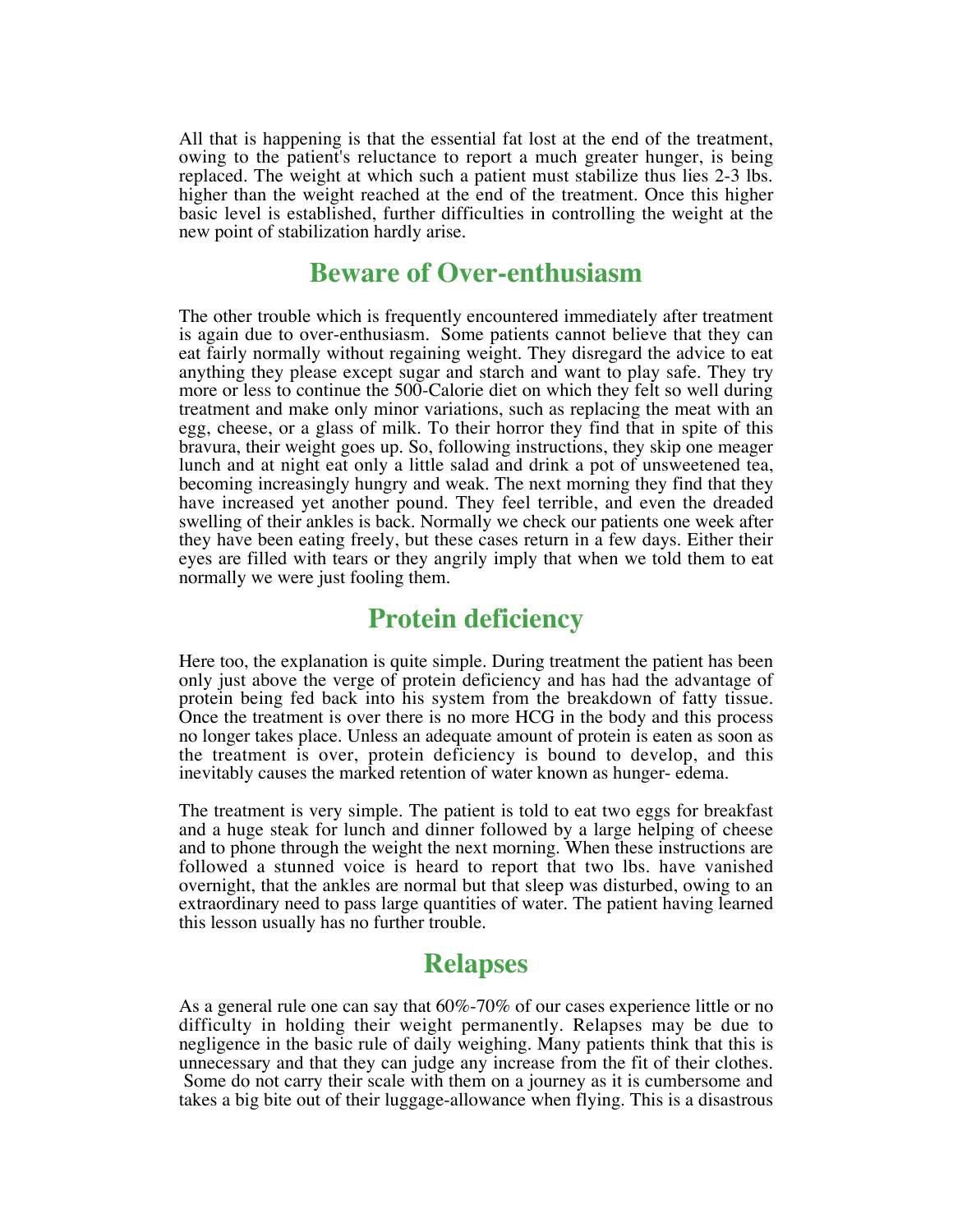All that is happening is that the essential fat lost at the end of the treatment, owing to the patient's reluctance to report a much greater hunger, is being replaced. The weight at which such a patient must stabilize thus lies 2-3 lbs. higher than the weight reached at the end of the treatment. Once this higher basic level is established, further difficulties in controlling the weight at the new point of stabilization hardly arise.

#### **Beware of Over-enthusiasm**

The other trouble which is frequently encountered immediately after treatment is again due to over-enthusiasm. Some patients cannot believe that they can eat fairly normally without regaining weight. They disregard the advice to eat anything they please except sugar and starch and want to play safe. They try more or less to continue the 500-Calorie diet on which they felt so well during treatment and make only minor variations, such as replacing the meat with an egg, cheese, or a glass of milk. To their horror they find that in spite of this bravura, their weight goes up. So, following instructions, they skip one meager lunch and at night eat only a little salad and drink a pot of unsweetened tea, becoming increasingly hungry and weak. The next morning they find that they have increased yet another pound. They feel terrible, and even the dreaded swelling of their ankles is back. Normally we check our patients one week after they have been eating freely, but these cases return in a few days. Either their eyes are filled with tears or they angrily imply that when we told them to eat normally we were just fooling them.

### **Protein deficiency**

Here too, the explanation is quite simple. During treatment the patient has been only just above the verge of protein deficiency and has had the advantage of protein being fed back into his system from the breakdown of fatty tissue. Once the treatment is over there is no more HCG in the body and this process no longer takes place. Unless an adequate amount of protein is eaten as soon as the treatment is over, protein deficiency is bound to develop, and this inevitably causes the marked retention of water known as hunger- edema.

The treatment is very simple. The patient is told to eat two eggs for breakfast and a huge steak for lunch and dinner followed by a large helping of cheese and to phone through the weight the next morning. When these instructions are followed a stunned voice is heard to report that two lbs. have vanished overnight, that the ankles are normal but that sleep was disturbed, owing to an extraordinary need to pass large quantities of water. The patient having learned this lesson usually has no further trouble.

### **Relapses**

As a general rule one can say that 60%-70% of our cases experience little or no difficulty in holding their weight permanently. Relapses may be due to negligence in the basic rule of daily weighing. Many patients think that this is unnecessary and that they can judge any increase from the fit of their clothes. Some do not carry their scale with them on a journey as it is cumbersome and takes a big bite out of their luggage-allowance when flying. This is a disastrous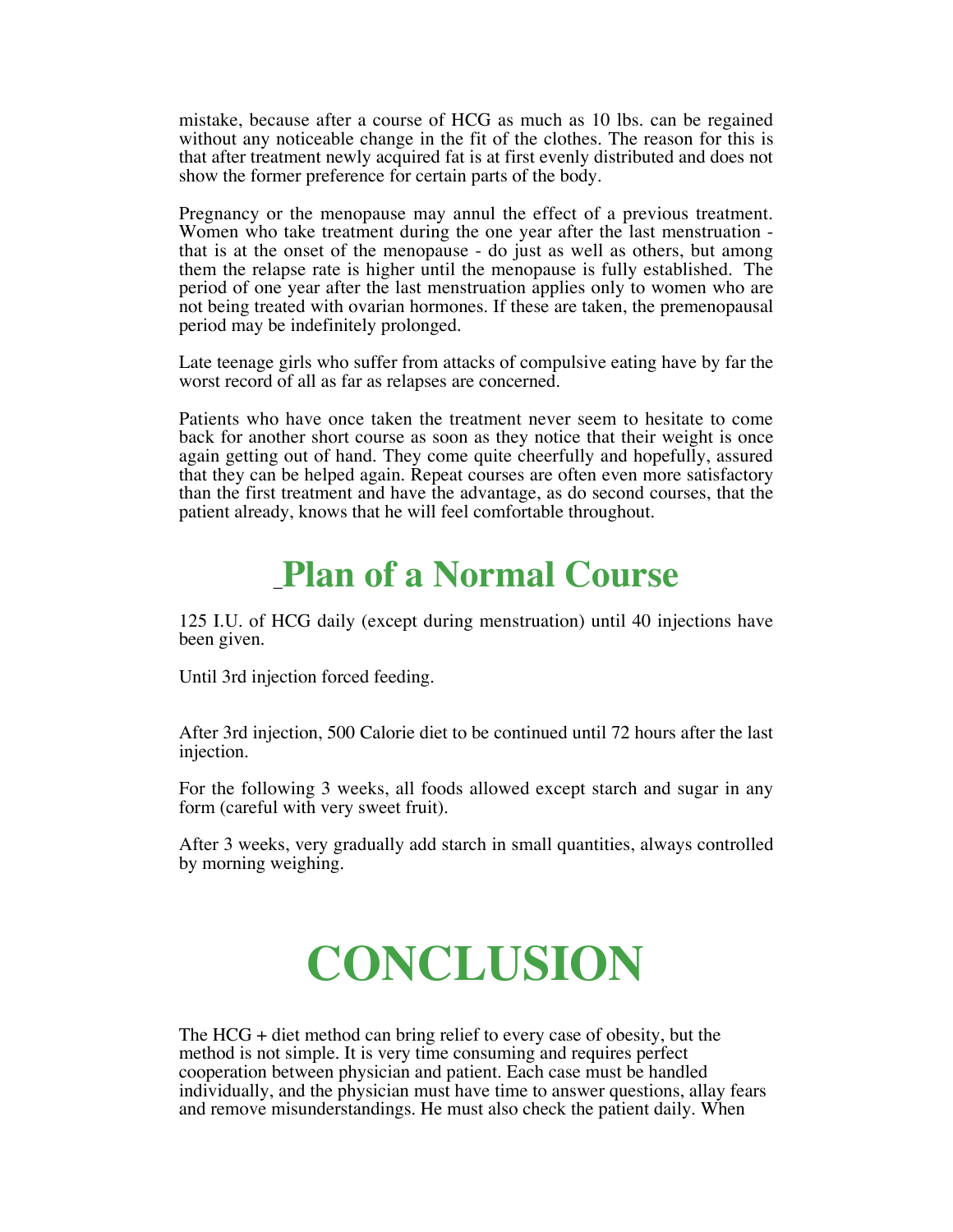mistake, because after a course of HCG as much as 10 lbs. can be regained without any noticeable change in the fit of the clothes. The reason for this is that after treatment newly acquired fat is at first evenly distributed and does not show the former preference for certain parts of the body.

Pregnancy or the menopause may annul the effect of a previous treatment. Women who take treatment during the one year after the last menstruation that is at the onset of the menopause - do just as well as others, but among them the relapse rate is higher until the menopause is fully established. The period of one year after the last menstruation applies only to women who are not being treated with ovarian hormones. If these are taken, the premenopausal period may be indefinitely prolonged.

Late teenage girls who suffer from attacks of compulsive eating have by far the worst record of all as far as relapses are concerned.

Patients who have once taken the treatment never seem to hesitate to come back for another short course as soon as they notice that their weight is once again getting out of hand. They come quite cheerfully and hopefully, assured that they can be helped again. Repeat courses are often even more satisfactory than the first treatment and have the advantage, as do second courses, that the patient already, knows that he will feel comfortable throughout.

# \_**Plan of a Normal Course**

125 I.U. of HCG daily (except during menstruation) until 40 injections have been given.

Until 3rd injection forced feeding.

After 3rd injection, 500 Calorie diet to be continued until 72 hours after the last injection.

For the following 3 weeks, all foods allowed except starch and sugar in any form (careful with very sweet fruit).

After 3 weeks, very gradually add starch in small quantities, always controlled by morning weighing.

# **CONCLUSION**

The HCG + diet method can bring relief to every case of obesity, but the method is not simple. It is very time consuming and requires perfect cooperation between physician and patient. Each case must be handled individually, and the physician must have time to answer questions, allay fears and remove misunderstandings. He must also check the patient daily. When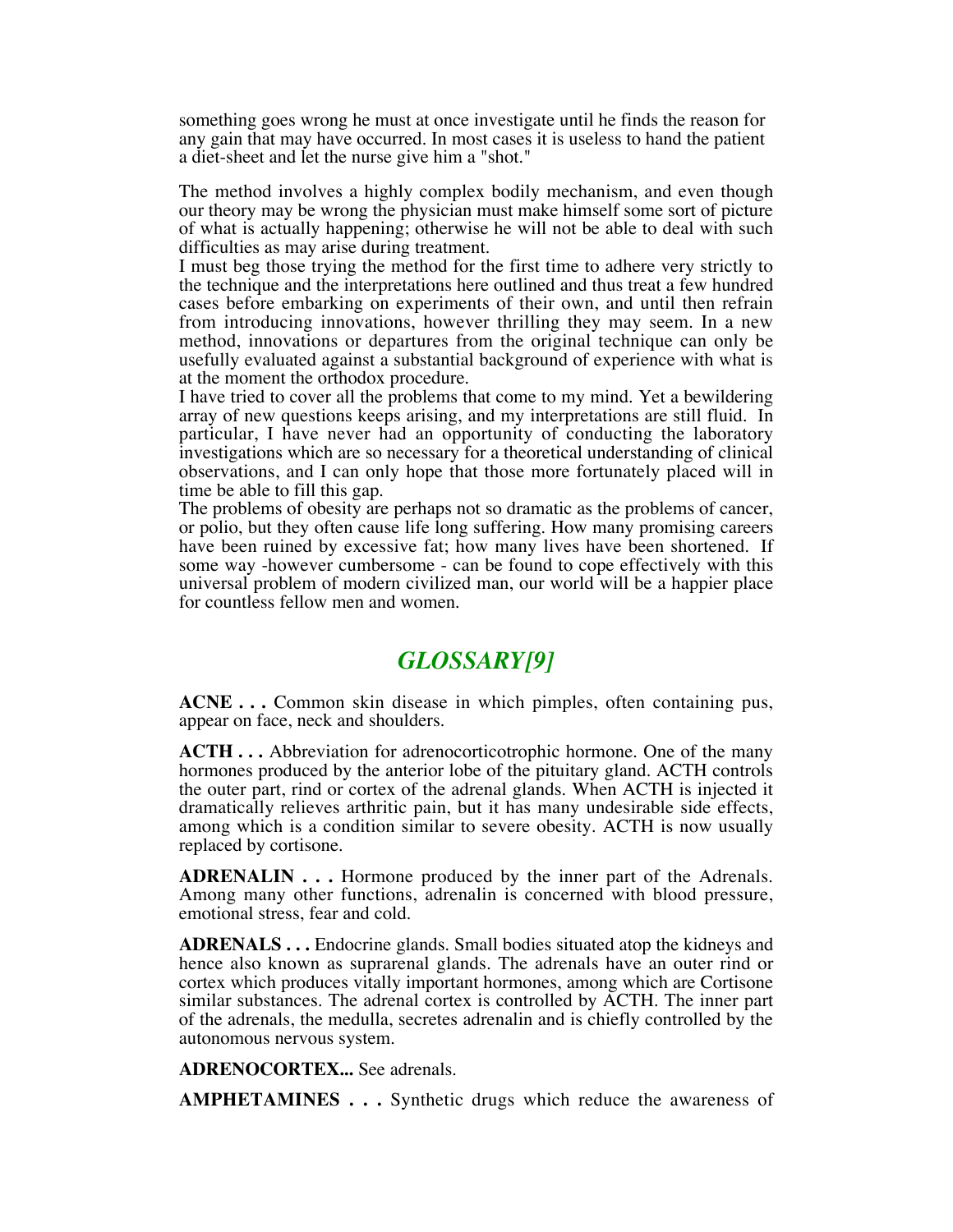something goes wrong he must at once investigate until he finds the reason for any gain that may have occurred. In most cases it is useless to hand the patient a diet-sheet and let the nurse give him a "shot."

The method involves a highly complex bodily mechanism, and even though our theory may be wrong the physician must make himself some sort of picture of what is actually happening; otherwise he will not be able to deal with such difficulties as may arise during treatment.

I must beg those trying the method for the first time to adhere very strictly to the technique and the interpretations here outlined and thus treat a few hundred cases before embarking on experiments of their own, and until then refrain from introducing innovations, however thrilling they may seem. In a new method, innovations or departures from the original technique can only be usefully evaluated against a substantial background of experience with what is at the moment the orthodox procedure.

I have tried to cover all the problems that come to my mind. Yet a bewildering array of new questions keeps arising, and my interpretations are still fluid. In particular, I have never had an opportunity of conducting the laboratory investigations which are so necessary for a theoretical understanding of clinical observations, and I can only hope that those more fortunately placed will in time be able to fill this gap.

The problems of obesity are perhaps not so dramatic as the problems of cancer, or polio, but they often cause life long suffering. How many promising careers have been ruined by excessive fat; how many lives have been shortened. If some way -however cumbersome - can be found to cope effectively with this universal problem of modern civilized man, our world will be a happier place for countless fellow men and women.

#### *GLOSSARY[9]*

**ACNE . . .** Common skin disease in which pimples, often containing pus, appear on face, neck and shoulders.

**ACTH . . .** Abbreviation for adrenocorticotrophic hormone. One of the many hormones produced by the anterior lobe of the pituitary gland. ACTH controls the outer part, rind or cortex of the adrenal glands. When ACTH is injected it dramatically relieves arthritic pain, but it has many undesirable side effects, among which is a condition similar to severe obesity. ACTH is now usually replaced by cortisone.

**ADRENALIN . . .** Hormone produced by the inner part of the Adrenals. Among many other functions, adrenalin is concerned with blood pressure, emotional stress, fear and cold.

**ADRENALS . . .** Endocrine glands. Small bodies situated atop the kidneys and hence also known as suprarenal glands. The adrenals have an outer rind or cortex which produces vitally important hormones, among which are Cortisone similar substances. The adrenal cortex is controlled by ACTH. The inner part of the adrenals, the medulla, secretes adrenalin and is chiefly controlled by the autonomous nervous system.

**ADRENOCORTEX...** See adrenals.

**AMPHETAMINES . . .** Synthetic drugs which reduce the awareness of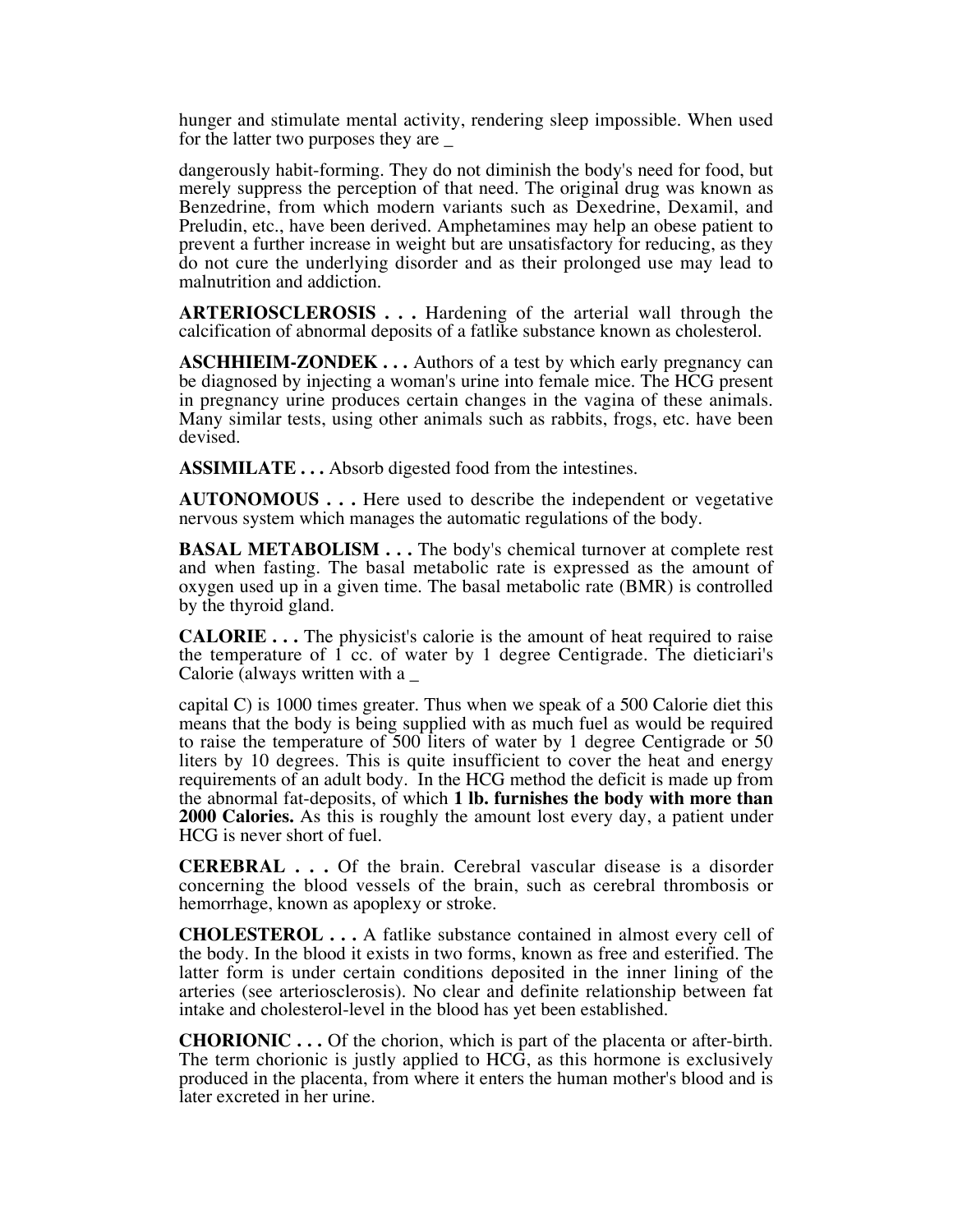hunger and stimulate mental activity, rendering sleep impossible. When used for the latter two purposes they are

dangerously habit-forming. They do not diminish the body's need for food, but merely suppress the perception of that need. The original drug was known as Benzedrine, from which modern variants such as Dexedrine, Dexamil, and Preludin, etc., have been derived. Amphetamines may help an obese patient to prevent a further increase in weight but are unsatisfactory for reducing, as they do not cure the underlying disorder and as their prolonged use may lead to malnutrition and addiction.

**ARTERIOSCLEROSIS . . .** Hardening of the arterial wall through the calcification of abnormal deposits of a fatlike substance known as cholesterol.

**ASCHHIEIM-ZONDEK . . .** Authors of a test by which early pregnancy can be diagnosed by injecting a woman's urine into female mice. The HCG present in pregnancy urine produces certain changes in the vagina of these animals. Many similar tests, using other animals such as rabbits, frogs, etc. have been devised.

**ASSIMILATE . . .** Absorb digested food from the intestines.

**AUTONOMOUS . . .** Here used to describe the independent or vegetative nervous system which manages the automatic regulations of the body.

**BASAL METABOLISM . . .** The body's chemical turnover at complete rest and when fasting. The basal metabolic rate is expressed as the amount of oxygen used up in a given time. The basal metabolic rate (BMR) is controlled by the thyroid gland.

**CALORIE . . .** The physicist's calorie is the amount of heat required to raise the temperature of  $1$  cc. of water by  $1$  degree Centigrade. The dieticiari's Calorie (always written with a \_

capital C) is 1000 times greater. Thus when we speak of a 500 Calorie diet this means that the body is being supplied with as much fuel as would be required to raise the temperature of 500 liters of water by 1 degree Centigrade or 50 liters by 10 degrees. This is quite insufficient to cover the heat and energy requirements of an adult body. In the HCG method the deficit is made up from the abnormal fat-deposits, of which **1 lb. furnishes the body with more than 2000 Calories.** As this is roughly the amount lost every day, a patient under HCG is never short of fuel.

**CEREBRAL . . .** Of the brain. Cerebral vascular disease is a disorder concerning the blood vessels of the brain, such as cerebral thrombosis or hemorrhage, known as apoplexy or stroke.

**CHOLESTEROL . . .** A fatlike substance contained in almost every cell of the body. In the blood it exists in two forms, known as free and esterified. The latter form is under certain conditions deposited in the inner lining of the arteries (see arteriosclerosis). No clear and definite relationship between fat intake and cholesterol-level in the blood has yet been established.

**CHORIONIC . . .** Of the chorion, which is part of the placenta or after-birth. The term chorionic is justly applied to HCG, as this hormone is exclusively produced in the placenta, from where it enters the human mother's blood and is later excreted in her urine.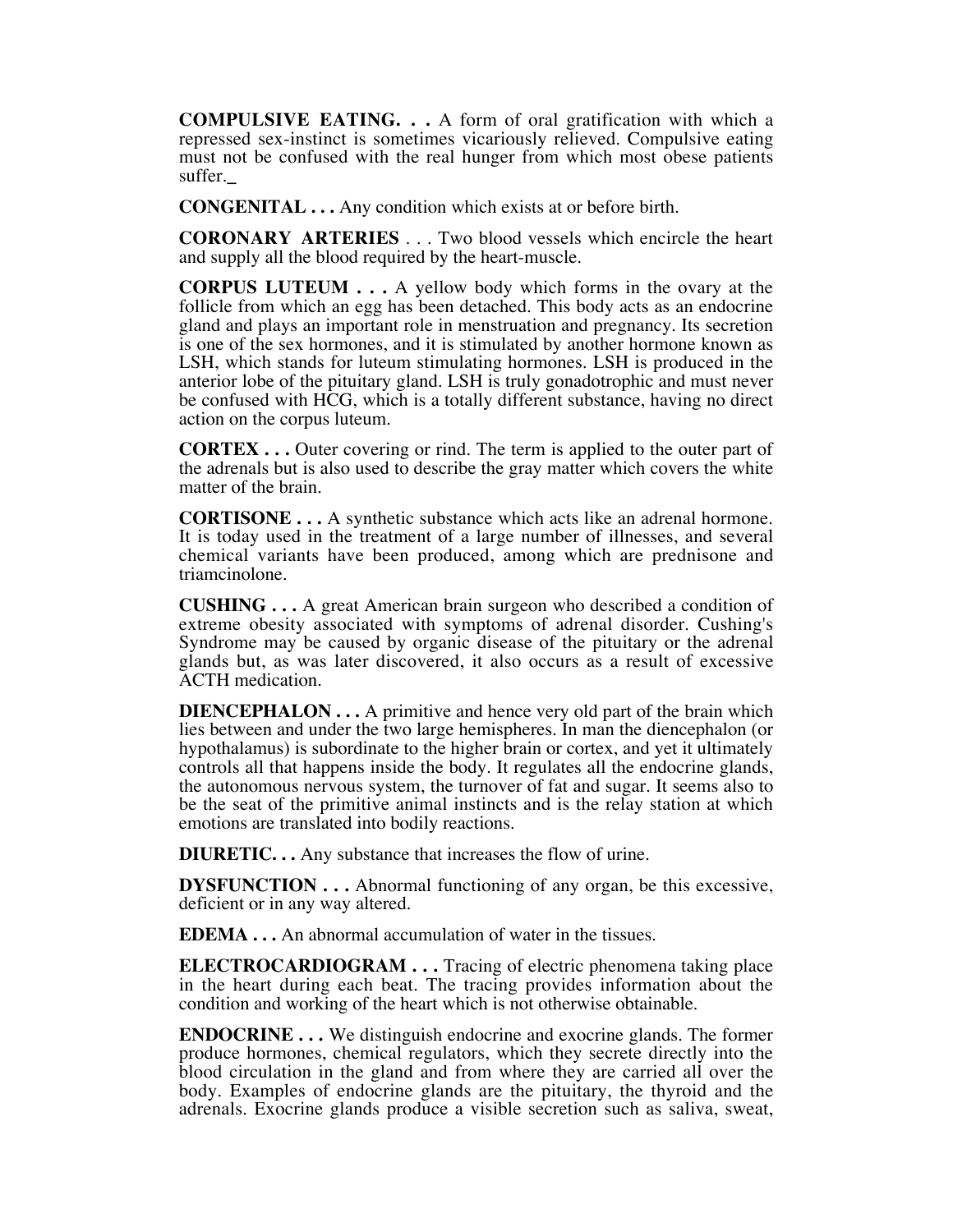**COMPULSIVE EATING. . .** A form of oral gratification with which a repressed sex-instinct is sometimes vicariously relieved. Compulsive eating must not be confused with the real hunger from which most obese patients suffer.**\_**

**CONGENITAL . . .** Any condition which exists at or before birth.

**CORONARY ARTERIES** . . . Two blood vessels which encircle the heart and supply all the blood required by the heart-muscle.

**CORPUS LUTEUM . . .** A yellow body which forms in the ovary at the follicle from which an egg has been detached. This body acts as an endocrine gland and plays an important role in menstruation and pregnancy. Its secretion is one of the sex hormones, and it is stimulated by another hormone known as LSH, which stands for luteum stimulating hormones. LSH is produced in the anterior lobe of the pituitary gland. LSH is truly gonadotrophic and must never be confused with HCG, which is a totally different substance, having no direct action on the corpus luteum.

**CORTEX . . .** Outer covering or rind. The term is applied to the outer part of the adrenals but is also used to describe the gray matter which covers the white matter of the brain.

**CORTISONE . . .** A synthetic substance which acts like an adrenal hormone. It is today used in the treatment of a large number of illnesses, and several chemical variants have been produced, among which are prednisone and triamcinolone.

**CUSHING . . .** A great American brain surgeon who described a condition of extreme obesity associated with symptoms of adrenal disorder. Cushing's Syndrome may be caused by organic disease of the pituitary or the adrenal glands but, as was later discovered, it also occurs as a result of excessive ACTH medication.

**DIENCEPHALON** . . . A primitive and hence very old part of the brain which lies between and under the two large hemispheres. In man the diencephalon (or hypothalamus) is subordinate to the higher brain or cortex, and yet it ultimately controls all that happens inside the body. It regulates all the endocrine glands, the autonomous nervous system, the turnover of fat and sugar. It seems also to be the seat of the primitive animal instincts and is the relay station at which emotions are translated into bodily reactions.

**DIURETIC. . .** Any substance that increases the flow of urine.

**DYSFUNCTION** . . . Abnormal functioning of any organ, be this excessive, deficient or in any way altered.

**EDEMA . . .** An abnormal accumulation of water in the tissues.

**ELECTROCARDIOGRAM . . .** Tracing of electric phenomena taking place in the heart during each beat. The tracing provides information about the condition and working of the heart which is not otherwise obtainable.

**ENDOCRINE . . .** We distinguish endocrine and exocrine glands. The former produce hormones, chemical regulators, which they secrete directly into the blood circulation in the gland and from where they are carried all over the body. Examples of endocrine glands are the pituitary, the thyroid and the adrenals. Exocrine glands produce a visible secretion such as saliva, sweat,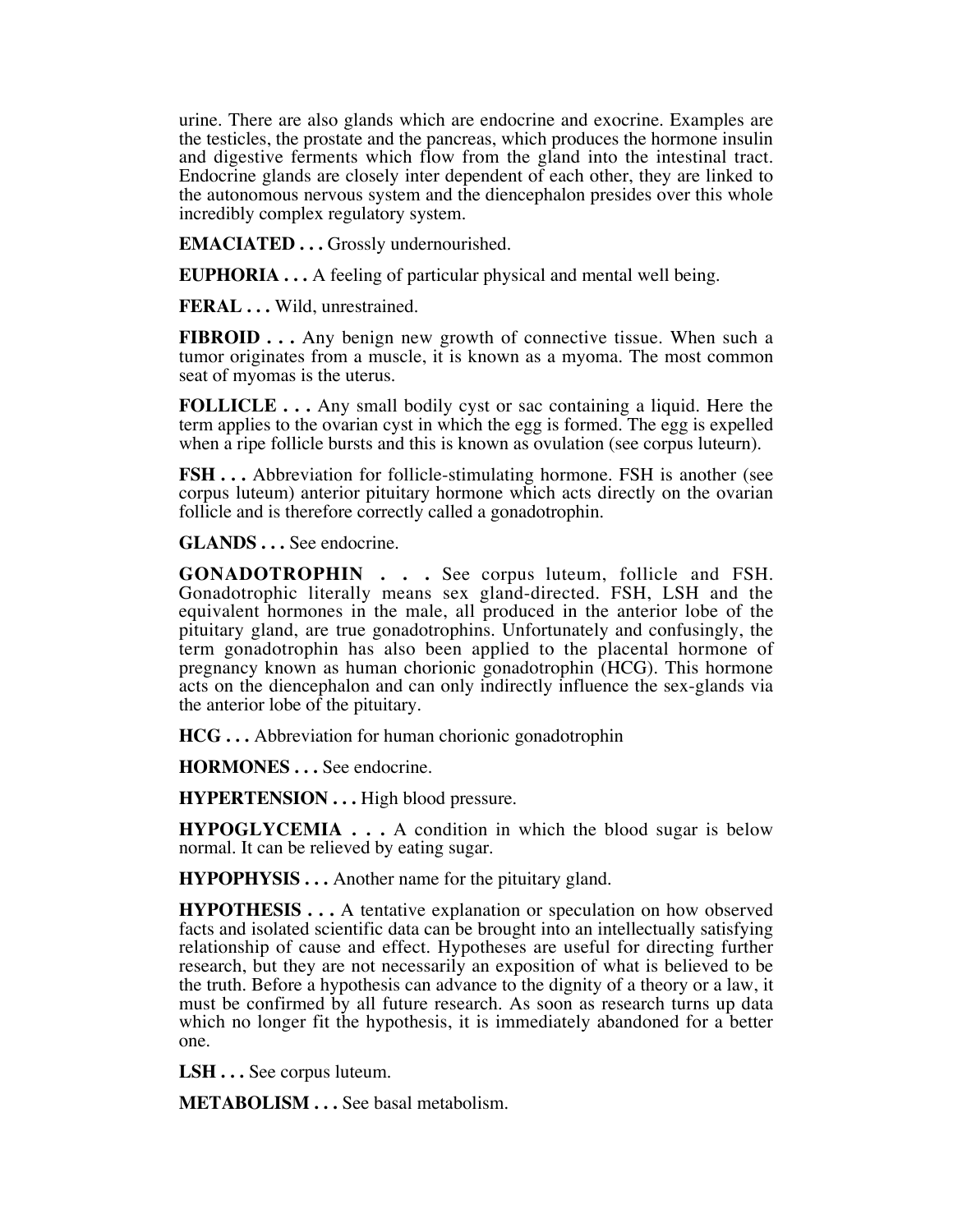urine. There are also glands which are endocrine and exocrine. Examples are the testicles, the prostate and the pancreas, which produces the hormone insulin and digestive ferments which flow from the gland into the intestinal tract. Endocrine glands are closely inter dependent of each other, they are linked to the autonomous nervous system and the diencephalon presides over this whole incredibly complex regulatory system.

**EMACIATED . . .** Grossly undernourished.

**EUPHORIA . . .** A feeling of particular physical and mental well being.

**FERAL . . .** Wild, unrestrained.

**FIBROID . . .** Any benign new growth of connective tissue. When such a tumor originates from a muscle, it is known as a myoma. The most common seat of myomas is the uterus.

**FOLLICLE . . .** Any small bodily cyst or sac containing a liquid. Here the term applies to the ovarian cyst in which the egg is formed. The egg is expelled when a ripe follicle bursts and this is known as ovulation (see corpus luteurn).

**FSH** . . . Abbreviation for follicle-stimulating hormone. FSH is another (see corpus luteum) anterior pituitary hormone which acts directly on the ovarian follicle and is therefore correctly called a gonadotrophin.

**GLANDS . . .** See endocrine.

**GONADOTROPHIN . . .** See corpus luteum, follicle and FSH. Gonadotrophic literally means sex gland-directed. FSH, LSH and the equivalent hormones in the male, all produced in the anterior lobe of the pituitary gland, are true gonadotrophins. Unfortunately and confusingly, the term gonadotrophin has also been applied to the placental hormone of pregnancy known as human chorionic gonadotrophin (HCG). This hormone acts on the diencephalon and can only indirectly influence the sex-glands via the anterior lobe of the pituitary.

**HCG . . .** Abbreviation for human chorionic gonadotrophin

**HORMONES . . .** See endocrine.

**HYPERTENSION . . .** High blood pressure.

**HYPOGLYCEMIA . . .** A condition in which the blood sugar is below normal. It can be relieved by eating sugar.

**HYPOPHYSIS . . .** Another name for the pituitary gland.

**HYPOTHESIS . . .** A tentative explanation or speculation on how observed facts and isolated scientific data can be brought into an intellectually satisfying relationship of cause and effect. Hypotheses are useful for directing further research, but they are not necessarily an exposition of what is believed to be the truth. Before a hypothesis can advance to the dignity of a theory or a law, it must be confirmed by all future research. As soon as research turns up data which no longer fit the hypothesis, it is immediately abandoned for a better one.

**LSH . . .** See corpus luteum.

**METABOLISM . . .** See basal metabolism.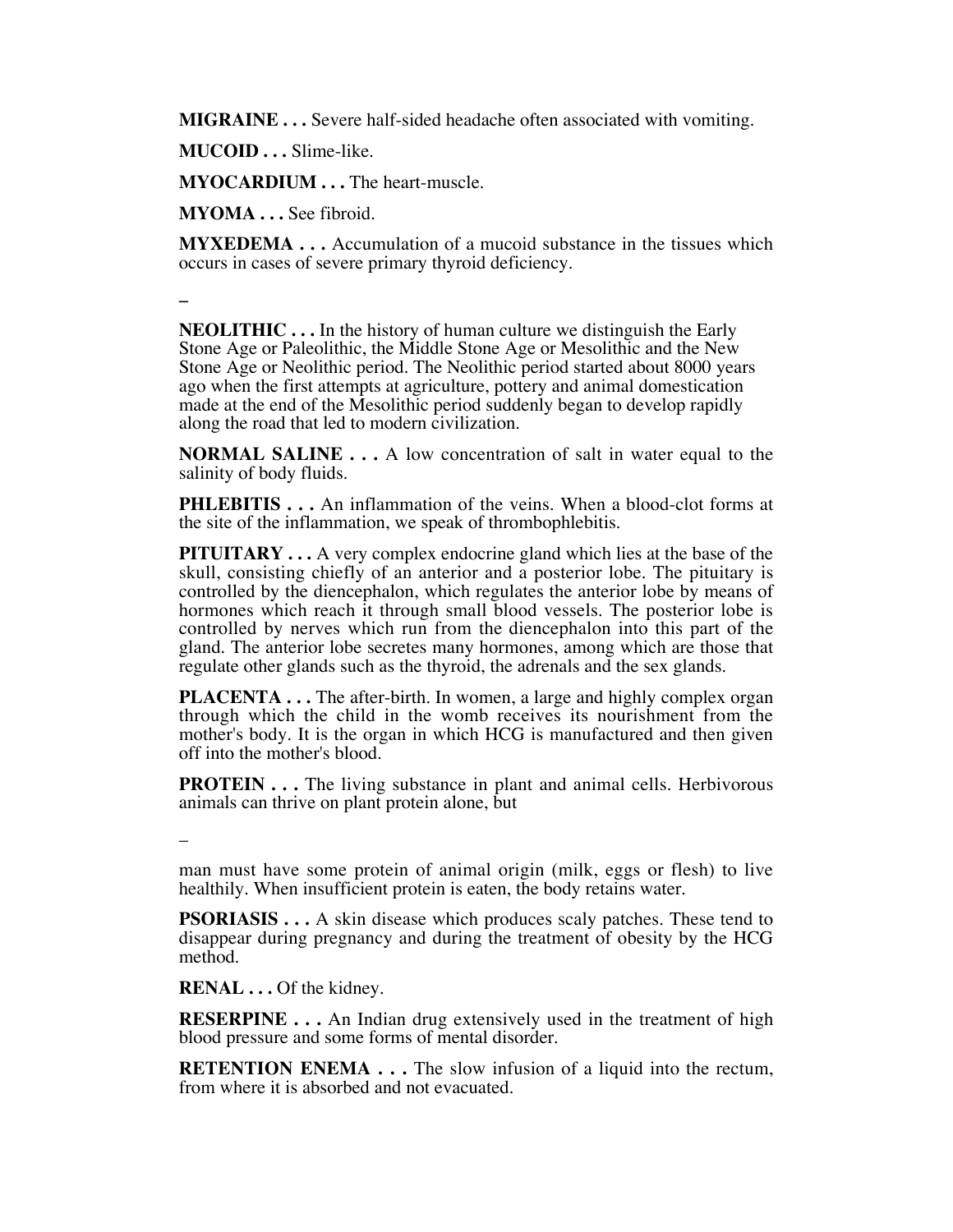**MIGRAINE . . .** Severe half-sided headache often associated with vomiting.

**MUCOID . . .** Slime-like.

**MYOCARDIUM . . .** The heart-muscle.

**MYOMA . . .** See fibroid.

**MYXEDEMA . . .** Accumulation of a mucoid substance in the tissues which occurs in cases of severe primary thyroid deficiency.

**\_**

**NEOLITHIC . . .** In the history of human culture we distinguish the Early Stone Age or Paleolithic, the Middle Stone Age or Mesolithic and the New Stone Age or Neolithic period. The Neolithic period started about 8000 years ago when the first attempts at agriculture, pottery and animal domestication made at the end of the Mesolithic period suddenly began to develop rapidly along the road that led to modern civilization.

**NORMAL SALINE . . .** A low concentration of salt in water equal to the salinity of body fluids.

**PHLEBITIS** . . . An inflammation of the veins. When a blood-clot forms at the site of the inflammation, we speak of thrombophlebitis.

**PITUITARY . . .** A very complex endocrine gland which lies at the base of the skull, consisting chiefly of an anterior and a posterior lobe. The pituitary is controlled by the diencephalon, which regulates the anterior lobe by means of hormones which reach it through small blood vessels. The posterior lobe is controlled by nerves which run from the diencephalon into this part of the gland. The anterior lobe secretes many hormones, among which are those that regulate other glands such as the thyroid, the adrenals and the sex glands.

**PLACENTA** . . . The after-birth. In women, a large and highly complex organ through which the child in the womb receives its nourishment from the mother's body. It is the organ in which HCG is manufactured and then given off into the mother's blood.

**PROTEIN** . . . The living substance in plant and animal cells. Herbivorous animals can thrive on plant protein alone, but

\_

man must have some protein of animal origin (milk, eggs or flesh) to live healthily. When insufficient protein is eaten, the body retains water.

**PSORIASIS . . .** A skin disease which produces scaly patches. These tend to disappear during pregnancy and during the treatment of obesity by the HCG method.

**RENAL . . .** Of the kidney.

**RESERPINE . . .** An Indian drug extensively used in the treatment of high blood pressure and some forms of mental disorder.

**RETENTION ENEMA...** The slow infusion of a liquid into the rectum, from where it is absorbed and not evacuated.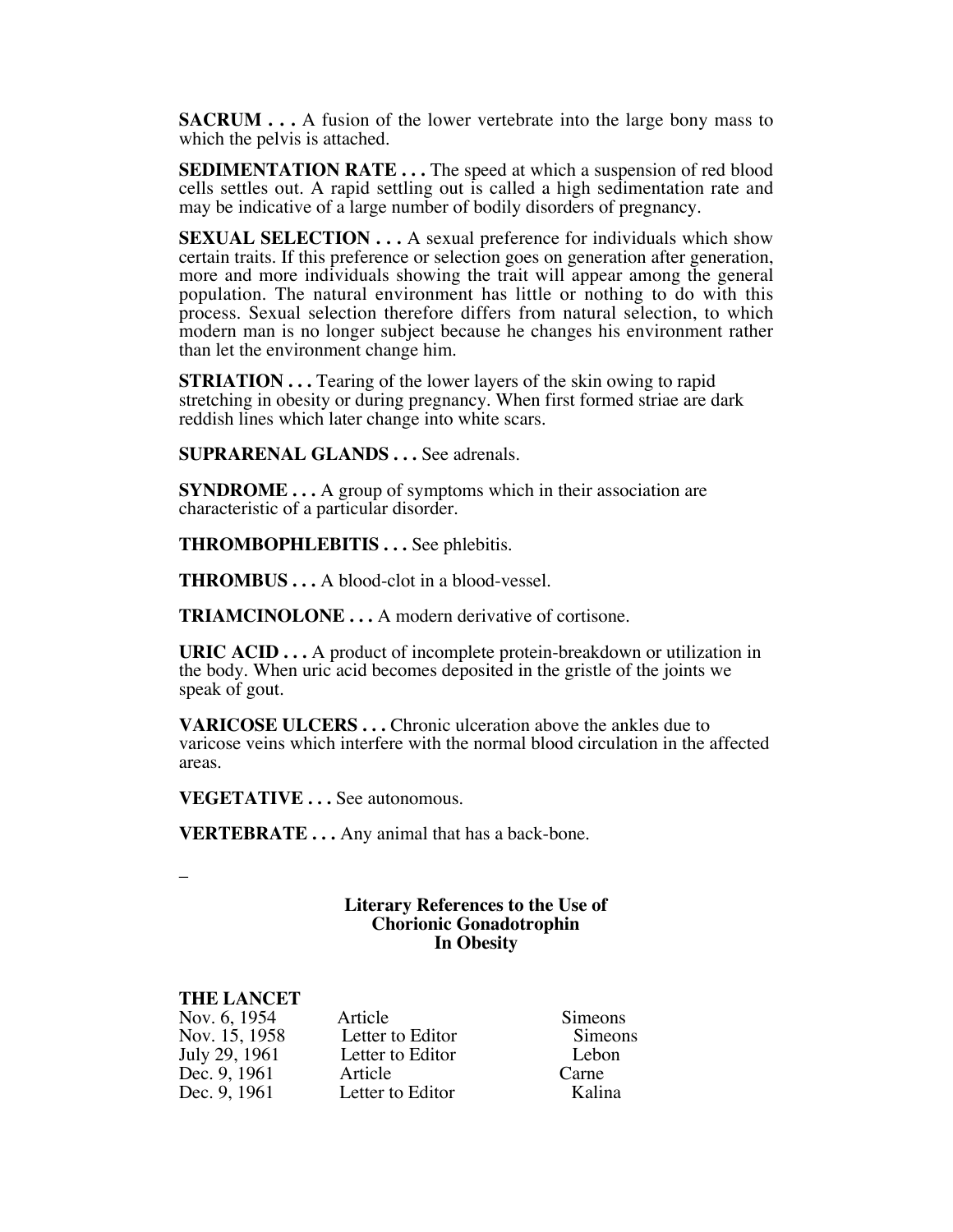**SACRUM . . .** A fusion of the lower vertebrate into the large bony mass to which the pelvis is attached.

**SEDIMENTATION RATE ...** The speed at which a suspension of red blood cells settles out. A rapid settling out is called a high sedimentation rate and may be indicative of a large number of bodily disorders of pregnancy.

**SEXUAL SELECTION . . .** A sexual preference for individuals which show certain traits. If this preference or selection goes on generation after generation, more and more individuals showing the trait will appear among the general population. The natural environment has little or nothing to do with this process. Sexual selection therefore differs from natural selection, to which modern man is no longer subject because he changes his environment rather than let the environment change him.

**STRIATION . . .** Tearing of the lower layers of the skin owing to rapid stretching in obesity or during pregnancy. When first formed striae are dark reddish lines which later change into white scars.

**SUPRARENAL GLANDS . . .** See adrenals.

**SYNDROME** ... A group of symptoms which in their association are characteristic of a particular disorder.

**THROMBOPHLEBITIS . . .** See phlebitis.

**THROMBUS . . .** A blood-clot in a blood-vessel.

**TRIAMCINOLONE . . .** A modern derivative of cortisone.

**URIC ACID . . .** A product of incomplete protein-breakdown or utilization in the body. When uric acid becomes deposited in the gristle of the joints we speak of gout.

**VARICOSE ULCERS...** Chronic ulceration above the ankles due to varicose veins which interfere with the normal blood circulation in the affected areas.

**VEGETATIVE . . .** See autonomous.

**VERTEBRATE . . .** Any animal that has a back-bone.

\_

#### **Literary References to the Use of Chorionic Gonadotrophin In Obesity**

#### **THE LANCET**

| Nov. 6, 1954  | Article          | Sime  |
|---------------|------------------|-------|
| Nov. 15, 1958 | Letter to Editor | Sim   |
| July 29, 1961 | Letter to Editor | Leb   |
| Dec. 9, 1961  | Article          | Carne |
| Dec. 9, 1961  | Letter to Editor | Kali  |

Article Simeons<br>
Letter to Editor Simeons Nov. 15, 1958 Letter to Editor Simeons Letter to Editor Lebon<br>Article Carne Letter to Editor **Kalina**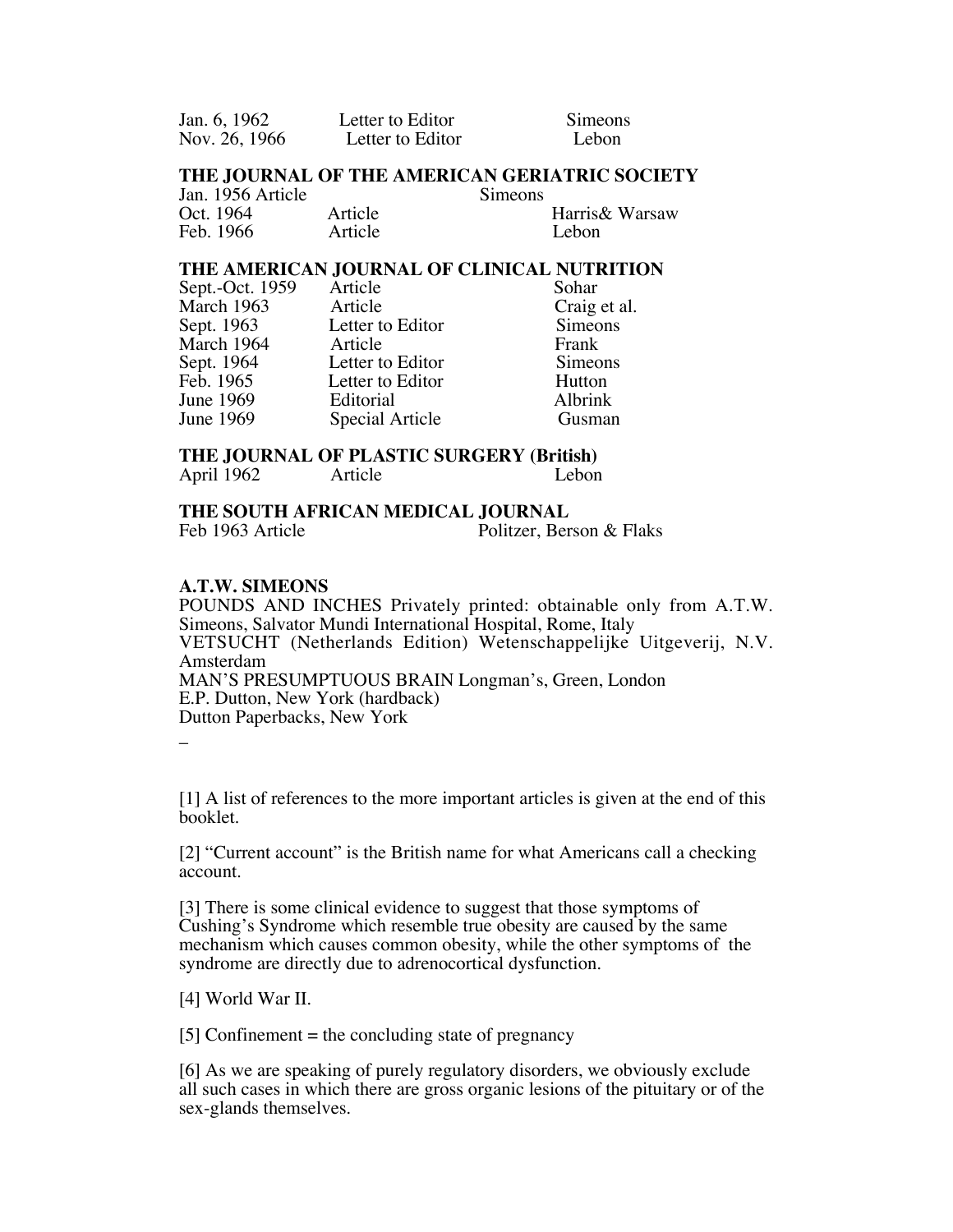| Jan. 6, 1962  | Letter to Editor | <b>Simeons</b> |
|---------------|------------------|----------------|
| Nov. 26, 1966 | Letter to Editor | Lebon.         |

#### **THE JOURNAL OF THE AMERICAN GERIATRIC SOCIETY**

| Jan. 1956 Article | <b>Simeons</b> |                 |
|-------------------|----------------|-----------------|
| Oct. 1964         | Article        | Harris & Warsaw |
| Feb. 1966         | Article        | Lebon.          |

#### **THE AMERICAN JOURNAL OF CLINICAL NUTRITION**

| Sept.-Oct. 1959 | Article          | Sohar          |
|-----------------|------------------|----------------|
| March 1963      | Article          | Craig et al.   |
| Sept. 1963      | Letter to Editor | Simeons        |
| March 1964      | Article          | Frank          |
| Sept. 1964      | Letter to Editor | Simeons        |
| Feb. 1965       | Letter to Editor | Hutton         |
| June 1969       | Editorial        | <b>Albrink</b> |
| June 1969       | Special Article  | Gusman         |
|                 |                  |                |

#### **THE JOURNAL OF PLASTIC SURGERY (British)**<br>April 1962 Article Lebon Article

| THE SOUTH AFRICAN MEDICAL JOURNAL                                                                                                                                                                                                                                                                                                                                                                                                                                                          |  |
|--------------------------------------------------------------------------------------------------------------------------------------------------------------------------------------------------------------------------------------------------------------------------------------------------------------------------------------------------------------------------------------------------------------------------------------------------------------------------------------------|--|
| $\blacksquare$ $\blacksquare$ $\blacksquare$ $\blacksquare$ $\blacksquare$ $\blacksquare$ $\blacksquare$ $\blacksquare$ $\blacksquare$ $\blacksquare$ $\blacksquare$ $\blacksquare$ $\blacksquare$ $\blacksquare$ $\blacksquare$ $\blacksquare$ $\blacksquare$ $\blacksquare$ $\blacksquare$ $\blacksquare$ $\blacksquare$ $\blacksquare$ $\blacksquare$ $\blacksquare$ $\blacksquare$ $\blacksquare$ $\blacksquare$ $\blacksquare$ $\blacksquare$ $\blacksquare$ $\blacksquare$ $\blacks$ |  |

#### Feb 1963 Article Politzer, Berson & Flaks

**A.T.W. SIMEONS** POUNDS AND INCHES Privately printed: obtainable only from A.T.W. Simeons, Salvator Mundi International Hospital, Rome, Italy VETSUCHT (Netherlands Edition) Wetenschappelijke Uitgeverij, N.V. Amsterdam MAN'S PRESUMPTUOUS BRAIN Longman's, Green, London E.P. Dutton, New York (hardback) Dutton Paperbacks, New York

\_

[1] A list of references to the more important articles is given at the end of this booklet.

[2] "Current account" is the British name for what Americans call a checking account.

[3] There is some clinical evidence to suggest that those symptoms of Cushing's Syndrome which resemble true obesity are caused by the same mechanism which causes common obesity, while the other symptoms of the syndrome are directly due to adrenocortical dysfunction.

[4] World War II.

[5] Confinement  $=$  the concluding state of pregnancy

[6] As we are speaking of purely regulatory disorders, we obviously exclude all such cases in which there are gross organic lesions of the pituitary or of the sex-glands themselves.